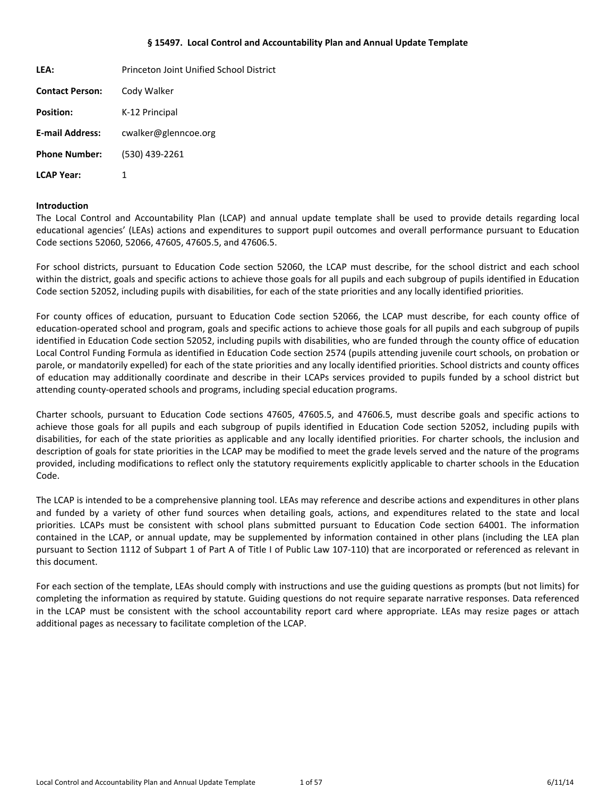#### **§ 15497. Local Control and Accountability Plan and Annual Update Template**

<span id="page-0-0"></span>

| LEA:                   | Princeton Joint Unified School District |
|------------------------|-----------------------------------------|
| <b>Contact Person:</b> | Cody Walker                             |
| <b>Position:</b>       | K-12 Principal                          |
| <b>E-mail Address:</b> | cwalker@glenncoe.org                    |
| <b>Phone Number:</b>   | (530) 439-2261                          |
| <b>LCAP Year:</b>      | 1                                       |

#### **Introduction**

The Local Control and Accountability Plan (LCAP) and annual update template shall be used to provide details regarding local educational agencies' (LEAs) actions and expenditures to support pupil outcomes and overall performance pursuant to Education Code sections 52060, 52066, 47605, 47605.5, and 47606.5.

For school districts, pursuant to Education Code section 52060, the LCAP must describe, for the school district and each school within the district, goals and specific actions to achieve those goals for all pupils and each subgroup of pupils identified in Education Code section 52052, including pupils with disabilities, for each of the state priorities and any locally identified priorities.

For county offices of education, pursuant to Education Code section 52066, the LCAP must describe, for each county office of education-operated school and program, goals and specific actions to achieve those goals for all pupils and each subgroup of pupils identified in Education Code section 52052, including pupils with disabilities, who are funded through the county office of education Local Control Funding Formula as identified in Education Code section 2574 (pupils attending juvenile court schools, on probation or parole, or mandatorily expelled) for each of the state priorities and any locally identified priorities. School districts and county offices of education may additionally coordinate and describe in their LCAPs services provided to pupils funded by a school district but attending county-operated schools and programs, including special education programs.

Charter schools, pursuant to Education Code sections 47605, 47605.5, and 47606.5, must describe goals and specific actions to achieve those goals for all pupils and each subgroup of pupils identified in Education Code section 52052, including pupils with disabilities, for each of the state priorities as applicable and any locally identified priorities. For charter schools, the inclusion and description of goals for state priorities in the LCAP may be modified to meet the grade levels served and the nature of the programs provided, including modifications to reflect only the statutory requirements explicitly applicable to charter schools in the Education Code.

The LCAP is intended to be a comprehensive planning tool. LEAs may reference and describe actions and expenditures in other plans and funded by a variety of other fund sources when detailing goals, actions, and expenditures related to the state and local priorities. LCAPs must be consistent with school plans submitted pursuant to Education Code section 64001. The information contained in the LCAP, or annual update, may be supplemented by information contained in other plans (including the LEA plan pursuant to Section 1112 of Subpart 1 of Part A of Title I of Public Law 107-110) that are incorporated or referenced as relevant in this document.

For each section of the template, LEAs should comply with instructions and use the guiding questions as prompts (but not limits) for completing the information as required by statute. Guiding questions do not require separate narrative responses. Data referenced in the LCAP must be consistent with the school accountability report card where appropriate. LEAs may resize pages or attach additional pages as necessary to facilitate completion of the LCAP.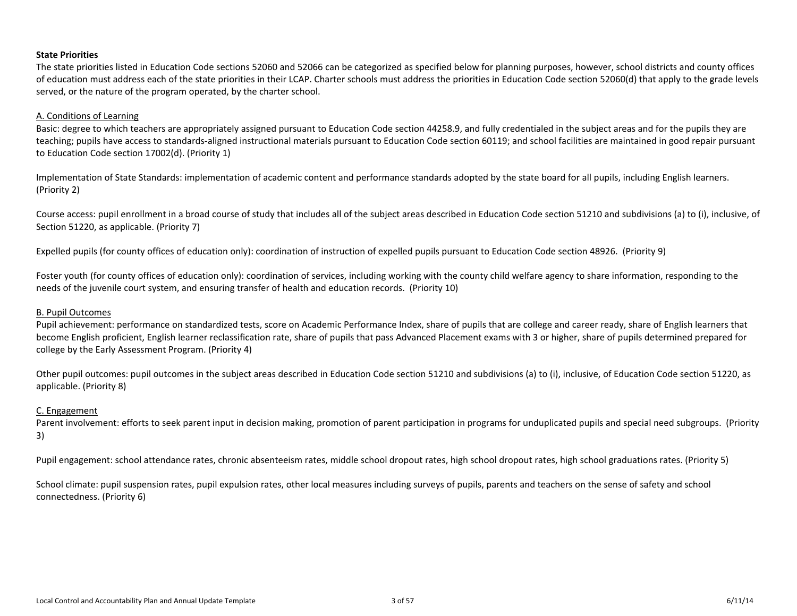#### <span id="page-2-0"></span>**State Priorities**

The state priorities listed in Education Code sections 52060 and 52066 can be categorized as specified below for planning purposes, however, school districts and county offices of education must address each of the state priorities in their LCAP. Charter schools must address the priorities in Education Code section 52060(d) that apply to the grade levels served, or the nature of the program operated, by the charter school.

#### A. Conditions of Learning

Basic: degree to which teachers are appropriately assigned pursuant to Education Code section 44258.9, and fully credentialed in the subject areas and for the pupils they are teaching; pupils have access to standards-aligned instructional materials pursuant to Education Code section 60119; and school facilities are maintained in good repair pursuant to Education Code section 17002(d). (Priority 1)

Implementation of State Standards: implementation of academic content and performance standards adopted by the state board for all pupils, including English learners. (Priority 2)

Course access: pupil enrollment in a broad course of study that includes all of the subject areas described in Education Code section 51210 and subdivisions (a) to (i), inclusive, of Section 51220, as applicable. (Priority 7)

Expelled pupils (for county offices of education only): coordination of instruction of expelled pupils pursuant to Education Code section 48926. (Priority 9)

Foster youth (for county offices of education only): coordination of services, including working with the county child welfare agency to share information, responding to the needs of the juvenile court system, and ensuring transfer of health and education records. (Priority 10)

#### B. Pupil Outcomes

Pupil achievement: performance on standardized tests, score on Academic Performance Index, share of pupils that are college and career ready, share of English learners that become English proficient, English learner reclassification rate, share of pupils that pass Advanced Placement exams with 3 or higher, share of pupils determined prepared for college by the Early Assessment Program. (Priority 4)

Other pupil outcomes: pupil outcomes in the subject areas described in Education Code section 51210 and subdivisions (a) to (i), inclusive, of Education Code section 51220, as applicable. (Priority 8)

#### C. Engagement

Parent involvement: efforts to seek parent input in decision making, promotion of parent participation in programs for unduplicated pupils and special need subgroups. (Priority 3)

Pupil engagement: school attendance rates, chronic absenteeism rates, middle school dropout rates, high school dropout rates, high school graduations rates. (Priority 5)

School climate: pupil suspension rates, pupil expulsion rates, other local measures including surveys of pupils, parents and teachers on the sense of safety and school connectedness. (Priority 6)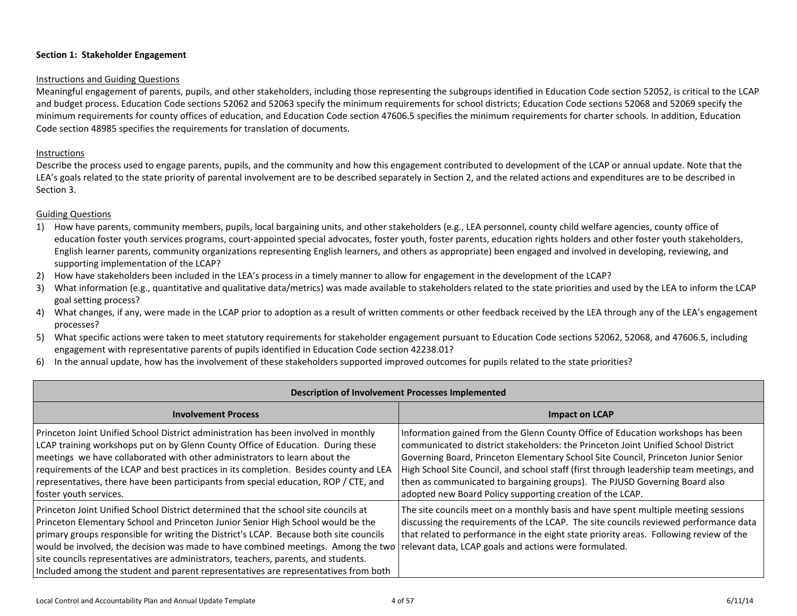### <span id="page-3-0"></span>**Section 1: Stakeholder Engagement**

#### Instructions and Guiding Questions

Meaningful engagement of parents, pupils, and other stakeholders, including those representing the subgroups identified in Education Code section 52052, is critical to the LCAP and budget process. Education Code sections 52062 and 52063 specify the minimum requirements for school districts; Education Code sections 52068 and 52069 specify the minimum requirements for county offices of education, and Education Code section 47606.5 specifies the minimum requirements for charter schools. In addition, Education Code section 48985 specifies the requirements for translation of documents.

## Instructions

Describe the process used to engage parents, pupils, and the community and how this engagement contributed to development of the LCAP or annual update. Note that the LEA's goals related to the state priority of parental involvement are to be described separately in Section 2, and the related actions and expenditures are to be described in Section 3.

## Guiding Questions

- 1) How have parents, community members, pupils, local bargaining units, and other stakeholders (e.g., LEA personnel, county child welfare agencies, county office of education foster youth services programs, court-appointed special advocates, foster youth, foster parents, education rights holders and other foster youth stakeholders, English learner parents, community organizations representing English learners, and others as appropriate) been engaged and involved in developing, reviewing, and supporting implementation of the LCAP?
- 2) How have stakeholders been included in the LEA's process in a timely manner to allow for engagement in the development of the LCAP?
- 3) What information (e.g., quantitative and qualitative data/metrics) was made available to stakeholders related to the state priorities and used by the LEA to inform the LCAP goal setting process?
- 4) What changes, if any, were made in the LCAP prior to adoption as a result of written comments or other feedback received by the LEA through any of the LEA's engagement processes?
- 5) What specific actions were taken to meet statutory requirements for stakeholder engagement pursuant to Education Code sections 52062, 52068, and 47606.5, including engagement with representative parents of pupils identified in Education Code section 42238.01?
- 6) In the annual update, how has the involvement of these stakeholders supported improved outcomes for pupils related to the state priorities?

| <b>Description of Involvement Processes Implemented</b>                                                                                                                                                                                                                                                                                                                                                                                                                                                                             |                                                                                                                                                                                                                                                                                                                                                                                                                                                                                                   |  |  |
|-------------------------------------------------------------------------------------------------------------------------------------------------------------------------------------------------------------------------------------------------------------------------------------------------------------------------------------------------------------------------------------------------------------------------------------------------------------------------------------------------------------------------------------|---------------------------------------------------------------------------------------------------------------------------------------------------------------------------------------------------------------------------------------------------------------------------------------------------------------------------------------------------------------------------------------------------------------------------------------------------------------------------------------------------|--|--|
| <b>Involvement Process</b>                                                                                                                                                                                                                                                                                                                                                                                                                                                                                                          | <b>Impact on LCAP</b>                                                                                                                                                                                                                                                                                                                                                                                                                                                                             |  |  |
| Princeton Joint Unified School District administration has been involved in monthly<br>LCAP training workshops put on by Glenn County Office of Education. During these<br>meetings we have collaborated with other administrators to learn about the<br>requirements of the LCAP and best practices in its completion. Besides county and LEA<br>representatives, there have been participants from special education, ROP / CTE, and<br>foster youth services.                                                                    | Information gained from the Glenn County Office of Education workshops has been<br>communicated to district stakeholders: the Princeton Joint Unified School District<br>Governing Board, Princeton Elementary School Site Council, Princeton Junior Senior<br>High School Site Council, and school staff (first through leadership team meetings, and<br>then as communicated to bargaining groups). The PJUSD Governing Board also<br>adopted new Board Policy supporting creation of the LCAP. |  |  |
| Princeton Joint Unified School District determined that the school site councils at<br>Princeton Elementary School and Princeton Junior Senior High School would be the<br>primary groups responsible for writing the District's LCAP. Because both site councils<br>would be involved, the decision was made to have combined meetings. Among the two<br>site councils representatives are administrators, teachers, parents, and students.<br>Included among the student and parent representatives are representatives from both | The site councils meet on a monthly basis and have spent multiple meeting sessions<br>discussing the requirements of the LCAP. The site councils reviewed performance data<br>that related to performance in the eight state priority areas. Following review of the<br>relevant data, LCAP goals and actions were formulated.                                                                                                                                                                    |  |  |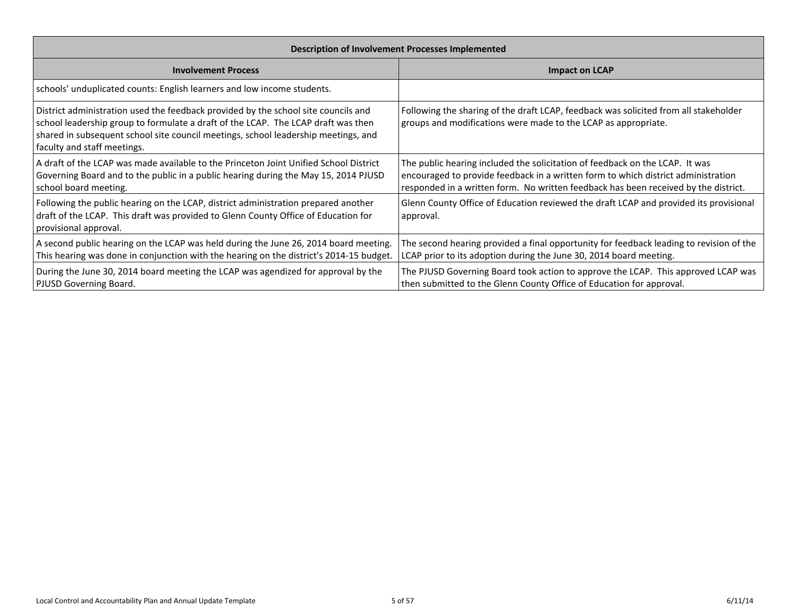| <b>Description of Involvement Processes Implemented</b>                                                                                                                                                                                                                                      |                                                                                                                                                                                                                                                          |  |  |
|----------------------------------------------------------------------------------------------------------------------------------------------------------------------------------------------------------------------------------------------------------------------------------------------|----------------------------------------------------------------------------------------------------------------------------------------------------------------------------------------------------------------------------------------------------------|--|--|
| <b>Involvement Process</b>                                                                                                                                                                                                                                                                   | <b>Impact on LCAP</b>                                                                                                                                                                                                                                    |  |  |
| schools' unduplicated counts: English learners and low income students.                                                                                                                                                                                                                      |                                                                                                                                                                                                                                                          |  |  |
| District administration used the feedback provided by the school site councils and<br>school leadership group to formulate a draft of the LCAP. The LCAP draft was then<br>shared in subsequent school site council meetings, school leadership meetings, and<br>faculty and staff meetings. | Following the sharing of the draft LCAP, feedback was solicited from all stakeholder<br>groups and modifications were made to the LCAP as appropriate.                                                                                                   |  |  |
| A draft of the LCAP was made available to the Princeton Joint Unified School District<br>Governing Board and to the public in a public hearing during the May 15, 2014 PJUSD<br>school board meeting.                                                                                        | The public hearing included the solicitation of feedback on the LCAP. It was<br>encouraged to provide feedback in a written form to which district administration<br>responded in a written form. No written feedback has been received by the district. |  |  |
| Following the public hearing on the LCAP, district administration prepared another<br>draft of the LCAP. This draft was provided to Glenn County Office of Education for<br>provisional approval.                                                                                            | Glenn County Office of Education reviewed the draft LCAP and provided its provisional<br>approval.                                                                                                                                                       |  |  |
| A second public hearing on the LCAP was held during the June 26, 2014 board meeting.<br>This hearing was done in conjunction with the hearing on the district's 2014-15 budget.                                                                                                              | The second hearing provided a final opportunity for feedback leading to revision of the<br>LCAP prior to its adoption during the June 30, 2014 board meeting.                                                                                            |  |  |
| During the June 30, 2014 board meeting the LCAP was agendized for approval by the<br>PJUSD Governing Board.                                                                                                                                                                                  | The PJUSD Governing Board took action to approve the LCAP. This approved LCAP was<br>then submitted to the Glenn County Office of Education for approval.                                                                                                |  |  |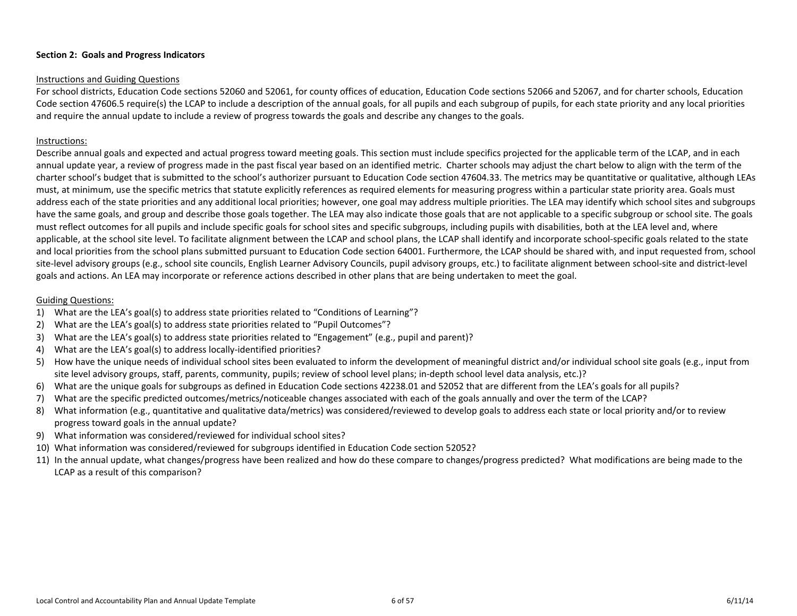#### <span id="page-5-0"></span>Instructions and Guiding Questions

For school districts, Education Code sections 52060 and 52061, for county offices of education, Education Code sections 52066 and 52067, and for charter schools, Education Code section 47606.5 require(s) the LCAP to include a description of the annual goals, for all pupils and each subgroup of pupils, for each state priority and any local priorities and require the annual update to include a review of progress towards the goals and describe any changes to the goals.

#### Instructions:

Describe annual goals and expected and actual progress toward meeting goals. This section must include specifics projected for the applicable term of the LCAP, and in each annual update year, a review of progress made in the past fiscal year based on an identified metric. Charter schools may adjust the chart below to align with the term of the charter school's budget that is submitted to the school's authorizer pursuant to Education Code section 47604.33. The metrics may be quantitative or qualitative, although LEAs must, at minimum, use the specific metrics that statute explicitly references as required elements for measuring progress within a particular state priority area. Goals must address each of the state priorities and any additional local priorities; however, one goal may address multiple priorities. The LEA may identify which school sites and subgroups have the same goals, and group and describe those goals together. The LEA may also indicate those goals that are not applicable to a specific subgroup or school site. The goals must reflect outcomes for all pupils and include specific goals for school sites and specific subgroups, including pupils with disabilities, both at the LEA level and, where applicable, at the school site level. To facilitate alignment between the LCAP and school plans, the LCAP shall identify and incorporate school-specific goals related to the state and local priorities from the school plans submitted pursuant to Education Code section 64001. Furthermore, the LCAP should be shared with, and input requested from, school site-level advisory groups (e.g., school site councils, English Learner Advisory Councils, pupil advisory groups, etc.) to facilitate alignment between school-site and district-level goals and actions. An LEA may incorporate or reference actions described in other plans that are being undertaken to meet the goal.

#### Guiding Questions:

- 1) What are the LEA's goal(s) to address state priorities related to "Conditions of Learning"?
- 2) What are the LEA's goal(s) to address state priorities related to "Pupil Outcomes"?
- 3) What are the LEA's goal(s) to address state priorities related to "Engagement" (e.g., pupil and parent)?
- 4) What are the LEA's goal(s) to address locally-identified priorities?
- 5) How have the unique needs of individual school sites been evaluated to inform the development of meaningful district and/or individual school site goals (e.g., input from site level advisory groups, staff, parents, community, pupils; review of school level plans; in-depth school level data analysis, etc.)?
- 6) What are the unique goals for subgroups as defined in Education Code sections 42238.01 and 52052 that are different from the LEA's goals for all pupils?
- 7) What are the specific predicted outcomes/metrics/noticeable changes associated with each of the goals annually and over the term of the LCAP?
- 8) What information (e.g., quantitative and qualitative data/metrics) was considered/reviewed to develop goals to address each state or local priority and/or to review progress toward goals in the annual update?
- 9) What information was considered/reviewed for individual school sites?
- 10) What information was considered/reviewed for subgroups identified in Education Code section 52052?
- 11) In the annual update, what changes/progress have been realized and how do these compare to changes/progress predicted? What modifications are being made to the LCAP as a result of this comparison?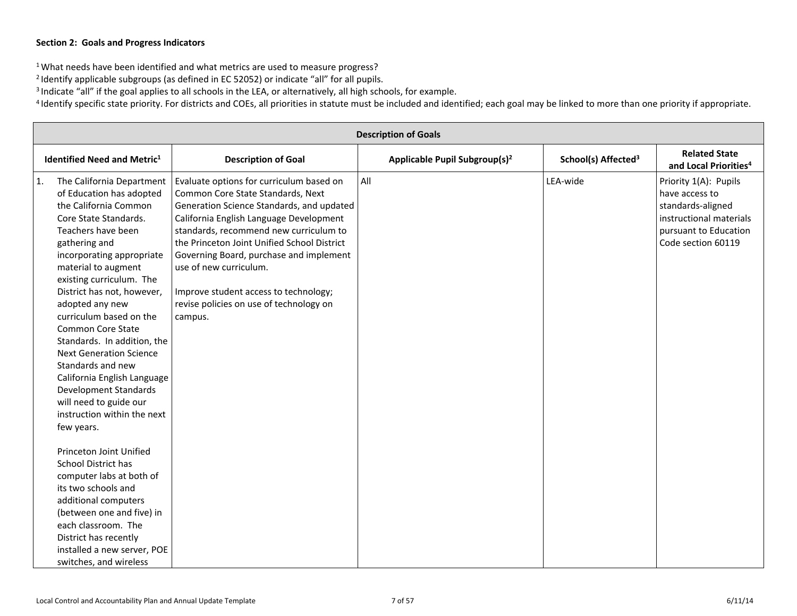<sup>1</sup> What needs have been identified and what metrics are used to measure progress?

<sup>2</sup> Identify applicable subgroups (as defined in EC 52052) or indicate "all" for all pupils.

<sup>3</sup> Indicate "all" if the goal applies to all schools in the LEA, or alternatively, all high schools, for example.

<sup>4</sup> Identify specific state priority. For districts and COEs, all priorities in statute must be included and identified; each goal may be linked to more than one priority if appropriate.

|    | <b>Description of Goals</b>                                                                                                                                                                                                                                                                                                                                                                                                                                                                                                                                        |                                                                                                                                                                                                                                                                                                                                                                                                                                    |                                           |                                 |                                                                                                                                        |
|----|--------------------------------------------------------------------------------------------------------------------------------------------------------------------------------------------------------------------------------------------------------------------------------------------------------------------------------------------------------------------------------------------------------------------------------------------------------------------------------------------------------------------------------------------------------------------|------------------------------------------------------------------------------------------------------------------------------------------------------------------------------------------------------------------------------------------------------------------------------------------------------------------------------------------------------------------------------------------------------------------------------------|-------------------------------------------|---------------------------------|----------------------------------------------------------------------------------------------------------------------------------------|
|    | <b>Identified Need and Metric1</b>                                                                                                                                                                                                                                                                                                                                                                                                                                                                                                                                 | <b>Description of Goal</b>                                                                                                                                                                                                                                                                                                                                                                                                         | Applicable Pupil Subgroup(s) <sup>2</sup> | School(s) Affected <sup>3</sup> | <b>Related State</b><br>and Local Priorities <sup>4</sup>                                                                              |
| 1. | The California Department<br>of Education has adopted<br>the California Common<br>Core State Standards.<br>Teachers have been<br>gathering and<br>incorporating appropriate<br>material to augment<br>existing curriculum. The<br>District has not, however,<br>adopted any new<br>curriculum based on the<br><b>Common Core State</b><br>Standards. In addition, the<br><b>Next Generation Science</b><br>Standards and new<br>California English Language<br><b>Development Standards</b><br>will need to guide our<br>instruction within the next<br>few years. | Evaluate options for curriculum based on<br>Common Core State Standards, Next<br>Generation Science Standards, and updated<br>California English Language Development<br>standards, recommend new curriculum to<br>the Princeton Joint Unified School District<br>Governing Board, purchase and implement<br>use of new curriculum.<br>Improve student access to technology;<br>revise policies on use of technology on<br>campus. | All                                       | LEA-wide                        | Priority 1(A): Pupils<br>have access to<br>standards-aligned<br>instructional materials<br>pursuant to Education<br>Code section 60119 |
|    | Princeton Joint Unified<br>School District has<br>computer labs at both of<br>its two schools and<br>additional computers<br>(between one and five) in<br>each classroom. The<br>District has recently<br>installed a new server, POE<br>switches, and wireless                                                                                                                                                                                                                                                                                                    |                                                                                                                                                                                                                                                                                                                                                                                                                                    |                                           |                                 |                                                                                                                                        |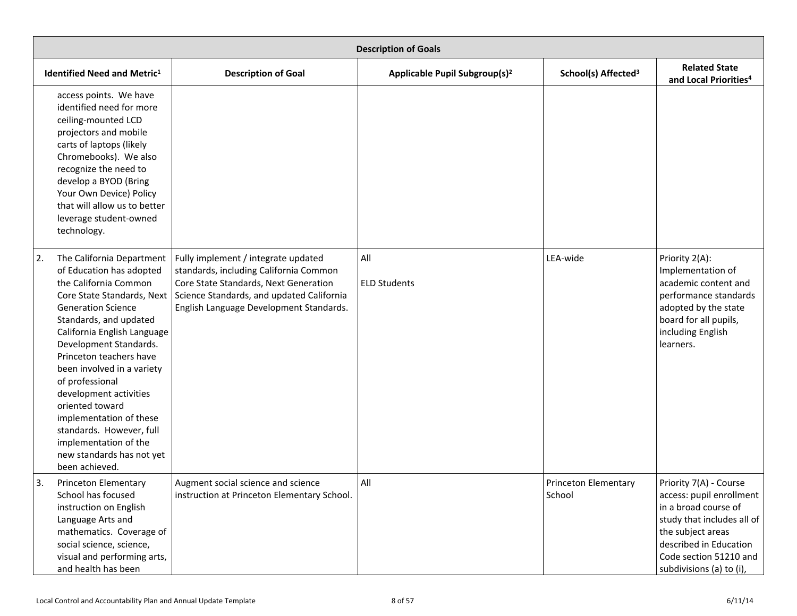| <b>Description of Goals</b>                                                                                                                                                                                                                                                                                                                                                                                                                                                                |                                                                                                                                                                                                                |                                           |                                 |                                                                                                                                                                                                               |
|--------------------------------------------------------------------------------------------------------------------------------------------------------------------------------------------------------------------------------------------------------------------------------------------------------------------------------------------------------------------------------------------------------------------------------------------------------------------------------------------|----------------------------------------------------------------------------------------------------------------------------------------------------------------------------------------------------------------|-------------------------------------------|---------------------------------|---------------------------------------------------------------------------------------------------------------------------------------------------------------------------------------------------------------|
| <b>Identified Need and Metric1</b>                                                                                                                                                                                                                                                                                                                                                                                                                                                         | <b>Description of Goal</b>                                                                                                                                                                                     | Applicable Pupil Subgroup(s) <sup>2</sup> | School(s) Affected <sup>3</sup> | <b>Related State</b><br>and Local Priorities <sup>4</sup>                                                                                                                                                     |
| access points. We have<br>identified need for more<br>ceiling-mounted LCD<br>projectors and mobile<br>carts of laptops (likely<br>Chromebooks). We also<br>recognize the need to<br>develop a BYOD (Bring<br>Your Own Device) Policy<br>that will allow us to better<br>leverage student-owned<br>technology.                                                                                                                                                                              |                                                                                                                                                                                                                |                                           |                                 |                                                                                                                                                                                                               |
| 2.<br>The California Department<br>of Education has adopted<br>the California Common<br>Core State Standards, Next<br><b>Generation Science</b><br>Standards, and updated<br>California English Language<br>Development Standards.<br>Princeton teachers have<br>been involved in a variety<br>of professional<br>development activities<br>oriented toward<br>implementation of these<br>standards. However, full<br>implementation of the<br>new standards has not yet<br>been achieved. | Fully implement / integrate updated<br>standards, including California Common<br>Core State Standards, Next Generation<br>Science Standards, and updated California<br>English Language Development Standards. | All<br><b>ELD Students</b>                | LEA-wide                        | Priority 2(A):<br>Implementation of<br>academic content and<br>performance standards<br>adopted by the state<br>board for all pupils,<br>including English<br>learners.                                       |
| 3.<br>Princeton Elementary<br>School has focused<br>instruction on English<br>Language Arts and<br>mathematics. Coverage of<br>social science, science,<br>visual and performing arts,<br>and health has been                                                                                                                                                                                                                                                                              | Augment social science and science<br>instruction at Princeton Elementary School.                                                                                                                              | All                                       | Princeton Elementary<br>School  | Priority 7(A) - Course<br>access: pupil enrollment<br>in a broad course of<br>study that includes all of<br>the subject areas<br>described in Education<br>Code section 51210 and<br>subdivisions (a) to (i), |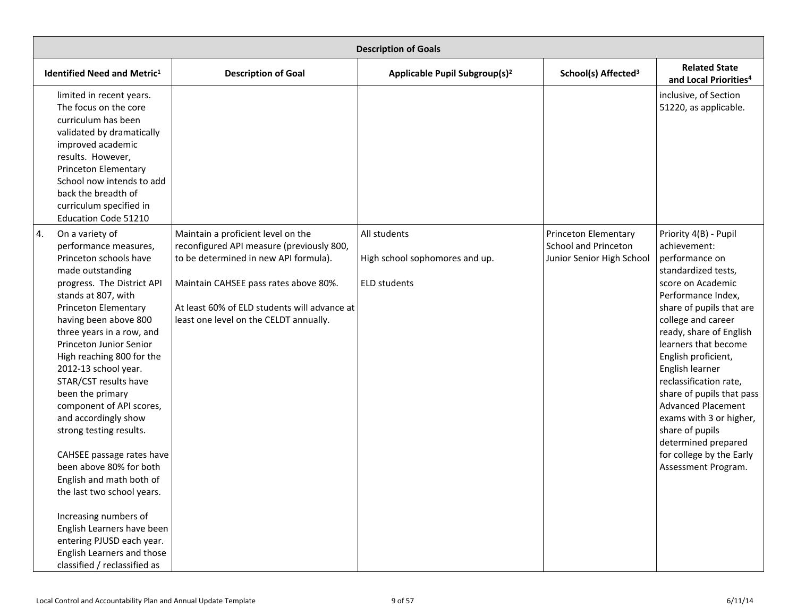| <b>Description of Goals</b>                                                                                                                                                                                                                                                                                                                                                                                                                                                                                                                                                                                                                                                                                     |                                                                                                                                                                                                                                                             |                                                                       |                                                                           |                                                                                                                                                                                                                                                                                                                                                                                                                                                                                      |
|-----------------------------------------------------------------------------------------------------------------------------------------------------------------------------------------------------------------------------------------------------------------------------------------------------------------------------------------------------------------------------------------------------------------------------------------------------------------------------------------------------------------------------------------------------------------------------------------------------------------------------------------------------------------------------------------------------------------|-------------------------------------------------------------------------------------------------------------------------------------------------------------------------------------------------------------------------------------------------------------|-----------------------------------------------------------------------|---------------------------------------------------------------------------|--------------------------------------------------------------------------------------------------------------------------------------------------------------------------------------------------------------------------------------------------------------------------------------------------------------------------------------------------------------------------------------------------------------------------------------------------------------------------------------|
| <b>Identified Need and Metric1</b>                                                                                                                                                                                                                                                                                                                                                                                                                                                                                                                                                                                                                                                                              | <b>Description of Goal</b>                                                                                                                                                                                                                                  | Applicable Pupil Subgroup(s) <sup>2</sup>                             | School(s) Affected <sup>3</sup>                                           | <b>Related State</b><br>and Local Priorities <sup>4</sup>                                                                                                                                                                                                                                                                                                                                                                                                                            |
| limited in recent years.<br>The focus on the core<br>curriculum has been<br>validated by dramatically<br>improved academic<br>results. However,<br><b>Princeton Elementary</b><br>School now intends to add<br>back the breadth of<br>curriculum specified in<br><b>Education Code 51210</b>                                                                                                                                                                                                                                                                                                                                                                                                                    |                                                                                                                                                                                                                                                             |                                                                       |                                                                           | inclusive, of Section<br>51220, as applicable.                                                                                                                                                                                                                                                                                                                                                                                                                                       |
| 4.<br>On a variety of<br>performance measures,<br>Princeton schools have<br>made outstanding<br>progress. The District API<br>stands at 807, with<br>Princeton Elementary<br>having been above 800<br>three years in a row, and<br>Princeton Junior Senior<br>High reaching 800 for the<br>2012-13 school year.<br>STAR/CST results have<br>been the primary<br>component of API scores,<br>and accordingly show<br>strong testing results.<br>CAHSEE passage rates have<br>been above 80% for both<br>English and math both of<br>the last two school years.<br>Increasing numbers of<br>English Learners have been<br>entering PJUSD each year.<br>English Learners and those<br>classified / reclassified as | Maintain a proficient level on the<br>reconfigured API measure (previously 800,<br>to be determined in new API formula).<br>Maintain CAHSEE pass rates above 80%.<br>At least 60% of ELD students will advance at<br>least one level on the CELDT annually. | All students<br>High school sophomores and up.<br><b>ELD students</b> | Princeton Elementary<br>School and Princeton<br>Junior Senior High School | Priority 4(B) - Pupil<br>achievement:<br>performance on<br>standardized tests,<br>score on Academic<br>Performance Index,<br>share of pupils that are<br>college and career<br>ready, share of English<br>learners that become<br>English proficient,<br>English learner<br>reclassification rate,<br>share of pupils that pass<br><b>Advanced Placement</b><br>exams with 3 or higher,<br>share of pupils<br>determined prepared<br>for college by the Early<br>Assessment Program. |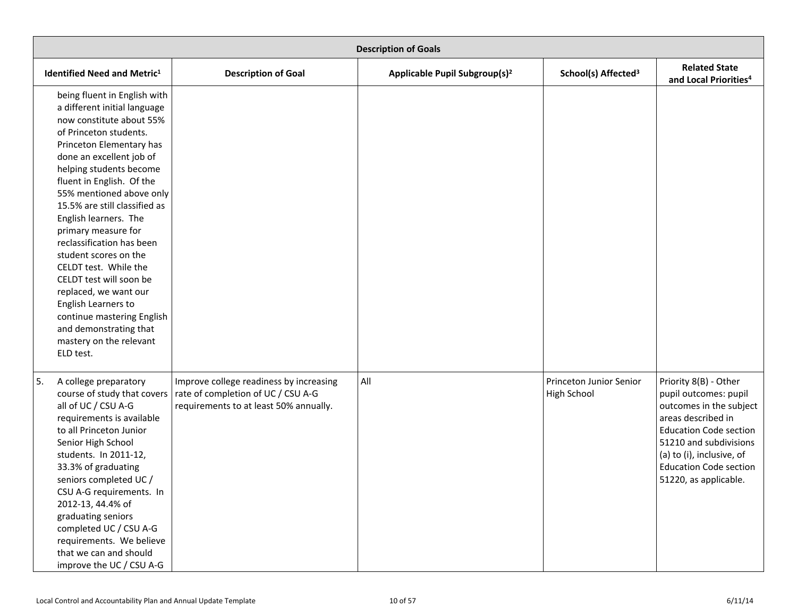| <b>Description of Goals</b>                                                                                                                                                                                                                                                                                                                                                                                                                                                                                                                                                                               |                                                                                                                         |                                           |                                               |                                                                                                                                                                                                                                                   |
|-----------------------------------------------------------------------------------------------------------------------------------------------------------------------------------------------------------------------------------------------------------------------------------------------------------------------------------------------------------------------------------------------------------------------------------------------------------------------------------------------------------------------------------------------------------------------------------------------------------|-------------------------------------------------------------------------------------------------------------------------|-------------------------------------------|-----------------------------------------------|---------------------------------------------------------------------------------------------------------------------------------------------------------------------------------------------------------------------------------------------------|
| <b>Identified Need and Metric1</b>                                                                                                                                                                                                                                                                                                                                                                                                                                                                                                                                                                        | <b>Description of Goal</b>                                                                                              | Applicable Pupil Subgroup(s) <sup>2</sup> | School(s) Affected <sup>3</sup>               | <b>Related State</b><br>and Local Priorities <sup>4</sup>                                                                                                                                                                                         |
| being fluent in English with<br>a different initial language<br>now constitute about 55%<br>of Princeton students.<br>Princeton Elementary has<br>done an excellent job of<br>helping students become<br>fluent in English. Of the<br>55% mentioned above only<br>15.5% are still classified as<br>English learners. The<br>primary measure for<br>reclassification has been<br>student scores on the<br>CELDT test. While the<br>CELDT test will soon be<br>replaced, we want our<br>English Learners to<br>continue mastering English<br>and demonstrating that<br>mastery on the relevant<br>ELD test. |                                                                                                                         |                                           |                                               |                                                                                                                                                                                                                                                   |
| 5.<br>A college preparatory<br>course of study that covers<br>all of UC / CSU A-G<br>requirements is available<br>to all Princeton Junior<br>Senior High School<br>students. In 2011-12,<br>33.3% of graduating<br>seniors completed UC /<br>CSU A-G requirements. In<br>2012-13, 44.4% of<br>graduating seniors<br>completed UC / CSU A-G<br>requirements. We believe<br>that we can and should<br>improve the UC / CSU A-G                                                                                                                                                                              | Improve college readiness by increasing<br>rate of completion of UC / CSU A-G<br>requirements to at least 50% annually. | All                                       | Princeton Junior Senior<br><b>High School</b> | Priority 8(B) - Other<br>pupil outcomes: pupil<br>outcomes in the subject<br>areas described in<br><b>Education Code section</b><br>51210 and subdivisions<br>(a) to (i), inclusive, of<br><b>Education Code section</b><br>51220, as applicable. |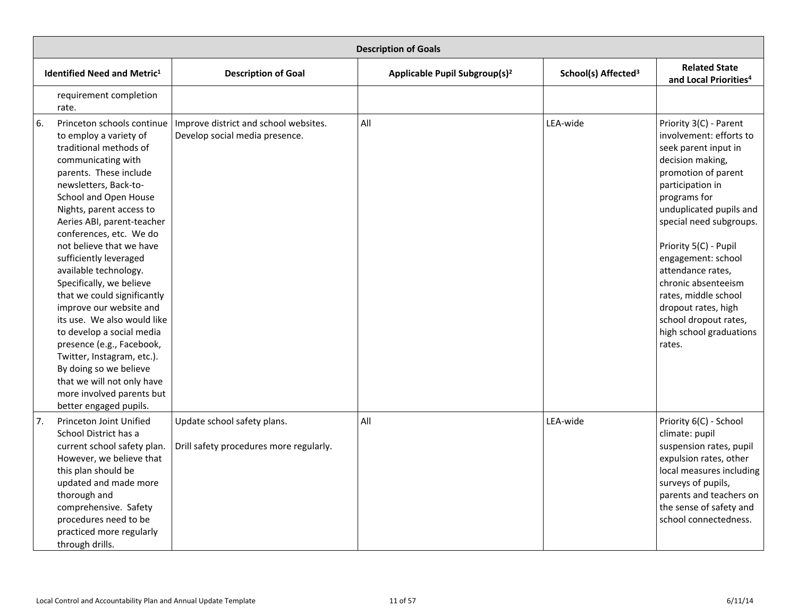<span id="page-10-0"></span>

|    | <b>Description of Goals</b>                                                                                                                                                                                                                                                                                                                                                                                                                                                                                                                                                                                                                                                      |                                                                         |                                           |                                 |                                                                                                                                                                                                                                                                                                                                                                                                                        |
|----|----------------------------------------------------------------------------------------------------------------------------------------------------------------------------------------------------------------------------------------------------------------------------------------------------------------------------------------------------------------------------------------------------------------------------------------------------------------------------------------------------------------------------------------------------------------------------------------------------------------------------------------------------------------------------------|-------------------------------------------------------------------------|-------------------------------------------|---------------------------------|------------------------------------------------------------------------------------------------------------------------------------------------------------------------------------------------------------------------------------------------------------------------------------------------------------------------------------------------------------------------------------------------------------------------|
|    | <b>Identified Need and Metric1</b>                                                                                                                                                                                                                                                                                                                                                                                                                                                                                                                                                                                                                                               | <b>Description of Goal</b>                                              | Applicable Pupil Subgroup(s) <sup>2</sup> | School(s) Affected <sup>3</sup> | <b>Related State</b><br>and Local Priorities <sup>4</sup>                                                                                                                                                                                                                                                                                                                                                              |
|    | requirement completion<br>rate.                                                                                                                                                                                                                                                                                                                                                                                                                                                                                                                                                                                                                                                  |                                                                         |                                           |                                 |                                                                                                                                                                                                                                                                                                                                                                                                                        |
| 6. | Princeton schools continue<br>to employ a variety of<br>traditional methods of<br>communicating with<br>parents. These include<br>newsletters, Back-to-<br>School and Open House<br>Nights, parent access to<br>Aeries ABI, parent-teacher<br>conferences, etc. We do<br>not believe that we have<br>sufficiently leveraged<br>available technology.<br>Specifically, we believe<br>that we could significantly<br>improve our website and<br>its use. We also would like<br>to develop a social media<br>presence (e.g., Facebook,<br>Twitter, Instagram, etc.).<br>By doing so we believe<br>that we will not only have<br>more involved parents but<br>better engaged pupils. | Improve district and school websites.<br>Develop social media presence. | All                                       | LEA-wide                        | Priority 3(C) - Parent<br>involvement: efforts to<br>seek parent input in<br>decision making,<br>promotion of parent<br>participation in<br>programs for<br>unduplicated pupils and<br>special need subgroups.<br>Priority 5(C) - Pupil<br>engagement: school<br>attendance rates,<br>chronic absenteeism<br>rates, middle school<br>dropout rates, high<br>school dropout rates,<br>high school graduations<br>rates. |
| 7. | Princeton Joint Unified<br>School District has a<br>current school safety plan.<br>However, we believe that<br>this plan should be<br>updated and made more<br>thorough and<br>comprehensive. Safety<br>procedures need to be<br>practiced more regularly<br>through drills.                                                                                                                                                                                                                                                                                                                                                                                                     | Update school safety plans.<br>Drill safety procedures more regularly.  | All                                       | LEA-wide                        | Priority 6(C) - School<br>climate: pupil<br>suspension rates, pupil<br>expulsion rates, other<br>local measures including<br>surveys of pupils,<br>parents and teachers on<br>the sense of safety and<br>school connectedness.                                                                                                                                                                                         |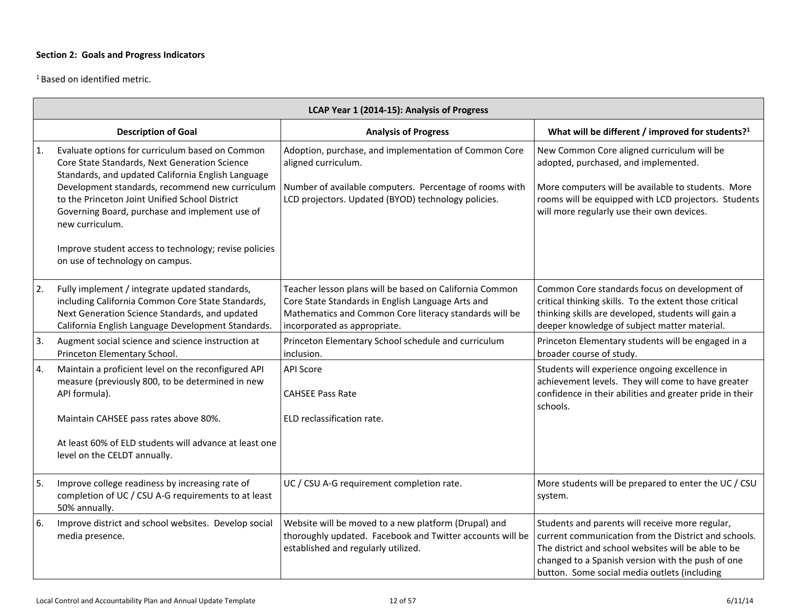<sup>1</sup> Based on identified metric.

|    | LCAP Year 1 (2014-15): Analysis of Progress                                                                                                                                                                                                                                                                                                                                               |                                                                                                                                                                                                        |                                                                                                                                                                                                                                                                     |  |  |
|----|-------------------------------------------------------------------------------------------------------------------------------------------------------------------------------------------------------------------------------------------------------------------------------------------------------------------------------------------------------------------------------------------|--------------------------------------------------------------------------------------------------------------------------------------------------------------------------------------------------------|---------------------------------------------------------------------------------------------------------------------------------------------------------------------------------------------------------------------------------------------------------------------|--|--|
|    | <b>Description of Goal</b>                                                                                                                                                                                                                                                                                                                                                                | <b>Analysis of Progress</b>                                                                                                                                                                            | What will be different / improved for students? <sup>1</sup>                                                                                                                                                                                                        |  |  |
| 1. | Evaluate options for curriculum based on Common<br>Core State Standards, Next Generation Science<br>Standards, and updated California English Language<br>Development standards, recommend new curriculum<br>to the Princeton Joint Unified School District<br>Governing Board, purchase and implement use of<br>new curriculum.<br>Improve student access to technology; revise policies | Adoption, purchase, and implementation of Common Core<br>aligned curriculum.<br>Number of available computers. Percentage of rooms with<br>LCD projectors. Updated (BYOD) technology policies.         | New Common Core aligned curriculum will be<br>adopted, purchased, and implemented.<br>More computers will be available to students. More<br>rooms will be equipped with LCD projectors. Students<br>will more regularly use their own devices.                      |  |  |
|    | on use of technology on campus.                                                                                                                                                                                                                                                                                                                                                           |                                                                                                                                                                                                        |                                                                                                                                                                                                                                                                     |  |  |
| 2. | Fully implement / integrate updated standards,<br>including California Common Core State Standards,<br>Next Generation Science Standards, and updated<br>California English Language Development Standards.                                                                                                                                                                               | Teacher lesson plans will be based on California Common<br>Core State Standards in English Language Arts and<br>Mathematics and Common Core literacy standards will be<br>incorporated as appropriate. | Common Core standards focus on development of<br>critical thinking skills. To the extent those critical<br>thinking skills are developed, students will gain a<br>deeper knowledge of subject matter material.                                                      |  |  |
| 3. | Augment social science and science instruction at<br>Princeton Elementary School.                                                                                                                                                                                                                                                                                                         | Princeton Elementary School schedule and curriculum<br>inclusion.                                                                                                                                      | Princeton Elementary students will be engaged in a<br>broader course of study.                                                                                                                                                                                      |  |  |
| 4. | Maintain a proficient level on the reconfigured API<br>measure (previously 800, to be determined in new<br>API formula).                                                                                                                                                                                                                                                                  | <b>API Score</b><br><b>CAHSEE Pass Rate</b>                                                                                                                                                            | Students will experience ongoing excellence in<br>achievement levels. They will come to have greater<br>confidence in their abilities and greater pride in their<br>schools.                                                                                        |  |  |
|    | Maintain CAHSEE pass rates above 80%.                                                                                                                                                                                                                                                                                                                                                     | ELD reclassification rate.                                                                                                                                                                             |                                                                                                                                                                                                                                                                     |  |  |
|    | At least 60% of ELD students will advance at least one<br>level on the CELDT annually.                                                                                                                                                                                                                                                                                                    |                                                                                                                                                                                                        |                                                                                                                                                                                                                                                                     |  |  |
| 5. | Improve college readiness by increasing rate of<br>completion of UC / CSU A-G requirements to at least<br>50% annually.                                                                                                                                                                                                                                                                   | UC / CSU A-G requirement completion rate.                                                                                                                                                              | More students will be prepared to enter the UC / CSU<br>system.                                                                                                                                                                                                     |  |  |
| 6. | Improve district and school websites. Develop social<br>media presence.                                                                                                                                                                                                                                                                                                                   | Website will be moved to a new platform (Drupal) and<br>thoroughly updated. Facebook and Twitter accounts will be<br>established and regularly utilized.                                               | Students and parents will receive more regular,<br>current communication from the District and schools.<br>The district and school websites will be able to be<br>changed to a Spanish version with the push of one<br>button. Some social media outlets (including |  |  |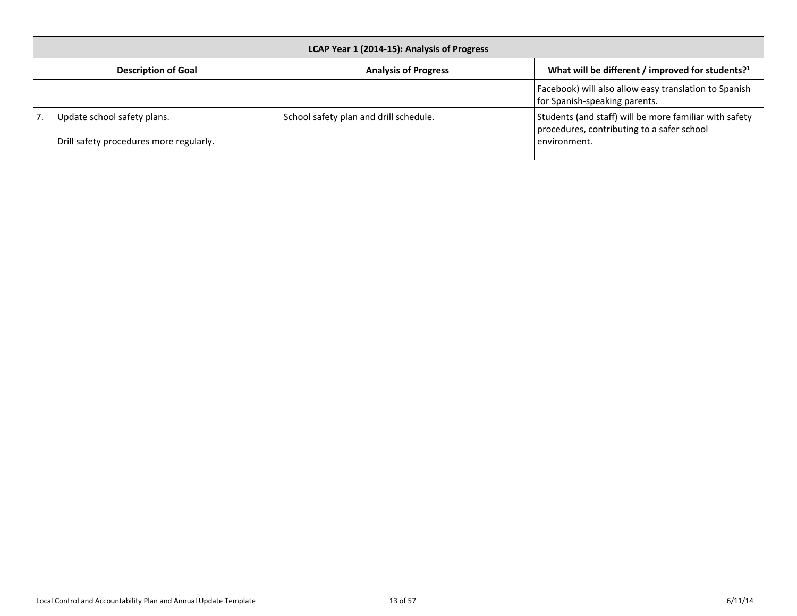<span id="page-12-0"></span>

| LCAP Year 1 (2014-15): Analysis of Progress                            |  |                                        |                                                                                                                      |
|------------------------------------------------------------------------|--|----------------------------------------|----------------------------------------------------------------------------------------------------------------------|
| <b>Description of Goal</b>                                             |  | <b>Analysis of Progress</b>            | What will be different / improved for students? <sup>1</sup>                                                         |
|                                                                        |  |                                        | Facebook) will also allow easy translation to Spanish<br>for Spanish-speaking parents.                               |
| Update school safety plans.<br>Drill safety procedures more regularly. |  | School safety plan and drill schedule. | Students (and staff) will be more familiar with safety<br>procedures, contributing to a safer school<br>environment. |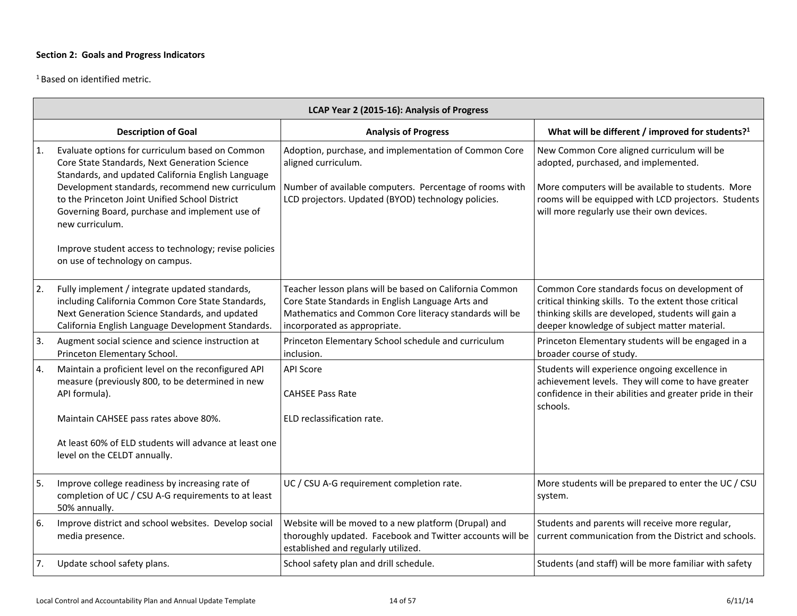<sup>1</sup> Based on identified metric.

|    | LCAP Year 2 (2015-16): Analysis of Progress                                                                                                                                                                                                                                                                                      |                                                                                                                                                                                                        |                                                                                                                                                                                                                                                |  |  |
|----|----------------------------------------------------------------------------------------------------------------------------------------------------------------------------------------------------------------------------------------------------------------------------------------------------------------------------------|--------------------------------------------------------------------------------------------------------------------------------------------------------------------------------------------------------|------------------------------------------------------------------------------------------------------------------------------------------------------------------------------------------------------------------------------------------------|--|--|
|    | <b>Description of Goal</b>                                                                                                                                                                                                                                                                                                       | <b>Analysis of Progress</b>                                                                                                                                                                            | What will be different / improved for students? <sup>1</sup>                                                                                                                                                                                   |  |  |
| 1. | Evaluate options for curriculum based on Common<br>Core State Standards, Next Generation Science<br>Standards, and updated California English Language<br>Development standards, recommend new curriculum<br>to the Princeton Joint Unified School District<br>Governing Board, purchase and implement use of<br>new curriculum. | Adoption, purchase, and implementation of Common Core<br>aligned curriculum.<br>Number of available computers. Percentage of rooms with<br>LCD projectors. Updated (BYOD) technology policies.         | New Common Core aligned curriculum will be<br>adopted, purchased, and implemented.<br>More computers will be available to students. More<br>rooms will be equipped with LCD projectors. Students<br>will more regularly use their own devices. |  |  |
|    | Improve student access to technology; revise policies<br>on use of technology on campus.                                                                                                                                                                                                                                         |                                                                                                                                                                                                        |                                                                                                                                                                                                                                                |  |  |
| 2. | Fully implement / integrate updated standards,<br>including California Common Core State Standards,<br>Next Generation Science Standards, and updated<br>California English Language Development Standards.                                                                                                                      | Teacher lesson plans will be based on California Common<br>Core State Standards in English Language Arts and<br>Mathematics and Common Core literacy standards will be<br>incorporated as appropriate. | Common Core standards focus on development of<br>critical thinking skills. To the extent those critical<br>thinking skills are developed, students will gain a<br>deeper knowledge of subject matter material.                                 |  |  |
| 3. | Augment social science and science instruction at<br>Princeton Elementary School.                                                                                                                                                                                                                                                | Princeton Elementary School schedule and curriculum<br>inclusion.                                                                                                                                      | Princeton Elementary students will be engaged in a<br>broader course of study.                                                                                                                                                                 |  |  |
| 4. | Maintain a proficient level on the reconfigured API<br>measure (previously 800, to be determined in new<br>API formula).<br>Maintain CAHSEE pass rates above 80%.<br>At least 60% of ELD students will advance at least one<br>level on the CELDT annually.                                                                      | <b>API Score</b><br><b>CAHSEE Pass Rate</b><br>ELD reclassification rate.                                                                                                                              | Students will experience ongoing excellence in<br>achievement levels. They will come to have greater<br>confidence in their abilities and greater pride in their<br>schools.                                                                   |  |  |
| 5. | Improve college readiness by increasing rate of<br>completion of UC / CSU A-G requirements to at least<br>50% annually.                                                                                                                                                                                                          | UC / CSU A-G requirement completion rate.                                                                                                                                                              | More students will be prepared to enter the UC / CSU<br>system.                                                                                                                                                                                |  |  |
| 6. | Improve district and school websites. Develop social<br>media presence.                                                                                                                                                                                                                                                          | Website will be moved to a new platform (Drupal) and<br>thoroughly updated. Facebook and Twitter accounts will be<br>established and regularly utilized.                                               | Students and parents will receive more regular,<br>current communication from the District and schools.                                                                                                                                        |  |  |
| 7. | Update school safety plans.                                                                                                                                                                                                                                                                                                      | School safety plan and drill schedule.                                                                                                                                                                 | Students (and staff) will be more familiar with safety                                                                                                                                                                                         |  |  |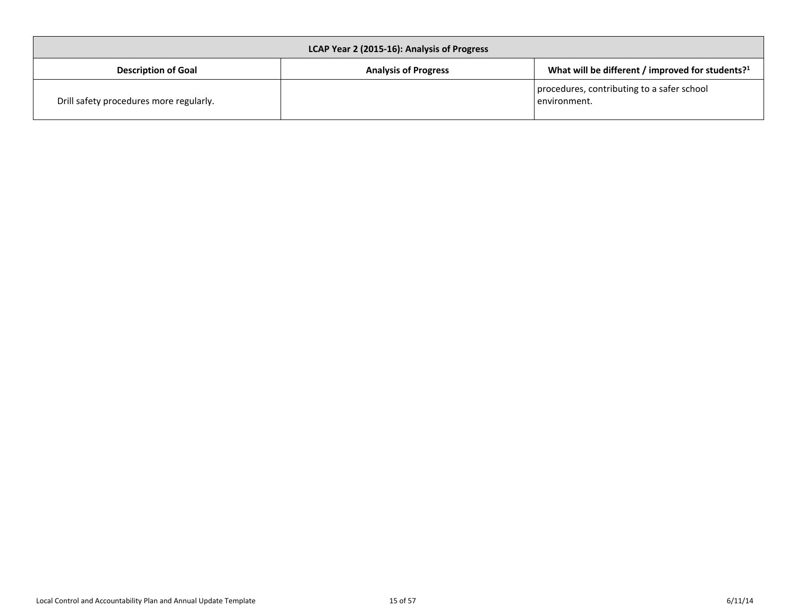<span id="page-14-0"></span>

| LCAP Year 2 (2015-16): Analysis of Progress |                             |                                                              |  |  |
|---------------------------------------------|-----------------------------|--------------------------------------------------------------|--|--|
| <b>Description of Goal</b>                  | <b>Analysis of Progress</b> | What will be different / improved for students? <sup>1</sup> |  |  |
| Drill safety procedures more regularly.     |                             | procedures, contributing to a safer school<br>l environment. |  |  |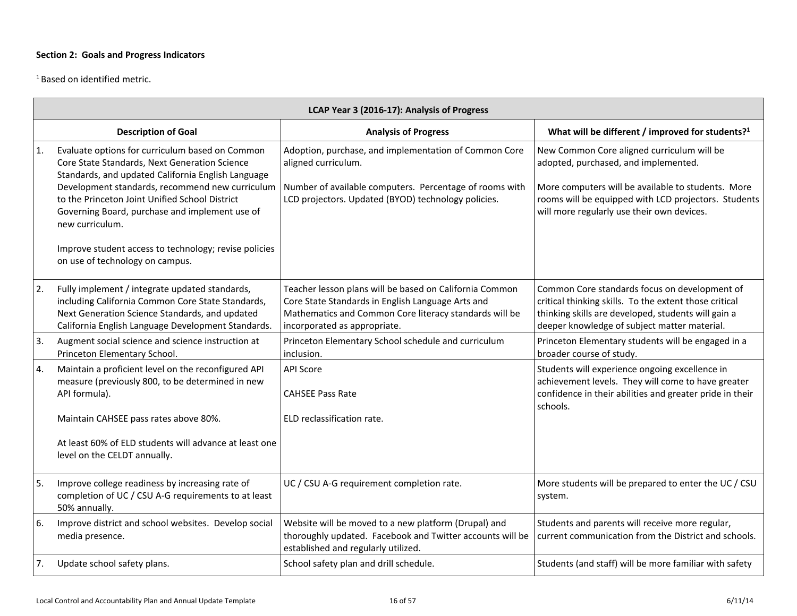<sup>1</sup> Based on identified metric.

|    | LCAP Year 3 (2016-17): Analysis of Progress                                                                                                                                                                                                                                                                                      |                                                                                                                                                                                                        |                                                                                                                                                                                                                                                |  |  |  |
|----|----------------------------------------------------------------------------------------------------------------------------------------------------------------------------------------------------------------------------------------------------------------------------------------------------------------------------------|--------------------------------------------------------------------------------------------------------------------------------------------------------------------------------------------------------|------------------------------------------------------------------------------------------------------------------------------------------------------------------------------------------------------------------------------------------------|--|--|--|
|    | <b>Description of Goal</b>                                                                                                                                                                                                                                                                                                       | <b>Analysis of Progress</b>                                                                                                                                                                            | What will be different / improved for students? <sup>1</sup>                                                                                                                                                                                   |  |  |  |
| 1. | Evaluate options for curriculum based on Common<br>Core State Standards, Next Generation Science<br>Standards, and updated California English Language<br>Development standards, recommend new curriculum<br>to the Princeton Joint Unified School District<br>Governing Board, purchase and implement use of<br>new curriculum. | Adoption, purchase, and implementation of Common Core<br>aligned curriculum.<br>Number of available computers. Percentage of rooms with<br>LCD projectors. Updated (BYOD) technology policies.         | New Common Core aligned curriculum will be<br>adopted, purchased, and implemented.<br>More computers will be available to students. More<br>rooms will be equipped with LCD projectors. Students<br>will more regularly use their own devices. |  |  |  |
|    | Improve student access to technology; revise policies<br>on use of technology on campus.                                                                                                                                                                                                                                         |                                                                                                                                                                                                        |                                                                                                                                                                                                                                                |  |  |  |
| 2. | Fully implement / integrate updated standards,<br>including California Common Core State Standards,<br>Next Generation Science Standards, and updated<br>California English Language Development Standards.                                                                                                                      | Teacher lesson plans will be based on California Common<br>Core State Standards in English Language Arts and<br>Mathematics and Common Core literacy standards will be<br>incorporated as appropriate. | Common Core standards focus on development of<br>critical thinking skills. To the extent those critical<br>thinking skills are developed, students will gain a<br>deeper knowledge of subject matter material.                                 |  |  |  |
| 3. | Augment social science and science instruction at<br>Princeton Elementary School.                                                                                                                                                                                                                                                | Princeton Elementary School schedule and curriculum<br>inclusion.                                                                                                                                      | Princeton Elementary students will be engaged in a<br>broader course of study.                                                                                                                                                                 |  |  |  |
| 4. | Maintain a proficient level on the reconfigured API<br>measure (previously 800, to be determined in new<br>API formula).<br>Maintain CAHSEE pass rates above 80%.<br>At least 60% of ELD students will advance at least one<br>level on the CELDT annually.                                                                      | <b>API Score</b><br><b>CAHSEE Pass Rate</b><br>ELD reclassification rate.                                                                                                                              | Students will experience ongoing excellence in<br>achievement levels. They will come to have greater<br>confidence in their abilities and greater pride in their<br>schools.                                                                   |  |  |  |
| 5. | Improve college readiness by increasing rate of<br>completion of UC / CSU A-G requirements to at least<br>50% annually.                                                                                                                                                                                                          | UC / CSU A-G requirement completion rate.                                                                                                                                                              | More students will be prepared to enter the UC / CSU<br>system.                                                                                                                                                                                |  |  |  |
| 6. | Improve district and school websites. Develop social<br>media presence.                                                                                                                                                                                                                                                          | Website will be moved to a new platform (Drupal) and<br>thoroughly updated. Facebook and Twitter accounts will be<br>established and regularly utilized.                                               | Students and parents will receive more regular,<br>current communication from the District and schools.                                                                                                                                        |  |  |  |
| 7. | Update school safety plans.                                                                                                                                                                                                                                                                                                      | School safety plan and drill schedule.                                                                                                                                                                 | Students (and staff) will be more familiar with safety                                                                                                                                                                                         |  |  |  |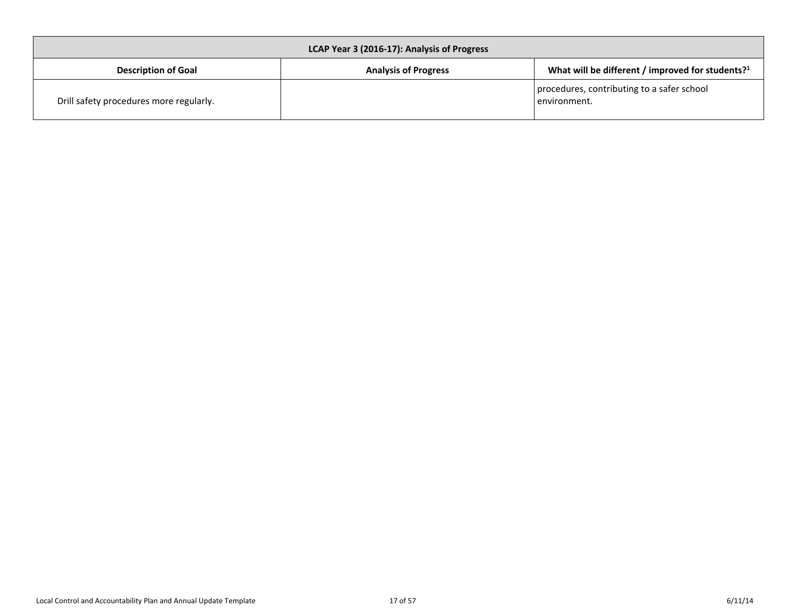<span id="page-16-0"></span>

| LCAP Year 3 (2016-17): Analysis of Progress |                             |                                                              |  |  |
|---------------------------------------------|-----------------------------|--------------------------------------------------------------|--|--|
| <b>Description of Goal</b>                  | <b>Analysis of Progress</b> | What will be different / improved for students? <sup>1</sup> |  |  |
| Drill safety procedures more regularly.     |                             | procedures, contributing to a safer school<br>l environment. |  |  |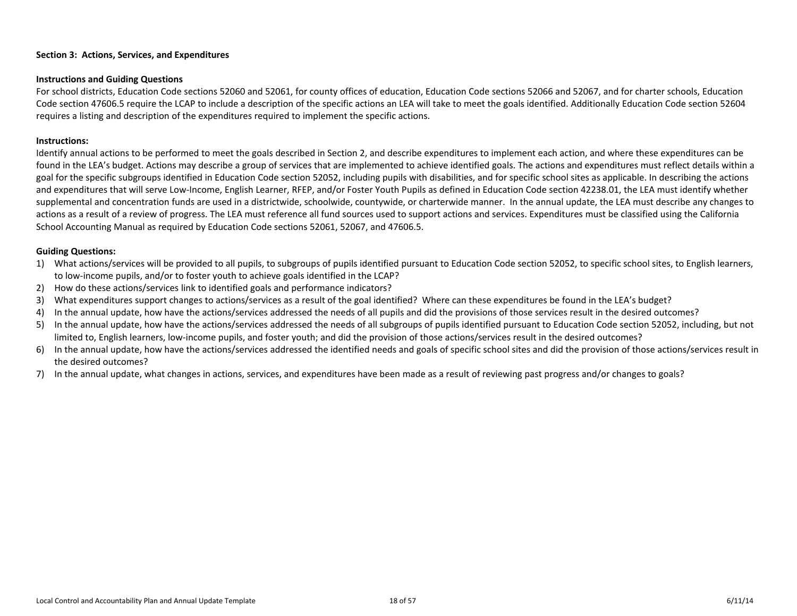#### <span id="page-17-0"></span>**Instructions and Guiding Questions**

For school districts, Education Code sections 52060 and 52061, for county offices of education, Education Code sections 52066 and 52067, and for charter schools, Education Code section 47606.5 require the LCAP to include a description of the specific actions an LEA will take to meet the goals identified. Additionally Education Code section 52604 requires a listing and description of the expenditures required to implement the specific actions.

#### **Instructions:**

Identify annual actions to be performed to meet the goals described in Section 2, and describe expenditures to implement each action, and where these expenditures can be found in the LEA's budget. Actions may describe a group of services that are implemented to achieve identified goals. The actions and expenditures must reflect details within a goal for the specific subgroups identified in Education Code section 52052, including pupils with disabilities, and for specific school sites as applicable. In describing the actions and expenditures that will serve Low-Income, English Learner, RFEP, and/or Foster Youth Pupils as defined in Education Code section 42238.01, the LEA must identify whether supplemental and concentration funds are used in a districtwide, schoolwide, countywide, or charterwide manner. In the annual update, the LEA must describe any changes to actions as a result of a review of progress. The LEA must reference all fund sources used to support actions and services. Expenditures must be classified using the California School Accounting Manual as required by Education Code sections 52061, 52067, and 47606.5.

#### **Guiding Questions:**

- 1) What actions/services will be provided to all pupils, to subgroups of pupils identified pursuant to Education Code section 52052, to specific school sites, to English learners, to low-income pupils, and/or to foster youth to achieve goals identified in the LCAP?
- 2) How do these actions/services link to identified goals and performance indicators?
- 3) What expenditures support changes to actions/services as a result of the goal identified? Where can these expenditures be found in the LEA's budget?
- 4) In the annual update, how have the actions/services addressed the needs of all pupils and did the provisions of those services result in the desired outcomes?
- 5) In the annual update, how have the actions/services addressed the needs of all subgroups of pupils identified pursuant to Education Code section 52052, including, but not limited to, English learners, low-income pupils, and foster youth; and did the provision of those actions/services result in the desired outcomes?
- 6) In the annual update, how have the actions/services addressed the identified needs and goals of specific school sites and did the provision of those actions/services result in the desired outcomes?
- 7) In the annual update, what changes in actions, services, and expenditures have been made as a result of reviewing past progress and/or changes to goals?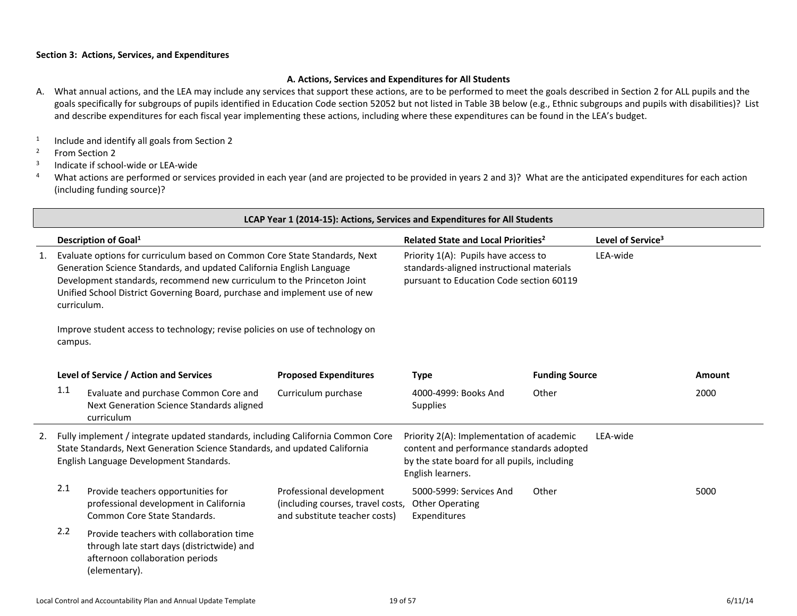## <span id="page-18-0"></span>**A. Actions, Services and Expenditures for All Students**

- A. What annual actions, and the LEA may include any services that support these actions, are to be performed to meet the goals described in Section 2 for ALL pupils and the goals specifically for subgroups of pupils identified in Education Code section 52052 but not listed in Table 3B below (e.g., Ethnic subgroups and pupils with disabilities)? List and describe expenditures for each fiscal year implementing these actions, including where these expenditures can be found in the LEA's budget.
- 1 Include and identify all goals from Section 2
- <sup>2</sup> From Section 2
- 3 Indicate if school-wide or LEA-wide
- <sup>4</sup> What actions are performed or services provided in each year (and are projected to be provided in years 2 and 3)? What are the anticipated expenditures for each action (including funding source)?

|                                                                                                                                                                                                                                                                                                                                  | LCAP Year 1 (2014-15): Actions, Services and Expenditures for All Students |                                                                                                                                                                                                          |                                                                                                |                                                                                                                                                             |                       |                               |        |
|----------------------------------------------------------------------------------------------------------------------------------------------------------------------------------------------------------------------------------------------------------------------------------------------------------------------------------|----------------------------------------------------------------------------|----------------------------------------------------------------------------------------------------------------------------------------------------------------------------------------------------------|------------------------------------------------------------------------------------------------|-------------------------------------------------------------------------------------------------------------------------------------------------------------|-----------------------|-------------------------------|--------|
|                                                                                                                                                                                                                                                                                                                                  |                                                                            | Description of Goal <sup>1</sup>                                                                                                                                                                         |                                                                                                | Related State and Local Priorities <sup>2</sup>                                                                                                             |                       | Level of Service <sup>3</sup> |        |
| Evaluate options for curriculum based on Common Core State Standards, Next<br>1.<br>Generation Science Standards, and updated California English Language<br>Development standards, recommend new curriculum to the Princeton Joint<br>Unified School District Governing Board, purchase and implement use of new<br>curriculum. |                                                                            | Priority 1(A): Pupils have access to<br>LEA-wide<br>standards-aligned instructional materials<br>pursuant to Education Code section 60119                                                                |                                                                                                |                                                                                                                                                             |                       |                               |        |
| Improve student access to technology; revise policies on use of technology on<br>campus.                                                                                                                                                                                                                                         |                                                                            |                                                                                                                                                                                                          |                                                                                                |                                                                                                                                                             |                       |                               |        |
|                                                                                                                                                                                                                                                                                                                                  |                                                                            | Level of Service / Action and Services                                                                                                                                                                   | <b>Proposed Expenditures</b>                                                                   | <b>Type</b>                                                                                                                                                 | <b>Funding Source</b> |                               | Amount |
|                                                                                                                                                                                                                                                                                                                                  | 1.1                                                                        | Evaluate and purchase Common Core and<br>Next Generation Science Standards aligned<br>curriculum                                                                                                         | Curriculum purchase                                                                            | 4000-4999: Books And<br><b>Supplies</b>                                                                                                                     | Other                 |                               | 2000   |
| 2.                                                                                                                                                                                                                                                                                                                               |                                                                            | Fully implement / integrate updated standards, including California Common Core<br>State Standards, Next Generation Science Standards, and updated California<br>English Language Development Standards. |                                                                                                | Priority 2(A): Implementation of academic<br>content and performance standards adopted<br>by the state board for all pupils, including<br>English learners. |                       | LFA-wide                      |        |
|                                                                                                                                                                                                                                                                                                                                  | 2.1                                                                        | Provide teachers opportunities for<br>professional development in California<br>Common Core State Standards.                                                                                             | Professional development<br>(including courses, travel costs,<br>and substitute teacher costs) | 5000-5999: Services And<br><b>Other Operating</b><br>Expenditures                                                                                           | Other                 |                               | 5000   |
|                                                                                                                                                                                                                                                                                                                                  | 2.2                                                                        | Provide teachers with collaboration time<br>through late start days (districtwide) and<br>afternoon collaboration periods<br>(elementary).                                                               |                                                                                                |                                                                                                                                                             |                       |                               |        |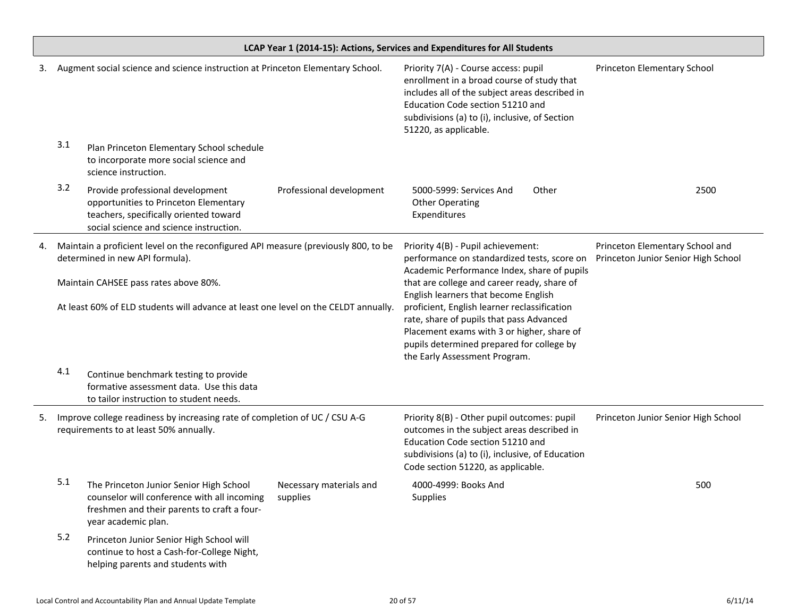|    | LCAP Year 1 (2014-15): Actions, Services and Expenditures for All Students                                                   |                                                                                                                                                                |                                                                                                                                                                                                                                                              |                                                                                                                                                                                                                                                     |                                                                        |  |
|----|------------------------------------------------------------------------------------------------------------------------------|----------------------------------------------------------------------------------------------------------------------------------------------------------------|--------------------------------------------------------------------------------------------------------------------------------------------------------------------------------------------------------------------------------------------------------------|-----------------------------------------------------------------------------------------------------------------------------------------------------------------------------------------------------------------------------------------------------|------------------------------------------------------------------------|--|
| 3. |                                                                                                                              | Augment social science and science instruction at Princeton Elementary School.                                                                                 |                                                                                                                                                                                                                                                              | Priority 7(A) - Course access: pupil<br>enrollment in a broad course of study that<br>includes all of the subject areas described in<br>Education Code section 51210 and<br>subdivisions (a) to (i), inclusive, of Section<br>51220, as applicable. | Princeton Elementary School                                            |  |
|    | 3.1                                                                                                                          | Plan Princeton Elementary School schedule<br>to incorporate more social science and<br>science instruction.                                                    |                                                                                                                                                                                                                                                              |                                                                                                                                                                                                                                                     |                                                                        |  |
|    | 3.2                                                                                                                          | Provide professional development<br>opportunities to Princeton Elementary<br>teachers, specifically oriented toward<br>social science and science instruction. | Professional development                                                                                                                                                                                                                                     | 5000-5999: Services And<br>Other<br><b>Other Operating</b><br>Expenditures                                                                                                                                                                          | 2500                                                                   |  |
| 4. |                                                                                                                              | Maintain a proficient level on the reconfigured API measure (previously 800, to be<br>determined in new API formula).                                          |                                                                                                                                                                                                                                                              | Priority 4(B) - Pupil achievement:<br>performance on standardized tests, score on<br>Academic Performance Index, share of pupils                                                                                                                    | Princeton Elementary School and<br>Princeton Junior Senior High School |  |
|    | Maintain CAHSEE pass rates above 80%.<br>At least 60% of ELD students will advance at least one level on the CELDT annually. |                                                                                                                                                                | that are college and career ready, share of                                                                                                                                                                                                                  |                                                                                                                                                                                                                                                     |                                                                        |  |
|    |                                                                                                                              |                                                                                                                                                                | English learners that become English<br>proficient, English learner reclassification<br>rate, share of pupils that pass Advanced<br>Placement exams with 3 or higher, share of<br>pupils determined prepared for college by<br>the Early Assessment Program. |                                                                                                                                                                                                                                                     |                                                                        |  |
|    | 4.1                                                                                                                          | Continue benchmark testing to provide<br>formative assessment data. Use this data<br>to tailor instruction to student needs.                                   |                                                                                                                                                                                                                                                              |                                                                                                                                                                                                                                                     |                                                                        |  |
| 5. | Improve college readiness by increasing rate of completion of UC / CSU A-G<br>requirements to at least 50% annually.         |                                                                                                                                                                | Priority 8(B) - Other pupil outcomes: pupil<br>outcomes in the subject areas described in<br>Education Code section 51210 and<br>subdivisions (a) to (i), inclusive, of Education<br>Code section 51220, as applicable.                                      | Princeton Junior Senior High School                                                                                                                                                                                                                 |                                                                        |  |
|    | 5.1                                                                                                                          | The Princeton Junior Senior High School<br>counselor will conference with all incoming<br>freshmen and their parents to craft a four-<br>year academic plan.   | Necessary materials and<br>supplies                                                                                                                                                                                                                          | 4000-4999: Books And<br>Supplies                                                                                                                                                                                                                    | 500                                                                    |  |
|    | 5.2                                                                                                                          | Princeton Junior Senior High School will<br>continue to host a Cash-for-College Night,<br>helping parents and students with                                    |                                                                                                                                                                                                                                                              |                                                                                                                                                                                                                                                     |                                                                        |  |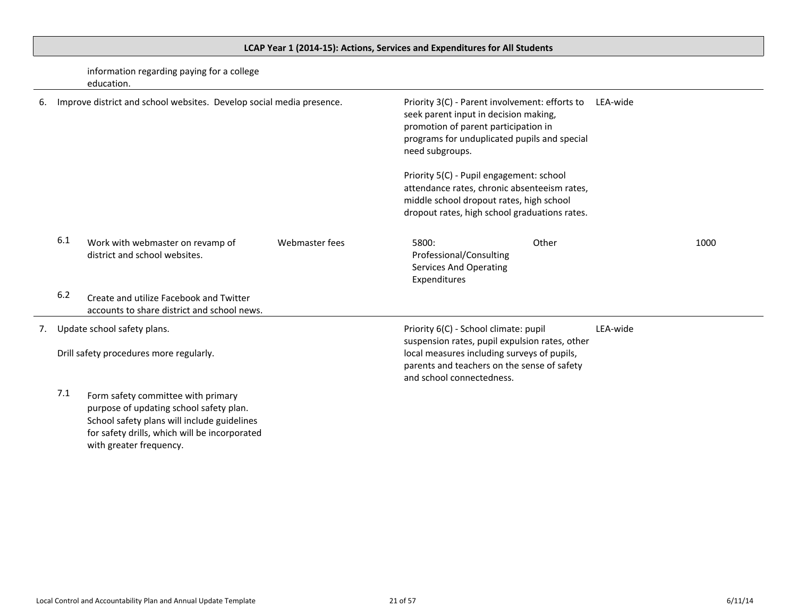# <span id="page-20-0"></span>**LCAP Year 1 (2014-15): Actions, Services and Expenditures for All Students**

information regarding paying for a college education.

| 6. |       | Improve district and school websites. Develop social media presence.                   |                | Priority 3(C) - Parent involvement: efforts to<br>seek parent input in decision making,<br>promotion of parent participation in<br>programs for unduplicated pupils and special<br>need subgroups.                 |       | LEA-wide |      |
|----|-------|----------------------------------------------------------------------------------------|----------------|--------------------------------------------------------------------------------------------------------------------------------------------------------------------------------------------------------------------|-------|----------|------|
|    |       |                                                                                        |                | Priority 5(C) - Pupil engagement: school<br>attendance rates, chronic absenteeism rates,<br>middle school dropout rates, high school<br>dropout rates, high school graduations rates.                              |       |          |      |
|    | 6.1   | Work with webmaster on revamp of<br>district and school websites.                      | Webmaster fees | 5800:<br>Professional/Consulting<br><b>Services And Operating</b><br>Expenditures                                                                                                                                  | Other |          | 1000 |
|    | $6.2$ | Create and utilize Facebook and Twitter<br>accounts to share district and school news. |                |                                                                                                                                                                                                                    |       |          |      |
| 7. |       | Update school safety plans.<br>Drill safety procedures more regularly.                 |                | Priority 6(C) - School climate: pupil<br>suspension rates, pupil expulsion rates, other<br>local measures including surveys of pupils,<br>parents and teachers on the sense of safety<br>and school connectedness. |       | LEA-wide |      |
|    | 7.1   | Form safety committee with primary<br>purpose of updating school safety plan.          |                |                                                                                                                                                                                                                    |       |          |      |

School safety plans will include guidelines for safety drills, which will be incorporated with greater frequency.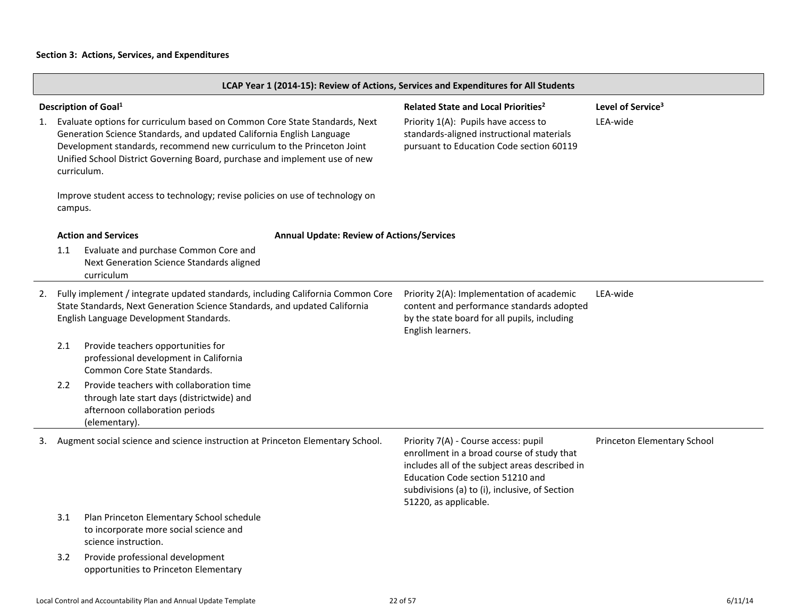|                                                                                                                                                                                                                                                                                                                                                                      | LCAP Year 1 (2014-15): Review of Actions, Services and Expenditures for All Students |                                                                                                                                                                                                          |                                                                                                                                                                                  |                                                                                                                                                                                                                                                     |                             |  |
|----------------------------------------------------------------------------------------------------------------------------------------------------------------------------------------------------------------------------------------------------------------------------------------------------------------------------------------------------------------------|--------------------------------------------------------------------------------------|----------------------------------------------------------------------------------------------------------------------------------------------------------------------------------------------------------|----------------------------------------------------------------------------------------------------------------------------------------------------------------------------------|-----------------------------------------------------------------------------------------------------------------------------------------------------------------------------------------------------------------------------------------------------|-----------------------------|--|
| Description of Goal <sup>1</sup><br>Evaluate options for curriculum based on Common Core State Standards, Next<br>1.<br>Generation Science Standards, and updated California English Language<br>Development standards, recommend new curriculum to the Princeton Joint<br>Unified School District Governing Board, purchase and implement use of new<br>curriculum. |                                                                                      |                                                                                                                                                                                                          | Related State and Local Priorities <sup>2</sup><br>Priority 1(A): Pupils have access to<br>standards-aligned instructional materials<br>pursuant to Education Code section 60119 | Level of Service <sup>3</sup><br>LEA-wide                                                                                                                                                                                                           |                             |  |
|                                                                                                                                                                                                                                                                                                                                                                      | campus.                                                                              | Improve student access to technology; revise policies on use of technology on                                                                                                                            |                                                                                                                                                                                  |                                                                                                                                                                                                                                                     |                             |  |
|                                                                                                                                                                                                                                                                                                                                                                      | 1.1                                                                                  | <b>Action and Services</b><br>Evaluate and purchase Common Core and<br>Next Generation Science Standards aligned<br>curriculum                                                                           | <b>Annual Update: Review of Actions/Services</b>                                                                                                                                 |                                                                                                                                                                                                                                                     |                             |  |
| 2.                                                                                                                                                                                                                                                                                                                                                                   |                                                                                      | Fully implement / integrate updated standards, including California Common Core<br>State Standards, Next Generation Science Standards, and updated California<br>English Language Development Standards. |                                                                                                                                                                                  | Priority 2(A): Implementation of academic<br>content and performance standards adopted<br>by the state board for all pupils, including<br>English learners.                                                                                         | LEA-wide                    |  |
|                                                                                                                                                                                                                                                                                                                                                                      | 2.1                                                                                  | Provide teachers opportunities for<br>professional development in California<br>Common Core State Standards.                                                                                             |                                                                                                                                                                                  |                                                                                                                                                                                                                                                     |                             |  |
|                                                                                                                                                                                                                                                                                                                                                                      | 2.2                                                                                  | Provide teachers with collaboration time<br>through late start days (districtwide) and<br>afternoon collaboration periods<br>(elementary).                                                               |                                                                                                                                                                                  |                                                                                                                                                                                                                                                     |                             |  |
| 3.                                                                                                                                                                                                                                                                                                                                                                   |                                                                                      | Augment social science and science instruction at Princeton Elementary School.                                                                                                                           |                                                                                                                                                                                  | Priority 7(A) - Course access: pupil<br>enrollment in a broad course of study that<br>includes all of the subject areas described in<br>Education Code section 51210 and<br>subdivisions (a) to (i), inclusive, of Section<br>51220, as applicable. | Princeton Elementary School |  |
|                                                                                                                                                                                                                                                                                                                                                                      | 3.1                                                                                  | Plan Princeton Elementary School schedule<br>to incorporate more social science and<br>science instruction.                                                                                              |                                                                                                                                                                                  |                                                                                                                                                                                                                                                     |                             |  |
|                                                                                                                                                                                                                                                                                                                                                                      | 3.2                                                                                  | Provide professional development<br>opportunities to Princeton Elementary                                                                                                                                |                                                                                                                                                                                  |                                                                                                                                                                                                                                                     |                             |  |

┑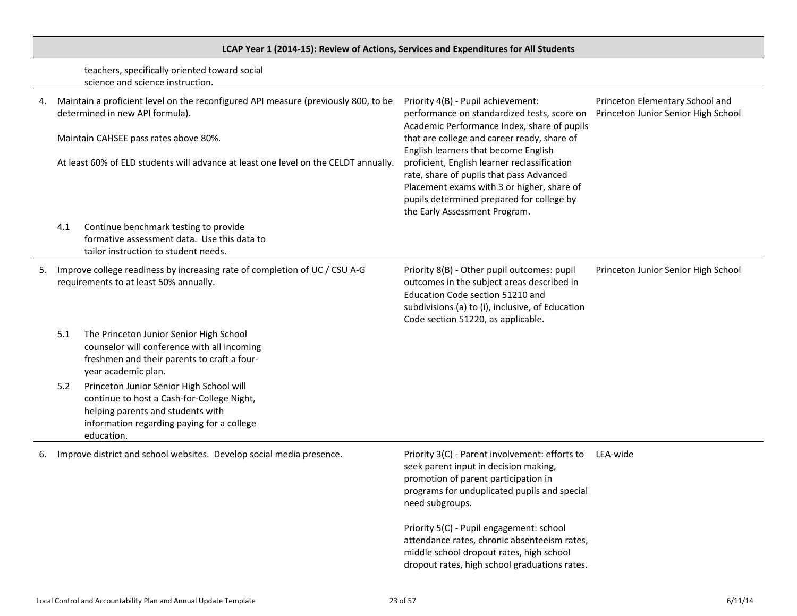# **LCAP Year 1 (2014-15): Review of Actions, Services and Expenditures for All Students**

teachers, specifically oriented toward social science and science instruction.

| 4.                                                                                                                         | Maintain a proficient level on the reconfigured API measure (previously 800, to be<br>determined in new API formula).<br>Maintain CAHSEE pass rates above 80%.<br>At least 60% of ELD students will advance at least one level on the CELDT annually. |                                                                                                                                                                                         | Priority 4(B) - Pupil achievement:<br>performance on standardized tests, score on<br>Academic Performance Index, share of pupils<br>that are college and career ready, share of<br>English learners that become English<br>proficient, English learner reclassification<br>rate, share of pupils that pass Advanced<br>Placement exams with 3 or higher, share of<br>pupils determined prepared for college by<br>the Early Assessment Program. | Princeton Elementary School and<br>Princeton Junior Senior High School |  |
|----------------------------------------------------------------------------------------------------------------------------|-------------------------------------------------------------------------------------------------------------------------------------------------------------------------------------------------------------------------------------------------------|-----------------------------------------------------------------------------------------------------------------------------------------------------------------------------------------|-------------------------------------------------------------------------------------------------------------------------------------------------------------------------------------------------------------------------------------------------------------------------------------------------------------------------------------------------------------------------------------------------------------------------------------------------|------------------------------------------------------------------------|--|
|                                                                                                                            | 4.1                                                                                                                                                                                                                                                   | Continue benchmark testing to provide<br>formative assessment data. Use this data to<br>tailor instruction to student needs.                                                            |                                                                                                                                                                                                                                                                                                                                                                                                                                                 |                                                                        |  |
| Improve college readiness by increasing rate of completion of UC / CSU A-G<br>5.<br>requirements to at least 50% annually. |                                                                                                                                                                                                                                                       |                                                                                                                                                                                         | Priority 8(B) - Other pupil outcomes: pupil<br>outcomes in the subject areas described in<br>Education Code section 51210 and<br>subdivisions (a) to (i), inclusive, of Education<br>Code section 51220, as applicable.                                                                                                                                                                                                                         | Princeton Junior Senior High School                                    |  |
|                                                                                                                            | 5.1                                                                                                                                                                                                                                                   | The Princeton Junior Senior High School<br>counselor will conference with all incoming<br>freshmen and their parents to craft a four-<br>year academic plan.                            |                                                                                                                                                                                                                                                                                                                                                                                                                                                 |                                                                        |  |
|                                                                                                                            | 5.2                                                                                                                                                                                                                                                   | Princeton Junior Senior High School will<br>continue to host a Cash-for-College Night,<br>helping parents and students with<br>information regarding paying for a college<br>education. |                                                                                                                                                                                                                                                                                                                                                                                                                                                 |                                                                        |  |
| 6.                                                                                                                         |                                                                                                                                                                                                                                                       | Improve district and school websites. Develop social media presence.                                                                                                                    | Priority 3(C) - Parent involvement: efforts to<br>seek parent input in decision making,<br>promotion of parent participation in<br>programs for unduplicated pupils and special<br>need subgroups.                                                                                                                                                                                                                                              | LEA-wide                                                               |  |
|                                                                                                                            |                                                                                                                                                                                                                                                       |                                                                                                                                                                                         | Priority 5(C) - Pupil engagement: school<br>attendance rates, chronic absenteeism rates,<br>middle school dropout rates, high school<br>dropout rates, high school graduations rates.                                                                                                                                                                                                                                                           |                                                                        |  |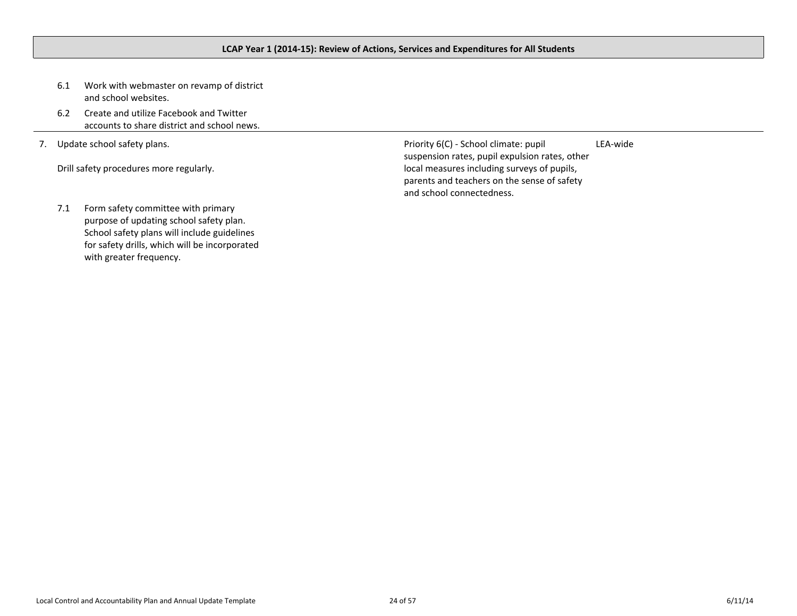- <span id="page-23-0"></span>6.1 Work with webmaster on revamp of district and school websites.
- 6.2 Create and utilize Facebook and Twitter accounts to share district and school news.
- 7. Update school safety plans.

Drill safety procedures more regularly.

Priority 6(C) - School climate: pupil suspension rates, pupil expulsion rates, other local measures including surveys of pupils, parents and teachers on the sense of safety and school connectedness. LEA-wide

7.1 Form safety committee with primary purpose of updating school safety plan. School safety plans will include guidelines for safety drills, which will be incorporated with greater frequency.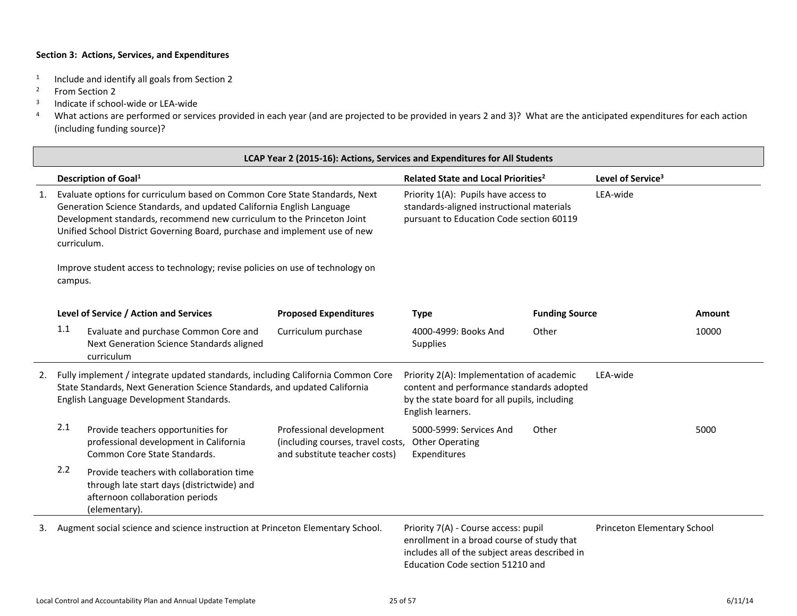- 1 Include and identify all goals from Section 2
- <sup>2</sup> From Section 2
- 3 Indicate if school-wide or LEA-wide
- <sup>4</sup> What actions are performed or services provided in each year (and are projected to be provided in years 2 and 3)? What are the anticipated expenditures for each action (including funding source)?

|                                                                                                                                                                                                                | LCAP Year 2 (2015-16): Actions, Services and Expenditures for All Students                                                                                                                                                                                                                                                                                                                                             |                                                                                                                                            |                                                                                                                                                             |                                                                                                                                                                          |                       |                               |        |
|----------------------------------------------------------------------------------------------------------------------------------------------------------------------------------------------------------------|------------------------------------------------------------------------------------------------------------------------------------------------------------------------------------------------------------------------------------------------------------------------------------------------------------------------------------------------------------------------------------------------------------------------|--------------------------------------------------------------------------------------------------------------------------------------------|-------------------------------------------------------------------------------------------------------------------------------------------------------------|--------------------------------------------------------------------------------------------------------------------------------------------------------------------------|-----------------------|-------------------------------|--------|
|                                                                                                                                                                                                                |                                                                                                                                                                                                                                                                                                                                                                                                                        | Description of Goal <sup>1</sup>                                                                                                           |                                                                                                                                                             | Related State and Local Priorities <sup>2</sup>                                                                                                                          |                       | Level of Service <sup>3</sup> |        |
| 1.                                                                                                                                                                                                             | Evaluate options for curriculum based on Common Core State Standards, Next<br>Generation Science Standards, and updated California English Language<br>Development standards, recommend new curriculum to the Princeton Joint<br>Unified School District Governing Board, purchase and implement use of new<br>curriculum.<br>Improve student access to technology; revise policies on use of technology on<br>campus. |                                                                                                                                            | Priority 1(A): Pupils have access to<br>LEA-wide<br>standards-aligned instructional materials<br>pursuant to Education Code section 60119                   |                                                                                                                                                                          |                       |                               |        |
|                                                                                                                                                                                                                |                                                                                                                                                                                                                                                                                                                                                                                                                        |                                                                                                                                            |                                                                                                                                                             |                                                                                                                                                                          |                       |                               |        |
|                                                                                                                                                                                                                |                                                                                                                                                                                                                                                                                                                                                                                                                        | Level of Service / Action and Services                                                                                                     | <b>Proposed Expenditures</b>                                                                                                                                | <b>Type</b>                                                                                                                                                              | <b>Funding Source</b> |                               | Amount |
|                                                                                                                                                                                                                | 1.1                                                                                                                                                                                                                                                                                                                                                                                                                    | Evaluate and purchase Common Core and<br>Next Generation Science Standards aligned<br>curriculum                                           | Curriculum purchase                                                                                                                                         | 4000-4999: Books And<br>Supplies                                                                                                                                         | Other                 |                               | 10000  |
| Fully implement / integrate updated standards, including California Common Core<br>2.<br>State Standards, Next Generation Science Standards, and updated California<br>English Language Development Standards. |                                                                                                                                                                                                                                                                                                                                                                                                                        |                                                                                                                                            | Priority 2(A): Implementation of academic<br>content and performance standards adopted<br>by the state board for all pupils, including<br>English learners. |                                                                                                                                                                          | LEA-wide              |                               |        |
|                                                                                                                                                                                                                | 2.1                                                                                                                                                                                                                                                                                                                                                                                                                    | Provide teachers opportunities for<br>professional development in California<br>Common Core State Standards.                               | Professional development<br>(including courses, travel costs,<br>and substitute teacher costs)                                                              | 5000-5999: Services And<br><b>Other Operating</b><br>Expenditures                                                                                                        | Other                 |                               | 5000   |
|                                                                                                                                                                                                                | 2.2                                                                                                                                                                                                                                                                                                                                                                                                                    | Provide teachers with collaboration time<br>through late start days (districtwide) and<br>afternoon collaboration periods<br>(elementary). |                                                                                                                                                             |                                                                                                                                                                          |                       |                               |        |
| 3.                                                                                                                                                                                                             |                                                                                                                                                                                                                                                                                                                                                                                                                        | Augment social science and science instruction at Princeton Elementary School.                                                             |                                                                                                                                                             | Priority 7(A) - Course access: pupil<br>enrollment in a broad course of study that<br>includes all of the subject areas described in<br>Education Code section 51210 and |                       | Princeton Elementary School   |        |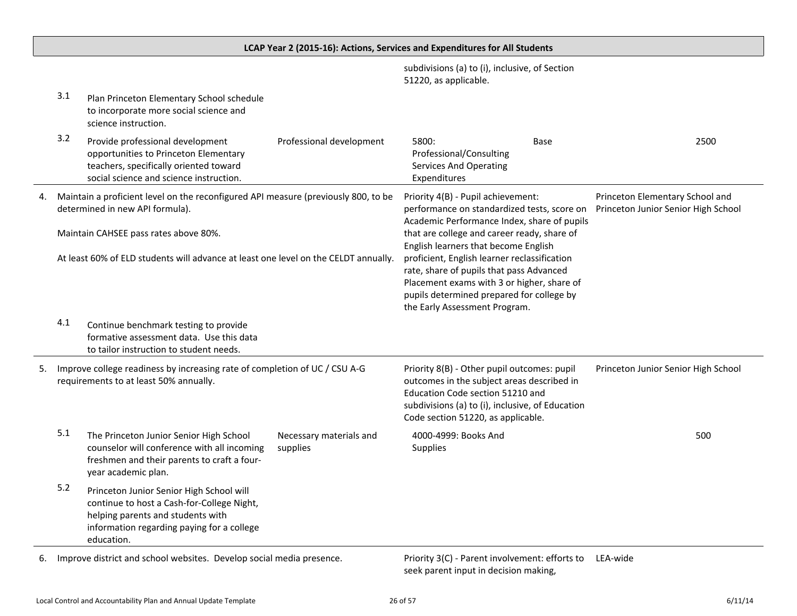|                                                                                                                            |     |                                                                                                                                                                                                                         |                                     | LCAP Year 2 (2015-16): Actions, Services and Expenditures for All Students                                                                                                                                                                                                                                  |      |                                                                        |
|----------------------------------------------------------------------------------------------------------------------------|-----|-------------------------------------------------------------------------------------------------------------------------------------------------------------------------------------------------------------------------|-------------------------------------|-------------------------------------------------------------------------------------------------------------------------------------------------------------------------------------------------------------------------------------------------------------------------------------------------------------|------|------------------------------------------------------------------------|
|                                                                                                                            |     |                                                                                                                                                                                                                         |                                     | subdivisions (a) to (i), inclusive, of Section<br>51220, as applicable.                                                                                                                                                                                                                                     |      |                                                                        |
|                                                                                                                            | 3.1 | Plan Princeton Elementary School schedule<br>to incorporate more social science and<br>science instruction.                                                                                                             |                                     |                                                                                                                                                                                                                                                                                                             |      |                                                                        |
|                                                                                                                            | 3.2 | Provide professional development<br>opportunities to Princeton Elementary<br>teachers, specifically oriented toward<br>social science and science instruction.                                                          | Professional development            | 5800:<br>Professional/Consulting<br><b>Services And Operating</b><br>Expenditures                                                                                                                                                                                                                           | Base | 2500                                                                   |
|                                                                                                                            |     | Maintain a proficient level on the reconfigured API measure (previously 800, to be<br>determined in new API formula).                                                                                                   |                                     | Priority 4(B) - Pupil achievement:<br>performance on standardized tests, score on<br>Academic Performance Index, share of pupils                                                                                                                                                                            |      | Princeton Elementary School and<br>Princeton Junior Senior High School |
|                                                                                                                            |     | Maintain CAHSEE pass rates above 80%.<br>At least 60% of ELD students will advance at least one level on the CELDT annually.                                                                                            |                                     | that are college and career ready, share of<br>English learners that become English<br>proficient, English learner reclassification<br>rate, share of pupils that pass Advanced<br>Placement exams with 3 or higher, share of<br>pupils determined prepared for college by<br>the Early Assessment Program. |      |                                                                        |
|                                                                                                                            | 4.1 | Continue benchmark testing to provide<br>formative assessment data. Use this data<br>to tailor instruction to student needs.                                                                                            |                                     |                                                                                                                                                                                                                                                                                                             |      |                                                                        |
| Improve college readiness by increasing rate of completion of UC / CSU A-G<br>5.<br>requirements to at least 50% annually. |     | Priority 8(B) - Other pupil outcomes: pupil<br>outcomes in the subject areas described in<br>Education Code section 51210 and<br>subdivisions (a) to (i), inclusive, of Education<br>Code section 51220, as applicable. |                                     | Princeton Junior Senior High School                                                                                                                                                                                                                                                                         |      |                                                                        |
|                                                                                                                            | 5.1 | The Princeton Junior Senior High School<br>counselor will conference with all incoming<br>freshmen and their parents to craft a four-<br>year academic plan.                                                            | Necessary materials and<br>supplies | 4000-4999: Books And<br>Supplies                                                                                                                                                                                                                                                                            |      | 500                                                                    |
|                                                                                                                            | 5.2 | Princeton Junior Senior High School will<br>continue to host a Cash-for-College Night,<br>helping parents and students with<br>information regarding paying for a college<br>education.                                 |                                     |                                                                                                                                                                                                                                                                                                             |      |                                                                        |
|                                                                                                                            |     | Improve district and school websites. Develop secial modia presence                                                                                                                                                     |                                     | $Dirichlet(2/C)$ Depentional involvement: effecte to $IFA$ under                                                                                                                                                                                                                                            |      |                                                                        |

6. Improve district and school websites. Develop social media presence.

seek parent input in decision making, Priority 3(C) - Parent involvement: efforts to LEA-wide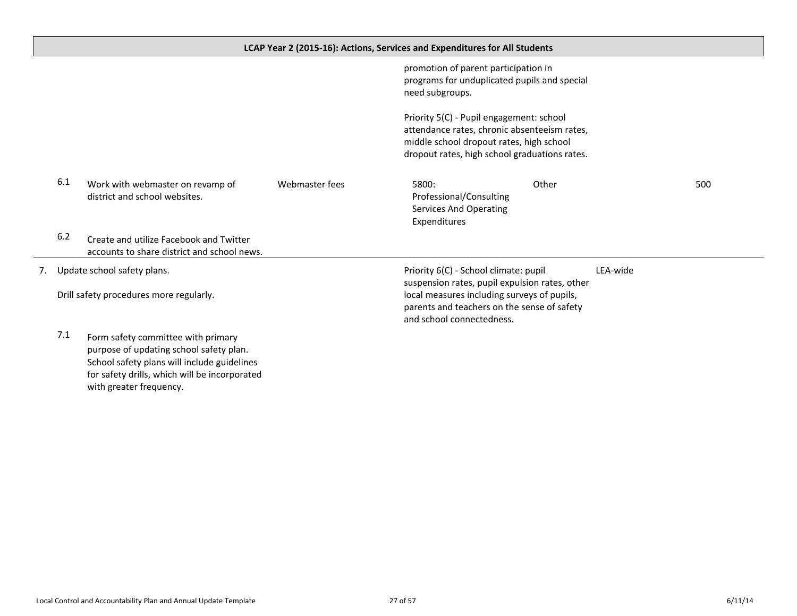<span id="page-26-0"></span>

|                             |                                                                                        |                                       | LCAP Year 2 (2015-16): Actions, Services and Expenditures for All Students           |                                                                                               |     |
|-----------------------------|----------------------------------------------------------------------------------------|---------------------------------------|--------------------------------------------------------------------------------------|-----------------------------------------------------------------------------------------------|-----|
|                             |                                                                                        |                                       | promotion of parent participation in<br>need subgroups.                              | programs for unduplicated pupils and special                                                  |     |
|                             |                                                                                        |                                       | Priority 5(C) - Pupil engagement: school<br>middle school dropout rates, high school | attendance rates, chronic absenteeism rates,<br>dropout rates, high school graduations rates. |     |
| 6.1                         | Work with webmaster on revamp of<br>district and school websites.                      | Webmaster fees                        | 5800:<br>Professional/Consulting<br><b>Services And Operating</b><br>Expenditures    | Other                                                                                         | 500 |
| 6.2                         | Create and utilize Facebook and Twitter<br>accounts to share district and school news. |                                       |                                                                                      |                                                                                               |     |
| Update school safety plans. |                                                                                        | Priority 6(C) - School climate: pupil | LEA-wide<br>suspension rates, pupil expulsion rates, other                           |                                                                                               |     |

local measures including surveys of pupils, parents and teachers on the sense of safety

and school connectedness.

Drill safety procedures more regularly.

7. Update

7.1 Form safety committee with primary purpose of updating school safety plan. School safety plans will include guidelines for safety drills, which will be incorporated with greater frequency.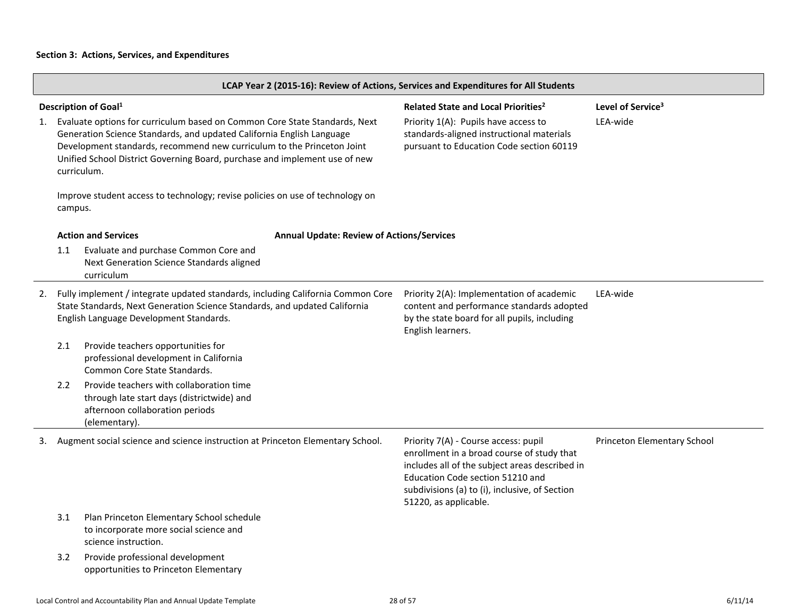|    | LCAP Year 2 (2015-16): Review of Actions, Services and Expenditures for All Students                                                                                                                                                                                                                                       |                                                                                                                                                                                                          |                                                                                                                               |                                                                                                                                                                                                                                                     |                             |  |
|----|----------------------------------------------------------------------------------------------------------------------------------------------------------------------------------------------------------------------------------------------------------------------------------------------------------------------------|----------------------------------------------------------------------------------------------------------------------------------------------------------------------------------------------------------|-------------------------------------------------------------------------------------------------------------------------------|-----------------------------------------------------------------------------------------------------------------------------------------------------------------------------------------------------------------------------------------------------|-----------------------------|--|
|    |                                                                                                                                                                                                                                                                                                                            | Description of Goal <sup>1</sup>                                                                                                                                                                         | Level of Service <sup>3</sup>                                                                                                 |                                                                                                                                                                                                                                                     |                             |  |
| 1. | Evaluate options for curriculum based on Common Core State Standards, Next<br>Generation Science Standards, and updated California English Language<br>Development standards, recommend new curriculum to the Princeton Joint<br>Unified School District Governing Board, purchase and implement use of new<br>curriculum. |                                                                                                                                                                                                          | Priority 1(A): Pupils have access to<br>standards-aligned instructional materials<br>pursuant to Education Code section 60119 | LEA-wide                                                                                                                                                                                                                                            |                             |  |
|    | campus.                                                                                                                                                                                                                                                                                                                    | Improve student access to technology; revise policies on use of technology on                                                                                                                            |                                                                                                                               |                                                                                                                                                                                                                                                     |                             |  |
|    |                                                                                                                                                                                                                                                                                                                            | <b>Action and Services</b>                                                                                                                                                                               | <b>Annual Update: Review of Actions/Services</b>                                                                              |                                                                                                                                                                                                                                                     |                             |  |
|    | 1.1                                                                                                                                                                                                                                                                                                                        | Evaluate and purchase Common Core and<br>Next Generation Science Standards aligned<br>curriculum                                                                                                         |                                                                                                                               |                                                                                                                                                                                                                                                     |                             |  |
| 2. |                                                                                                                                                                                                                                                                                                                            | Fully implement / integrate updated standards, including California Common Core<br>State Standards, Next Generation Science Standards, and updated California<br>English Language Development Standards. |                                                                                                                               | Priority 2(A): Implementation of academic<br>content and performance standards adopted<br>by the state board for all pupils, including<br>English learners.                                                                                         | LEA-wide                    |  |
|    | 2.1                                                                                                                                                                                                                                                                                                                        | Provide teachers opportunities for<br>professional development in California<br>Common Core State Standards.                                                                                             |                                                                                                                               |                                                                                                                                                                                                                                                     |                             |  |
|    | 2.2                                                                                                                                                                                                                                                                                                                        | Provide teachers with collaboration time<br>through late start days (districtwide) and<br>afternoon collaboration periods<br>(elementary).                                                               |                                                                                                                               |                                                                                                                                                                                                                                                     |                             |  |
| 3. |                                                                                                                                                                                                                                                                                                                            | Augment social science and science instruction at Princeton Elementary School.                                                                                                                           |                                                                                                                               | Priority 7(A) - Course access: pupil<br>enrollment in a broad course of study that<br>includes all of the subject areas described in<br>Education Code section 51210 and<br>subdivisions (a) to (i), inclusive, of Section<br>51220, as applicable. | Princeton Elementary School |  |
|    | 3.1                                                                                                                                                                                                                                                                                                                        | Plan Princeton Elementary School schedule<br>to incorporate more social science and<br>science instruction.                                                                                              |                                                                                                                               |                                                                                                                                                                                                                                                     |                             |  |
|    | 3.2                                                                                                                                                                                                                                                                                                                        | Provide professional development<br>opportunities to Princeton Elementary                                                                                                                                |                                                                                                                               |                                                                                                                                                                                                                                                     |                             |  |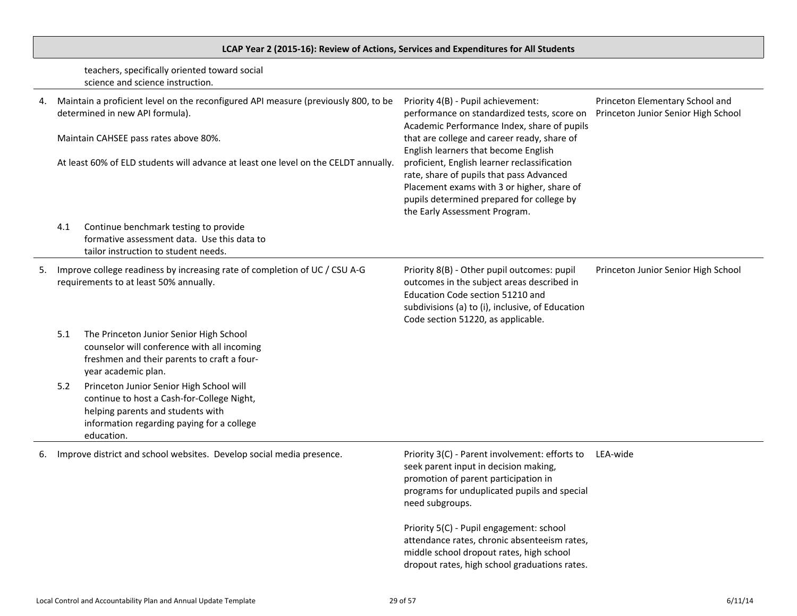# **LCAP Year 2 (2015-16): Review of Actions, Services and Expenditures for All Students**

teachers, specifically oriented toward social science and science instruction.

|    |     | Maintain a proficient level on the reconfigured API measure (previously 800, to be<br>determined in new API formula).<br>Maintain CAHSEE pass rates above 80%.<br>At least 60% of ELD students will advance at least one level on the CELDT annually. | Priority 4(B) - Pupil achievement:<br>performance on standardized tests, score on<br>Academic Performance Index, share of pupils<br>that are college and career ready, share of<br>English learners that become English<br>proficient, English learner reclassification<br>rate, share of pupils that pass Advanced<br>Placement exams with 3 or higher, share of<br>pupils determined prepared for college by<br>the Early Assessment Program. | Princeton Elementary School and<br>Princeton Junior Senior High School |
|----|-----|-------------------------------------------------------------------------------------------------------------------------------------------------------------------------------------------------------------------------------------------------------|-------------------------------------------------------------------------------------------------------------------------------------------------------------------------------------------------------------------------------------------------------------------------------------------------------------------------------------------------------------------------------------------------------------------------------------------------|------------------------------------------------------------------------|
|    | 4.1 | Continue benchmark testing to provide<br>formative assessment data. Use this data to<br>tailor instruction to student needs.                                                                                                                          |                                                                                                                                                                                                                                                                                                                                                                                                                                                 |                                                                        |
| 5. |     | Improve college readiness by increasing rate of completion of UC / CSU A-G<br>requirements to at least 50% annually.                                                                                                                                  | Priority 8(B) - Other pupil outcomes: pupil<br>outcomes in the subject areas described in<br>Education Code section 51210 and<br>subdivisions (a) to (i), inclusive, of Education<br>Code section 51220, as applicable.                                                                                                                                                                                                                         | Princeton Junior Senior High School                                    |
|    | 5.1 | The Princeton Junior Senior High School<br>counselor will conference with all incoming<br>freshmen and their parents to craft a four-<br>year academic plan.                                                                                          |                                                                                                                                                                                                                                                                                                                                                                                                                                                 |                                                                        |
|    | 5.2 | Princeton Junior Senior High School will<br>continue to host a Cash-for-College Night,<br>helping parents and students with<br>information regarding paying for a college<br>education.                                                               |                                                                                                                                                                                                                                                                                                                                                                                                                                                 |                                                                        |
| 6. |     | Improve district and school websites. Develop social media presence.                                                                                                                                                                                  | Priority 3(C) - Parent involvement: efforts to<br>seek parent input in decision making,<br>promotion of parent participation in<br>programs for unduplicated pupils and special<br>need subgroups.                                                                                                                                                                                                                                              | LEA-wide                                                               |
|    |     |                                                                                                                                                                                                                                                       | Priority 5(C) - Pupil engagement: school<br>attendance rates, chronic absenteeism rates,<br>middle school dropout rates, high school<br>dropout rates, high school graduations rates.                                                                                                                                                                                                                                                           |                                                                        |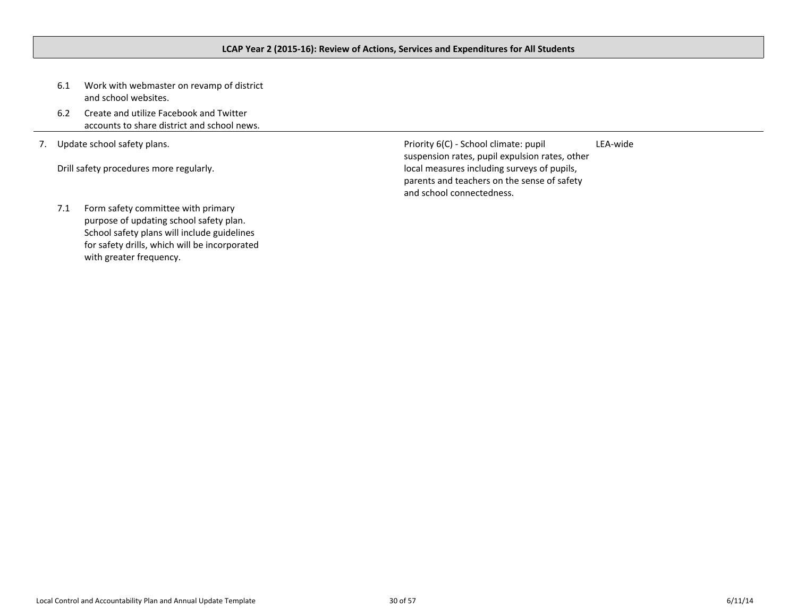- <span id="page-29-0"></span>6.1 Work with webmaster on revamp of district and school websites.
- 6.2 Create and utilize Facebook and Twitter accounts to share district and school news.
- 7. Update school safety plans.

Drill safety procedures more regularly.

Priority 6(C) - School climate: pupil suspension rates, pupil expulsion rates, other local measures including surveys of pupils, parents and teachers on the sense of safety and school connectedness. LEA-wide

7.1 Form safety committee with primary purpose of updating school safety plan. School safety plans will include guidelines for safety drills, which will be incorporated with greater frequency.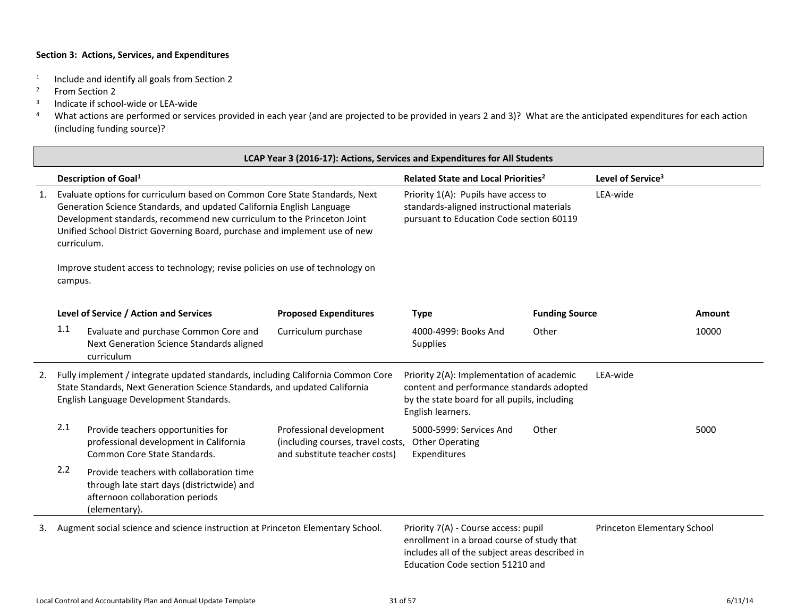- 1 Include and identify all goals from Section 2
- <sup>2</sup> From Section 2
- 3 Indicate if school-wide or LEA-wide
- <sup>4</sup> What actions are performed or services provided in each year (and are projected to be provided in years 2 and 3)? What are the anticipated expenditures for each action (including funding source)?

|    | LCAP Year 3 (2016-17): Actions, Services and Expenditures for All Students                                                                                                                                                                                                                                                                                                                                             |                                                                                                                                                                                                          |                                                                                                |                                                                                                                                                                          |                       |                               |        |
|----|------------------------------------------------------------------------------------------------------------------------------------------------------------------------------------------------------------------------------------------------------------------------------------------------------------------------------------------------------------------------------------------------------------------------|----------------------------------------------------------------------------------------------------------------------------------------------------------------------------------------------------------|------------------------------------------------------------------------------------------------|--------------------------------------------------------------------------------------------------------------------------------------------------------------------------|-----------------------|-------------------------------|--------|
|    |                                                                                                                                                                                                                                                                                                                                                                                                                        | Description of Goal <sup>1</sup>                                                                                                                                                                         |                                                                                                | Related State and Local Priorities <sup>2</sup>                                                                                                                          |                       | Level of Service <sup>3</sup> |        |
| 1. | Evaluate options for curriculum based on Common Core State Standards, Next<br>Generation Science Standards, and updated California English Language<br>Development standards, recommend new curriculum to the Princeton Joint<br>Unified School District Governing Board, purchase and implement use of new<br>curriculum.<br>Improve student access to technology; revise policies on use of technology on<br>campus. |                                                                                                                                                                                                          |                                                                                                | Priority 1(A): Pupils have access to<br>standards-aligned instructional materials<br>pursuant to Education Code section 60119                                            |                       | LEA-wide                      |        |
|    |                                                                                                                                                                                                                                                                                                                                                                                                                        |                                                                                                                                                                                                          |                                                                                                |                                                                                                                                                                          |                       |                               |        |
|    |                                                                                                                                                                                                                                                                                                                                                                                                                        | Level of Service / Action and Services                                                                                                                                                                   | <b>Proposed Expenditures</b>                                                                   | <b>Type</b>                                                                                                                                                              | <b>Funding Source</b> |                               | Amount |
|    | 1.1                                                                                                                                                                                                                                                                                                                                                                                                                    | Evaluate and purchase Common Core and<br>Next Generation Science Standards aligned<br>curriculum                                                                                                         | Curriculum purchase                                                                            | 4000-4999: Books And<br>Supplies                                                                                                                                         | Other                 |                               | 10000  |
| 2. |                                                                                                                                                                                                                                                                                                                                                                                                                        | Fully implement / integrate updated standards, including California Common Core<br>State Standards, Next Generation Science Standards, and updated California<br>English Language Development Standards. |                                                                                                | Priority 2(A): Implementation of academic<br>content and performance standards adopted<br>by the state board for all pupils, including<br>English learners.              |                       | LEA-wide                      |        |
|    | 2.1                                                                                                                                                                                                                                                                                                                                                                                                                    | Provide teachers opportunities for<br>professional development in California<br>Common Core State Standards.                                                                                             | Professional development<br>(including courses, travel costs,<br>and substitute teacher costs) | 5000-5999: Services And<br><b>Other Operating</b><br>Expenditures                                                                                                        | Other                 |                               | 5000   |
|    | 2.2                                                                                                                                                                                                                                                                                                                                                                                                                    | Provide teachers with collaboration time<br>through late start days (districtwide) and<br>afternoon collaboration periods<br>(elementary).                                                               |                                                                                                |                                                                                                                                                                          |                       |                               |        |
| 3. |                                                                                                                                                                                                                                                                                                                                                                                                                        | Augment social science and science instruction at Princeton Elementary School.                                                                                                                           |                                                                                                | Priority 7(A) - Course access: pupil<br>enrollment in a broad course of study that<br>includes all of the subject areas described in<br>Education Code section 51210 and |                       | Princeton Elementary School   |        |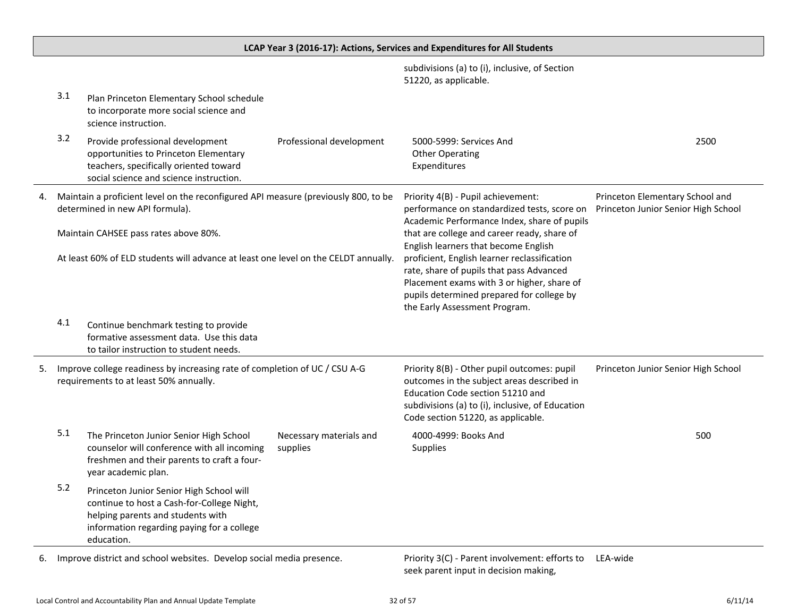subdivisions (a) to (i), inclusive, of Section 51220, as applicable. 3.1 Plan Princeton Elementary School schedule to incorporate more social science and science instruction. 3.2 Provide professional development opportunities to Princeton Elementary teachers, specifically oriented toward social science and science instruction. Professional development 5000-5999: Services And Other Operating Expenditures 2500 4. Maintain a proficient level on the reconfigured API measure (previously 800, to be determined in new API formula). Maintain CAHSEE pass rates above 80%. At least 60% of ELD students will advance at least one level on the CELDT annually. Priority 4(B) - Pupil achievement: performance on standardized tests, score on Academic Performance Index, share of pupils that are college and career ready, share of English learners that become English proficient, English learner reclassification rate, share of pupils that pass Advanced Placement exams with 3 or higher, share of pupils determined prepared for college by the Early Assessment Program. Princeton Elementary School and Princeton Junior Senior High School 4.1 Continue benchmark testing to provide formative assessment data. Use this data to tailor instruction to student needs. 5. Improve college readiness by increasing rate of completion of UC / CSU A-G requirements to at least 50% annually. Priority 8(B) - Other pupil outcomes: pupil outcomes in the subject areas described in Education Code section 51210 and subdivisions (a) to (i), inclusive, of Education Code section 51220, as applicable. Princeton Junior Senior High School 5.1 The Princeton Junior Senior High School counselor will conference with all incoming freshmen and their parents to craft a fouryear academic plan. Necessary materials and supplies 4000-4999: Books And **Supplies** 500 5.2 Princeton Junior Senior High School will continue to host a Cash-for-College Night, helping parents and students with information regarding paying for a college education.

**LCAP Year 3 (2016-17): Actions, Services and Expenditures for All Students**

6. Improve district and school websites. Develop social media presence.

seek parent input in decision making, Priority 3(C) - Parent involvement: efforts to LEA-wide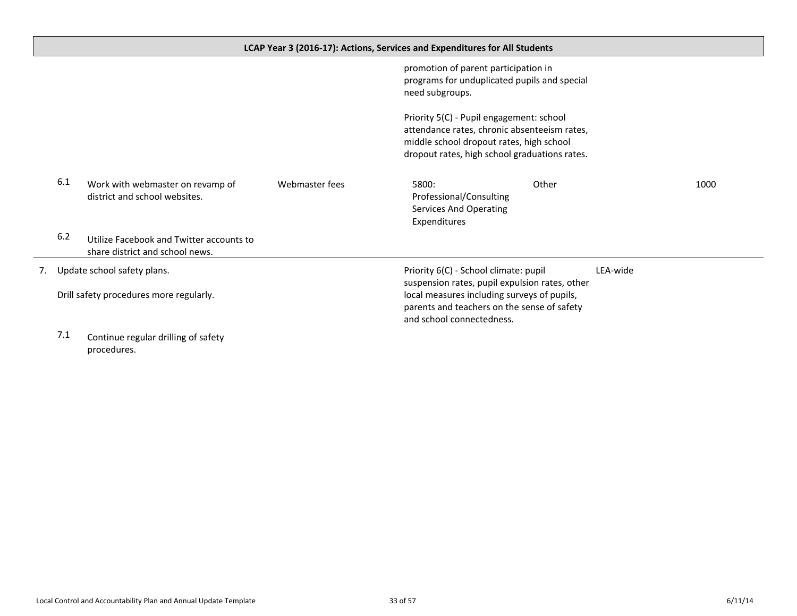<span id="page-32-0"></span>

|    |     |                                                                             |                | LCAP Year 3 (2016-17): Actions, Services and Expenditures for All Students                                                                                                                                         |       |          |      |
|----|-----|-----------------------------------------------------------------------------|----------------|--------------------------------------------------------------------------------------------------------------------------------------------------------------------------------------------------------------------|-------|----------|------|
|    |     |                                                                             |                | promotion of parent participation in<br>programs for unduplicated pupils and special<br>need subgroups.                                                                                                            |       |          |      |
|    |     |                                                                             |                | Priority 5(C) - Pupil engagement: school<br>attendance rates, chronic absenteeism rates,<br>middle school dropout rates, high school<br>dropout rates, high school graduations rates.                              |       |          |      |
|    | 6.1 | Work with webmaster on revamp of<br>district and school websites.           | Webmaster fees | 5800:<br>Professional/Consulting<br>Services And Operating<br>Expenditures                                                                                                                                         | Other |          | 1000 |
|    | 6.2 | Utilize Facebook and Twitter accounts to<br>share district and school news. |                |                                                                                                                                                                                                                    |       |          |      |
| 7. |     | Update school safety plans.<br>Drill safety procedures more regularly.      |                | Priority 6(C) - School climate: pupil<br>suspension rates, pupil expulsion rates, other<br>local measures including surveys of pupils,<br>parents and teachers on the sense of safety<br>and school connectedness. |       | LEA-wide |      |

7.1 Continue regular drilling of safety procedures.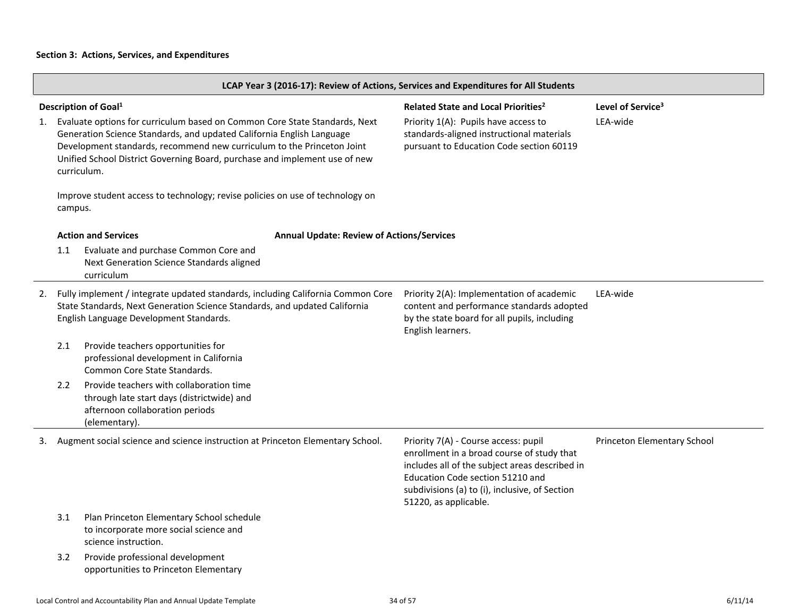|    | LCAP Year 3 (2016-17): Review of Actions, Services and Expenditures for All Students                                                                                                                                                                                                                                       |                                                                                                                                                                                                          |                                                  |                                                                                                                                                                                                                                                     |                             |  |
|----|----------------------------------------------------------------------------------------------------------------------------------------------------------------------------------------------------------------------------------------------------------------------------------------------------------------------------|----------------------------------------------------------------------------------------------------------------------------------------------------------------------------------------------------------|--------------------------------------------------|-----------------------------------------------------------------------------------------------------------------------------------------------------------------------------------------------------------------------------------------------------|-----------------------------|--|
|    | Description of Goal <sup>1</sup><br>Related State and Local Priorities <sup>2</sup><br>Level of Service <sup>3</sup>                                                                                                                                                                                                       |                                                                                                                                                                                                          |                                                  |                                                                                                                                                                                                                                                     |                             |  |
| 1. | Evaluate options for curriculum based on Common Core State Standards, Next<br>Generation Science Standards, and updated California English Language<br>Development standards, recommend new curriculum to the Princeton Joint<br>Unified School District Governing Board, purchase and implement use of new<br>curriculum. |                                                                                                                                                                                                          |                                                  | Priority 1(A): Pupils have access to<br>standards-aligned instructional materials<br>pursuant to Education Code section 60119                                                                                                                       | LEA-wide                    |  |
|    | campus.                                                                                                                                                                                                                                                                                                                    | Improve student access to technology; revise policies on use of technology on                                                                                                                            |                                                  |                                                                                                                                                                                                                                                     |                             |  |
|    |                                                                                                                                                                                                                                                                                                                            | <b>Action and Services</b>                                                                                                                                                                               | <b>Annual Update: Review of Actions/Services</b> |                                                                                                                                                                                                                                                     |                             |  |
|    | 1.1                                                                                                                                                                                                                                                                                                                        | Evaluate and purchase Common Core and<br>Next Generation Science Standards aligned<br>curriculum                                                                                                         |                                                  |                                                                                                                                                                                                                                                     |                             |  |
| 2. |                                                                                                                                                                                                                                                                                                                            | Fully implement / integrate updated standards, including California Common Core<br>State Standards, Next Generation Science Standards, and updated California<br>English Language Development Standards. |                                                  | Priority 2(A): Implementation of academic<br>content and performance standards adopted<br>by the state board for all pupils, including<br>English learners.                                                                                         | LEA-wide                    |  |
|    | 2.1                                                                                                                                                                                                                                                                                                                        | Provide teachers opportunities for<br>professional development in California<br>Common Core State Standards.                                                                                             |                                                  |                                                                                                                                                                                                                                                     |                             |  |
|    | 2.2                                                                                                                                                                                                                                                                                                                        | Provide teachers with collaboration time<br>through late start days (districtwide) and<br>afternoon collaboration periods<br>(elementary).                                                               |                                                  |                                                                                                                                                                                                                                                     |                             |  |
| 3. |                                                                                                                                                                                                                                                                                                                            | Augment social science and science instruction at Princeton Elementary School.                                                                                                                           |                                                  | Priority 7(A) - Course access: pupil<br>enrollment in a broad course of study that<br>includes all of the subject areas described in<br>Education Code section 51210 and<br>subdivisions (a) to (i), inclusive, of Section<br>51220, as applicable. | Princeton Elementary School |  |
|    | 3.1                                                                                                                                                                                                                                                                                                                        | Plan Princeton Elementary School schedule<br>to incorporate more social science and<br>science instruction.                                                                                              |                                                  |                                                                                                                                                                                                                                                     |                             |  |
|    | 3.2                                                                                                                                                                                                                                                                                                                        | Provide professional development<br>opportunities to Princeton Elementary                                                                                                                                |                                                  |                                                                                                                                                                                                                                                     |                             |  |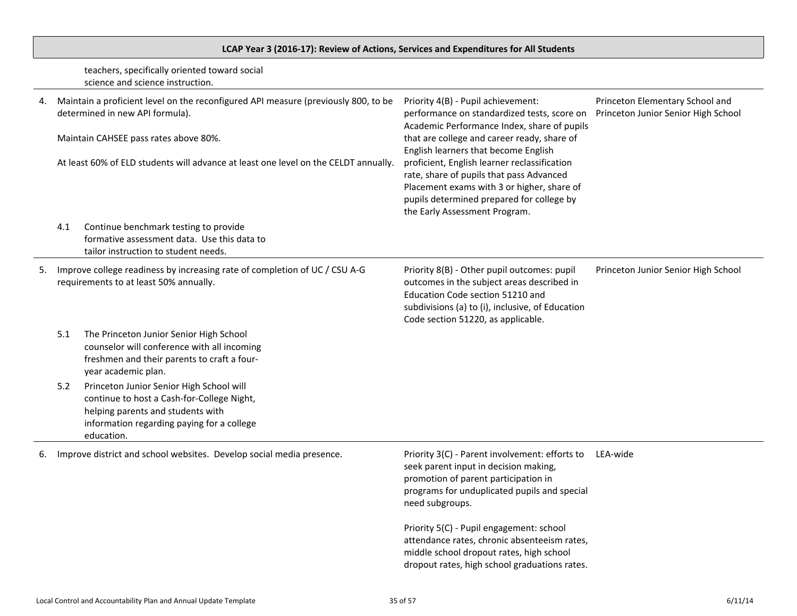# **LCAP Year 3 (2016-17): Review of Actions, Services and Expenditures for All Students**

teachers, specifically oriented toward social science and science instruction.

|    | Maintain a proficient level on the reconfigured API measure (previously 800, to be<br>determined in new API formula).<br>Maintain CAHSEE pass rates above 80%.<br>At least 60% of ELD students will advance at least one level on the CELDT annually. |                                                                                                                                                                                         | Priority 4(B) - Pupil achievement:<br>performance on standardized tests, score on<br>Academic Performance Index, share of pupils<br>that are college and career ready, share of<br>English learners that become English<br>proficient, English learner reclassification<br>rate, share of pupils that pass Advanced<br>Placement exams with 3 or higher, share of<br>pupils determined prepared for college by<br>the Early Assessment Program. | Princeton Elementary School and<br>Princeton Junior Senior High School |
|----|-------------------------------------------------------------------------------------------------------------------------------------------------------------------------------------------------------------------------------------------------------|-----------------------------------------------------------------------------------------------------------------------------------------------------------------------------------------|-------------------------------------------------------------------------------------------------------------------------------------------------------------------------------------------------------------------------------------------------------------------------------------------------------------------------------------------------------------------------------------------------------------------------------------------------|------------------------------------------------------------------------|
|    | 4.1                                                                                                                                                                                                                                                   | Continue benchmark testing to provide<br>formative assessment data. Use this data to<br>tailor instruction to student needs.                                                            |                                                                                                                                                                                                                                                                                                                                                                                                                                                 |                                                                        |
| 5. |                                                                                                                                                                                                                                                       | Improve college readiness by increasing rate of completion of UC / CSU A-G<br>requirements to at least 50% annually.                                                                    | Priority 8(B) - Other pupil outcomes: pupil<br>outcomes in the subject areas described in<br>Education Code section 51210 and<br>subdivisions (a) to (i), inclusive, of Education<br>Code section 51220, as applicable.                                                                                                                                                                                                                         | Princeton Junior Senior High School                                    |
|    | 5.1                                                                                                                                                                                                                                                   | The Princeton Junior Senior High School<br>counselor will conference with all incoming<br>freshmen and their parents to craft a four-<br>year academic plan.                            |                                                                                                                                                                                                                                                                                                                                                                                                                                                 |                                                                        |
|    | 5.2                                                                                                                                                                                                                                                   | Princeton Junior Senior High School will<br>continue to host a Cash-for-College Night,<br>helping parents and students with<br>information regarding paying for a college<br>education. |                                                                                                                                                                                                                                                                                                                                                                                                                                                 |                                                                        |
| 6. |                                                                                                                                                                                                                                                       | Improve district and school websites. Develop social media presence.                                                                                                                    | Priority 3(C) - Parent involvement: efforts to<br>seek parent input in decision making,<br>promotion of parent participation in<br>programs for unduplicated pupils and special<br>need subgroups.                                                                                                                                                                                                                                              | LEA-wide                                                               |
|    |                                                                                                                                                                                                                                                       |                                                                                                                                                                                         | Priority 5(C) - Pupil engagement: school<br>attendance rates, chronic absenteeism rates,<br>middle school dropout rates, high school<br>dropout rates, high school graduations rates.                                                                                                                                                                                                                                                           |                                                                        |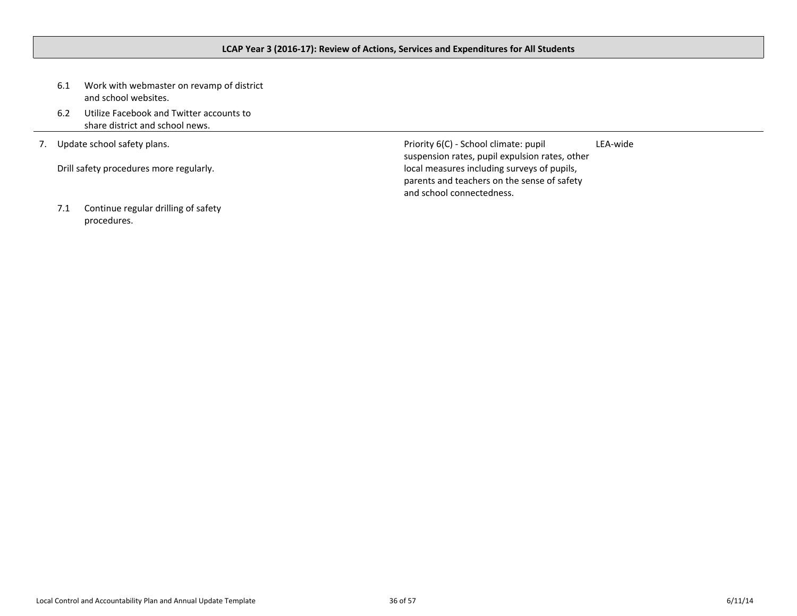## <span id="page-35-0"></span>**LCAP Year 3 (2016-17): Review of Actions, Services and Expenditures for All Students**

- 6.1 Work with webmaster on revamp of district and school websites.
- 6.2 Utilize Facebook and Twitter accounts to share district and school news.
- 7. Update school safety plans.

Drill safety procedures more regularly.

7.1 Continue regular drilling of safety procedures.

Priority 6(C) - School climate: pupil suspension rates, pupil expulsion rates, other local measures including surveys of pupils, parents and teachers on the sense of safety and school connectedness. LEA-wide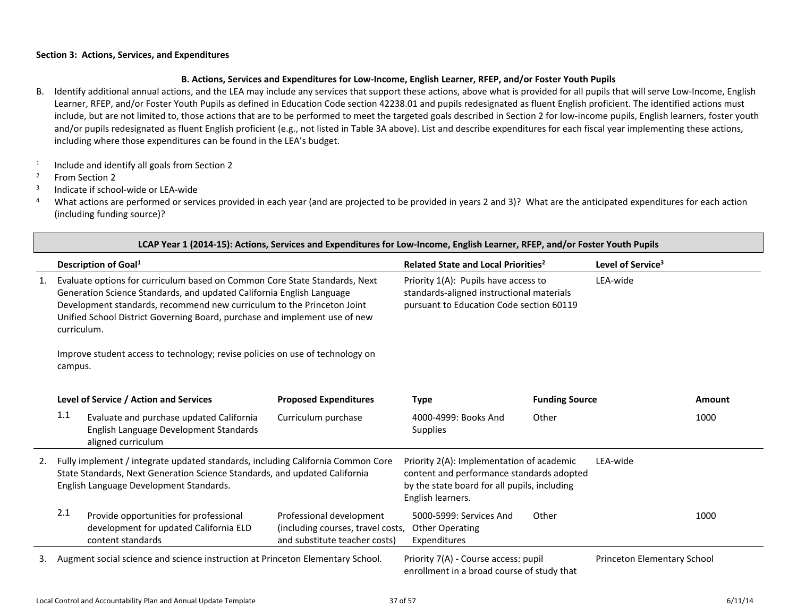### <span id="page-36-0"></span>**B. Actions, Services and Expenditures for Low-Income, English Learner, RFEP, and/or Foster Youth Pupils**

- B. Identify additional annual actions, and the LEA may include any services that support these actions, above what is provided for all pupils that will serve Low-Income, English Learner, RFEP, and/or Foster Youth Pupils as defined in Education Code section 42238.01 and pupils redesignated as fluent English proficient. The identified actions must include, but are not limited to, those actions that are to be performed to meet the targeted goals described in Section 2 for low-income pupils, English learners, foster youth and/or pupils redesignated as fluent English proficient (e.g., not listed in Table 3A above). List and describe expenditures for each fiscal year implementing these actions, including where those expenditures can be found in the LEA's budget.
- 1 Include and identify all goals from Section 2
- <sup>2</sup> From Section 2
- 3 Indicate if school-wide or LEA-wide

<sup>4</sup> What actions are performed or services provided in each year (and are projected to be provided in years 2 and 3)? What are the anticipated expenditures for each action (including funding source)?

|    | LCAP Year 1 (2014-15): Actions, Services and Expenditures for Low-Income, English Learner, RFEP, and/or Foster Youth Pupils                                                                                                                                                                                                |                                                                                                |                                                                                                                                                             |                       |                               |        |  |
|----|----------------------------------------------------------------------------------------------------------------------------------------------------------------------------------------------------------------------------------------------------------------------------------------------------------------------------|------------------------------------------------------------------------------------------------|-------------------------------------------------------------------------------------------------------------------------------------------------------------|-----------------------|-------------------------------|--------|--|
|    | <b>Description of Goal1</b>                                                                                                                                                                                                                                                                                                |                                                                                                | Related State and Local Priorities <sup>2</sup>                                                                                                             |                       | Level of Service <sup>3</sup> |        |  |
| 1. | Evaluate options for curriculum based on Common Core State Standards, Next<br>Generation Science Standards, and updated California English Language<br>Development standards, recommend new curriculum to the Princeton Joint<br>Unified School District Governing Board, purchase and implement use of new<br>curriculum. |                                                                                                | Priority 1(A): Pupils have access to<br>LEA-wide<br>standards-aligned instructional materials<br>pursuant to Education Code section 60119                   |                       |                               |        |  |
|    | Improve student access to technology; revise policies on use of technology on<br>campus.                                                                                                                                                                                                                                   |                                                                                                |                                                                                                                                                             |                       |                               |        |  |
|    | Level of Service / Action and Services                                                                                                                                                                                                                                                                                     | <b>Proposed Expenditures</b>                                                                   | <b>Type</b>                                                                                                                                                 | <b>Funding Source</b> |                               | Amount |  |
|    | 1.1<br>Evaluate and purchase updated California<br>English Language Development Standards<br>aligned curriculum                                                                                                                                                                                                            | Curriculum purchase                                                                            | 4000-4999: Books And<br><b>Supplies</b>                                                                                                                     | Other                 |                               | 1000   |  |
| 2. | Fully implement / integrate updated standards, including California Common Core<br>State Standards, Next Generation Science Standards, and updated California<br>English Language Development Standards.                                                                                                                   |                                                                                                | Priority 2(A): Implementation of academic<br>content and performance standards adopted<br>by the state board for all pupils, including<br>English learners. |                       | LEA-wide                      |        |  |
|    | 2.1<br>Provide opportunities for professional<br>development for updated California ELD<br>content standards                                                                                                                                                                                                               | Professional development<br>(including courses, travel costs,<br>and substitute teacher costs) | 5000-5999: Services And<br><b>Other Operating</b><br>Expenditures                                                                                           | Other                 |                               | 1000   |  |
| 3. | Augment social science and science instruction at Princeton Elementary School.                                                                                                                                                                                                                                             |                                                                                                | Priority 7(A) - Course access: pupil<br>enrollment in a broad course of study that                                                                          |                       | Princeton Elementary School   |        |  |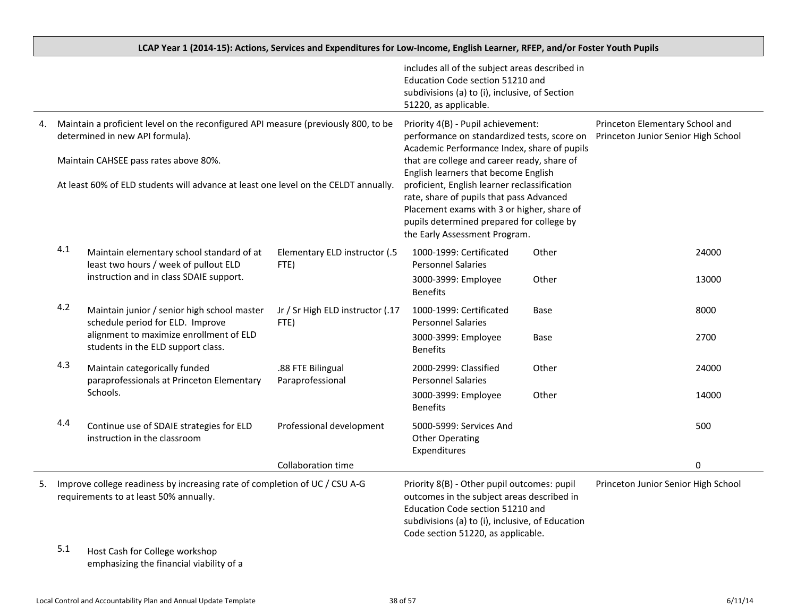|    |                                                                                                                       |                                                                                                                      |                                          | includes all of the subject areas described in<br>Education Code section 51210 and<br>subdivisions (a) to (i), inclusive, of Section                                                                                                                         |       |                                                                        |       |
|----|-----------------------------------------------------------------------------------------------------------------------|----------------------------------------------------------------------------------------------------------------------|------------------------------------------|--------------------------------------------------------------------------------------------------------------------------------------------------------------------------------------------------------------------------------------------------------------|-------|------------------------------------------------------------------------|-------|
|    |                                                                                                                       |                                                                                                                      |                                          | 51220, as applicable.                                                                                                                                                                                                                                        |       |                                                                        |       |
| 4. | Maintain a proficient level on the reconfigured API measure (previously 800, to be<br>determined in new API formula). |                                                                                                                      |                                          | Priority 4(B) - Pupil achievement:<br>performance on standardized tests, score on<br>Academic Performance Index, share of pupils                                                                                                                             |       | Princeton Elementary School and<br>Princeton Junior Senior High School |       |
|    |                                                                                                                       | Maintain CAHSEE pass rates above 80%.                                                                                |                                          | that are college and career ready, share of                                                                                                                                                                                                                  |       |                                                                        |       |
|    | At least 60% of ELD students will advance at least one level on the CELDT annually.                                   |                                                                                                                      |                                          | English learners that become English<br>proficient, English learner reclassification<br>rate, share of pupils that pass Advanced<br>Placement exams with 3 or higher, share of<br>pupils determined prepared for college by<br>the Early Assessment Program. |       |                                                                        |       |
|    | 4.1                                                                                                                   | Maintain elementary school standard of at<br>least two hours / week of pullout ELD                                   | Elementary ELD instructor (.5<br>FTE)    | 1000-1999: Certificated<br><b>Personnel Salaries</b>                                                                                                                                                                                                         | Other |                                                                        | 24000 |
|    |                                                                                                                       | instruction and in class SDAIE support.                                                                              |                                          | 3000-3999: Employee<br><b>Benefits</b>                                                                                                                                                                                                                       | Other |                                                                        | 13000 |
|    | 4.2                                                                                                                   | Maintain junior / senior high school master<br>schedule period for ELD. Improve                                      | Jr / Sr High ELD instructor (.17<br>FTE) | 1000-1999: Certificated<br><b>Personnel Salaries</b>                                                                                                                                                                                                         | Base  |                                                                        | 8000  |
|    |                                                                                                                       | alignment to maximize enrollment of ELD<br>students in the ELD support class.                                        |                                          | 3000-3999: Employee<br><b>Benefits</b>                                                                                                                                                                                                                       | Base  |                                                                        | 2700  |
|    | 4.3                                                                                                                   | Maintain categorically funded<br>paraprofessionals at Princeton Elementary                                           | .88 FTE Bilingual<br>Paraprofessional    | 2000-2999: Classified<br><b>Personnel Salaries</b>                                                                                                                                                                                                           | Other |                                                                        | 24000 |
|    |                                                                                                                       | Schools.                                                                                                             |                                          | 3000-3999: Employee<br><b>Benefits</b>                                                                                                                                                                                                                       | Other |                                                                        | 14000 |
|    | 4.4                                                                                                                   | Continue use of SDAIE strategies for ELD<br>instruction in the classroom                                             | Professional development                 | 5000-5999: Services And<br><b>Other Operating</b><br>Expenditures                                                                                                                                                                                            |       |                                                                        | 500   |
|    |                                                                                                                       |                                                                                                                      | Collaboration time                       |                                                                                                                                                                                                                                                              |       |                                                                        | 0     |
| 5. |                                                                                                                       | Improve college readiness by increasing rate of completion of UC / CSU A-G<br>requirements to at least 50% annually. |                                          | Priority 8(B) - Other pupil outcomes: pupil<br>outcomes in the subject areas described in<br>Education Code section 51210 and<br>subdivisions (a) to (i), inclusive, of Education<br>Code section 51220, as applicable.                                      |       | Princeton Junior Senior High School                                    |       |
|    | 5.1                                                                                                                   | Host Cash for College workshop<br>emphasizing the financial viability of a                                           |                                          |                                                                                                                                                                                                                                                              |       |                                                                        |       |

### LCAP Year 1 (2014-15): Actions, Services and Expenditures for Low-Income, English Learner, RFEP, and/or Foster Youth Pupils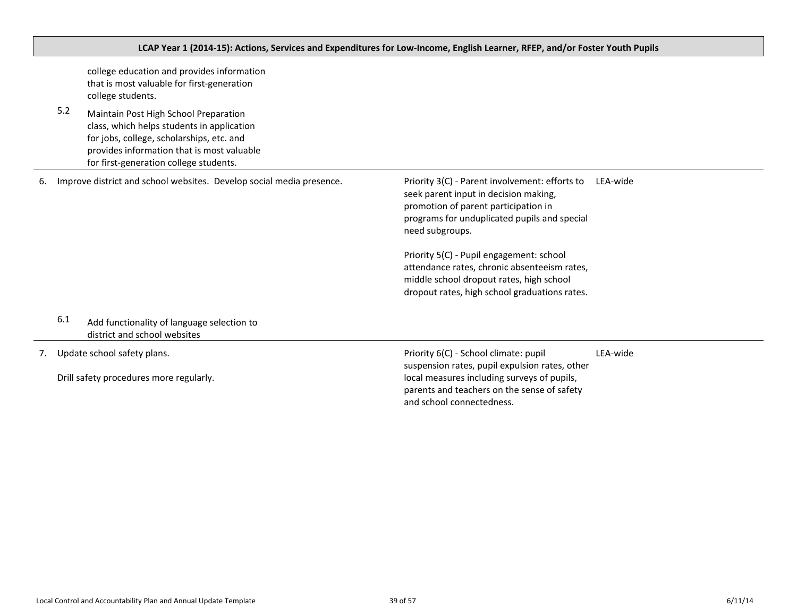|    | LCAP Year 1 (2014-15): Actions, Services and Expenditures for Low-Income, English Learner, RFEP, and/or Foster Youth Pupils |                                                                                                                                                                                                                          |                                                                                                                                                                                                                                                                                                                                                                                             |          |  |
|----|-----------------------------------------------------------------------------------------------------------------------------|--------------------------------------------------------------------------------------------------------------------------------------------------------------------------------------------------------------------------|---------------------------------------------------------------------------------------------------------------------------------------------------------------------------------------------------------------------------------------------------------------------------------------------------------------------------------------------------------------------------------------------|----------|--|
|    |                                                                                                                             | college education and provides information<br>that is most valuable for first-generation<br>college students.                                                                                                            |                                                                                                                                                                                                                                                                                                                                                                                             |          |  |
|    | 5.2                                                                                                                         | Maintain Post High School Preparation<br>class, which helps students in application<br>for jobs, college, scholarships, etc. and<br>provides information that is most valuable<br>for first-generation college students. |                                                                                                                                                                                                                                                                                                                                                                                             |          |  |
| 6. |                                                                                                                             | Improve district and school websites. Develop social media presence.                                                                                                                                                     | Priority 3(C) - Parent involvement: efforts to<br>seek parent input in decision making,<br>promotion of parent participation in<br>programs for unduplicated pupils and special<br>need subgroups.<br>Priority 5(C) - Pupil engagement: school<br>attendance rates, chronic absenteeism rates,<br>middle school dropout rates, high school<br>dropout rates, high school graduations rates. | LEA-wide |  |
|    | 6.1                                                                                                                         | Add functionality of language selection to<br>district and school websites                                                                                                                                               |                                                                                                                                                                                                                                                                                                                                                                                             |          |  |
| 7. |                                                                                                                             | Update school safety plans.<br>Drill safety procedures more regularly.                                                                                                                                                   | Priority 6(C) - School climate: pupil<br>suspension rates, pupil expulsion rates, other<br>local measures including surveys of pupils,<br>parents and teachers on the sense of safety<br>and school connectedness.                                                                                                                                                                          | LEA-wide |  |

<span id="page-38-0"></span>Г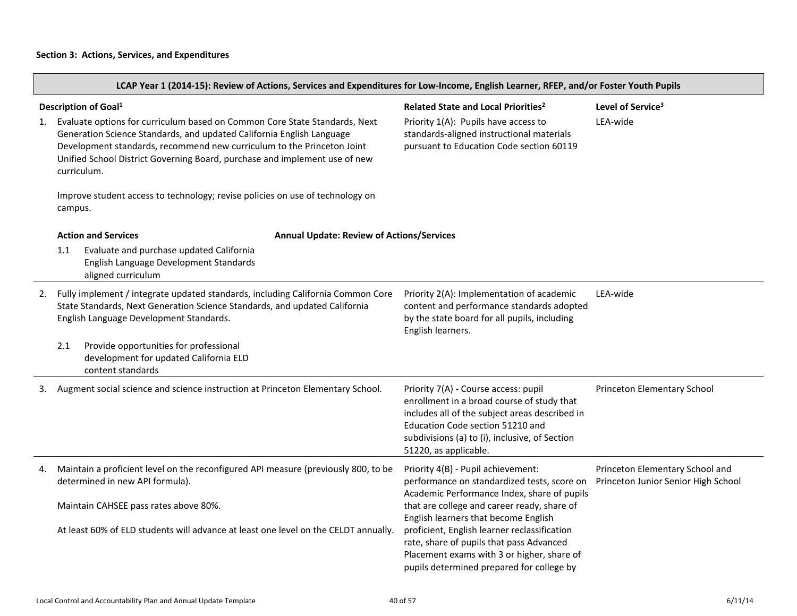LCAP Year 1 (2014-15): Review of Actions, Services and Expenditures for Low-Income, English Learner, RFEP, and/or Foster Youth Pupils

| 1. | Description of Goal <sup>1</sup><br>Evaluate options for curriculum based on Common Core State Standards, Next<br>Generation Science Standards, and updated California English Language<br>Development standards, recommend new curriculum to the Princeton Joint<br>Unified School District Governing Board, purchase and implement use of new<br>curriculum.<br>Improve student access to technology; revise policies on use of technology on<br>campus. | Related State and Local Priorities <sup>2</sup><br>Priority 1(A): Pupils have access to<br>standards-aligned instructional materials<br>pursuant to Education Code section 60119                                                                    | Level of Service <sup>3</sup><br>LEA-wide                              |
|----|------------------------------------------------------------------------------------------------------------------------------------------------------------------------------------------------------------------------------------------------------------------------------------------------------------------------------------------------------------------------------------------------------------------------------------------------------------|-----------------------------------------------------------------------------------------------------------------------------------------------------------------------------------------------------------------------------------------------------|------------------------------------------------------------------------|
|    | <b>Action and Services</b><br><b>Annual Update: Review of Actions/Services</b>                                                                                                                                                                                                                                                                                                                                                                             |                                                                                                                                                                                                                                                     |                                                                        |
|    | Evaluate and purchase updated California<br>1.1<br>English Language Development Standards<br>aligned curriculum                                                                                                                                                                                                                                                                                                                                            |                                                                                                                                                                                                                                                     |                                                                        |
| 2. | Fully implement / integrate updated standards, including California Common Core<br>State Standards, Next Generation Science Standards, and updated California<br>English Language Development Standards.                                                                                                                                                                                                                                                   | Priority 2(A): Implementation of academic<br>content and performance standards adopted<br>by the state board for all pupils, including<br>English learners.                                                                                         | LEA-wide                                                               |
|    | Provide opportunities for professional<br>2.1<br>development for updated California ELD<br>content standards                                                                                                                                                                                                                                                                                                                                               |                                                                                                                                                                                                                                                     |                                                                        |
| 3. | Augment social science and science instruction at Princeton Elementary School.                                                                                                                                                                                                                                                                                                                                                                             | Priority 7(A) - Course access: pupil<br>enrollment in a broad course of study that<br>includes all of the subject areas described in<br>Education Code section 51210 and<br>subdivisions (a) to (i), inclusive, of Section<br>51220, as applicable. | Princeton Elementary School                                            |
| 4. | Maintain a proficient level on the reconfigured API measure (previously 800, to be<br>determined in new API formula).                                                                                                                                                                                                                                                                                                                                      | Priority 4(B) - Pupil achievement:<br>performance on standardized tests, score on<br>Academic Performance Index, share of pupils                                                                                                                    | Princeton Elementary School and<br>Princeton Junior Senior High School |
|    | Maintain CAHSEE pass rates above 80%.                                                                                                                                                                                                                                                                                                                                                                                                                      | that are college and career ready, share of<br>English learners that become English                                                                                                                                                                 |                                                                        |
|    | At least 60% of ELD students will advance at least one level on the CELDT annually.                                                                                                                                                                                                                                                                                                                                                                        | proficient, English learner reclassification<br>rate, share of pupils that pass Advanced<br>Placement exams with 3 or higher, share of<br>pupils determined prepared for college by                                                                 |                                                                        |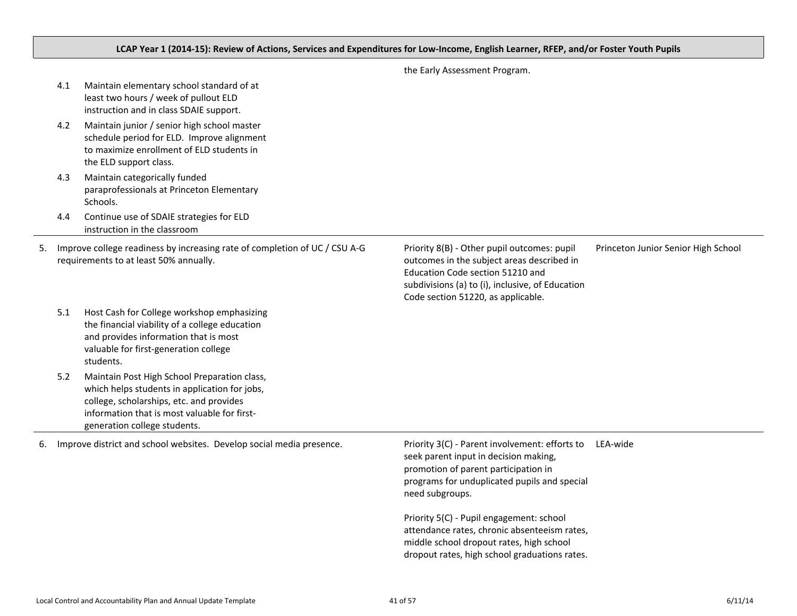## LCAP Year 1 (2014-15): Review of Actions, Services and Expenditures for Low-Income, English Learner, RFEP, and/or Foster Youth Pupils

|    | 4.1<br>4.2 | Maintain elementary school standard of at<br>least two hours / week of pullout ELD<br>instruction and in class SDAIE support.<br>Maintain junior / senior high school master<br>schedule period for ELD. Improve alignment<br>to maximize enrollment of ELD students in<br>the ELD support class. |                                                                                                                                                                                                                         |                                     |
|----|------------|---------------------------------------------------------------------------------------------------------------------------------------------------------------------------------------------------------------------------------------------------------------------------------------------------|-------------------------------------------------------------------------------------------------------------------------------------------------------------------------------------------------------------------------|-------------------------------------|
|    | 4.3        | Maintain categorically funded<br>paraprofessionals at Princeton Elementary<br>Schools.                                                                                                                                                                                                            |                                                                                                                                                                                                                         |                                     |
|    | 4.4        | Continue use of SDAIE strategies for ELD<br>instruction in the classroom                                                                                                                                                                                                                          |                                                                                                                                                                                                                         |                                     |
| 5. |            | Improve college readiness by increasing rate of completion of UC / CSU A-G<br>requirements to at least 50% annually.                                                                                                                                                                              | Priority 8(B) - Other pupil outcomes: pupil<br>outcomes in the subject areas described in<br>Education Code section 51210 and<br>subdivisions (a) to (i), inclusive, of Education<br>Code section 51220, as applicable. | Princeton Junior Senior High School |
|    | 5.1        | Host Cash for College workshop emphasizing<br>the financial viability of a college education<br>and provides information that is most<br>valuable for first-generation college<br>students.                                                                                                       |                                                                                                                                                                                                                         |                                     |
|    | 5.2        | Maintain Post High School Preparation class,<br>which helps students in application for jobs,<br>college, scholarships, etc. and provides<br>information that is most valuable for first-<br>generation college students.                                                                         |                                                                                                                                                                                                                         |                                     |
| 6. |            | Improve district and school websites. Develop social media presence.                                                                                                                                                                                                                              | Priority 3(C) - Parent involvement: efforts to<br>seek parent input in decision making,<br>promotion of parent participation in<br>programs for unduplicated pupils and special<br>need subgroups.                      | LEA-wide                            |
|    |            |                                                                                                                                                                                                                                                                                                   | Priority 5(C) - Pupil engagement: school<br>attendance rates, chronic absenteeism rates,<br>middle school dropout rates, high school<br>dropout rates, high school graduations rates.                                   |                                     |

the Early Assessment Program.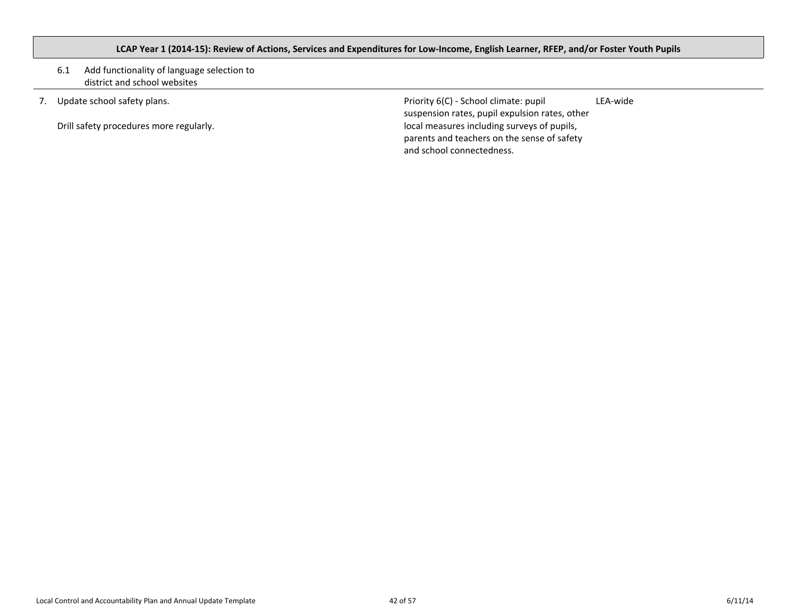## <span id="page-41-0"></span>LCAP Year 1 (2014-15): Review of Actions, Services and Expenditures for Low-Income, English Learner, RFEP, and/or Foster Youth Pupils

### 6.1 Add functionality of language selection to district and school websites

7. Update school safety plans.

Drill safety procedures more regularly.

Priority 6(C) - School climate: pupil suspension rates, pupil expulsion rates, other local measures including surveys of pupils, parents and teachers on the sense of safety and school connectedness.

LEA-wide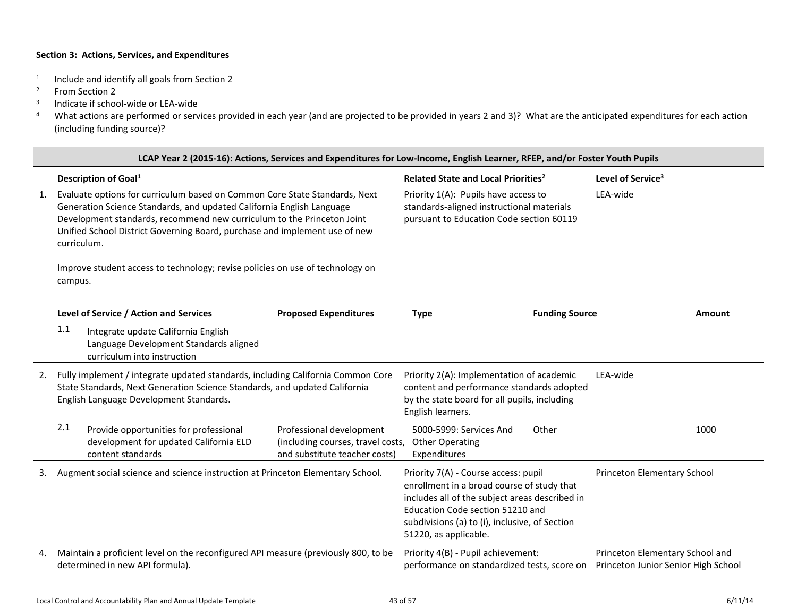- 1 Include and identify all goals from Section 2
- <sup>2</sup> From Section 2
- 3 Indicate if school-wide or LEA-wide
- <sup>4</sup> What actions are performed or services provided in each year (and are projected to be provided in years 2 and 3)? What are the anticipated expenditures for each action (including funding source)?

|    | LCAP Year 2 (2015-16): Actions, Services and Expenditures for Low-Income, English Learner, RFEP, and/or Foster Youth Pupils                                                                                                                                                                                                |                                                                                                |                                                                                                                                                                                                                                                     |                       |                                                                        |               |
|----|----------------------------------------------------------------------------------------------------------------------------------------------------------------------------------------------------------------------------------------------------------------------------------------------------------------------------|------------------------------------------------------------------------------------------------|-----------------------------------------------------------------------------------------------------------------------------------------------------------------------------------------------------------------------------------------------------|-----------------------|------------------------------------------------------------------------|---------------|
|    | Description of Goal <sup>1</sup>                                                                                                                                                                                                                                                                                           |                                                                                                | Related State and Local Priorities <sup>2</sup>                                                                                                                                                                                                     |                       | Level of Service <sup>3</sup>                                          |               |
| 1. | Evaluate options for curriculum based on Common Core State Standards, Next<br>Generation Science Standards, and updated California English Language<br>Development standards, recommend new curriculum to the Princeton Joint<br>Unified School District Governing Board, purchase and implement use of new<br>curriculum. |                                                                                                | Priority 1(A): Pupils have access to<br>standards-aligned instructional materials<br>pursuant to Education Code section 60119                                                                                                                       |                       | LEA-wide                                                               |               |
|    | Improve student access to technology; revise policies on use of technology on<br>campus.                                                                                                                                                                                                                                   |                                                                                                |                                                                                                                                                                                                                                                     |                       |                                                                        |               |
|    | Level of Service / Action and Services                                                                                                                                                                                                                                                                                     | <b>Proposed Expenditures</b>                                                                   | <b>Type</b>                                                                                                                                                                                                                                         | <b>Funding Source</b> |                                                                        | <b>Amount</b> |
|    | 1.1<br>Integrate update California English<br>Language Development Standards aligned<br>curriculum into instruction                                                                                                                                                                                                        |                                                                                                |                                                                                                                                                                                                                                                     |                       |                                                                        |               |
| 2. | Fully implement / integrate updated standards, including California Common Core<br>State Standards, Next Generation Science Standards, and updated California<br>English Language Development Standards.                                                                                                                   |                                                                                                | Priority 2(A): Implementation of academic<br>content and performance standards adopted<br>by the state board for all pupils, including<br>English learners.                                                                                         |                       | LEA-wide                                                               |               |
|    | 2.1<br>Provide opportunities for professional<br>development for updated California ELD<br>content standards                                                                                                                                                                                                               | Professional development<br>(including courses, travel costs,<br>and substitute teacher costs) | 5000-5999: Services And<br><b>Other Operating</b><br>Expenditures                                                                                                                                                                                   | Other                 |                                                                        | 1000          |
|    | Augment social science and science instruction at Princeton Elementary School.                                                                                                                                                                                                                                             |                                                                                                | Priority 7(A) - Course access: pupil<br>enrollment in a broad course of study that<br>includes all of the subject areas described in<br>Education Code section 51210 and<br>subdivisions (a) to (i), inclusive, of Section<br>51220, as applicable. |                       | Princeton Elementary School                                            |               |
| 4. | Maintain a proficient level on the reconfigured API measure (previously 800, to be<br>determined in new API formula).                                                                                                                                                                                                      |                                                                                                | Priority 4(B) - Pupil achievement:<br>performance on standardized tests, score on                                                                                                                                                                   |                       | Princeton Elementary School and<br>Princeton Junior Senior High School |               |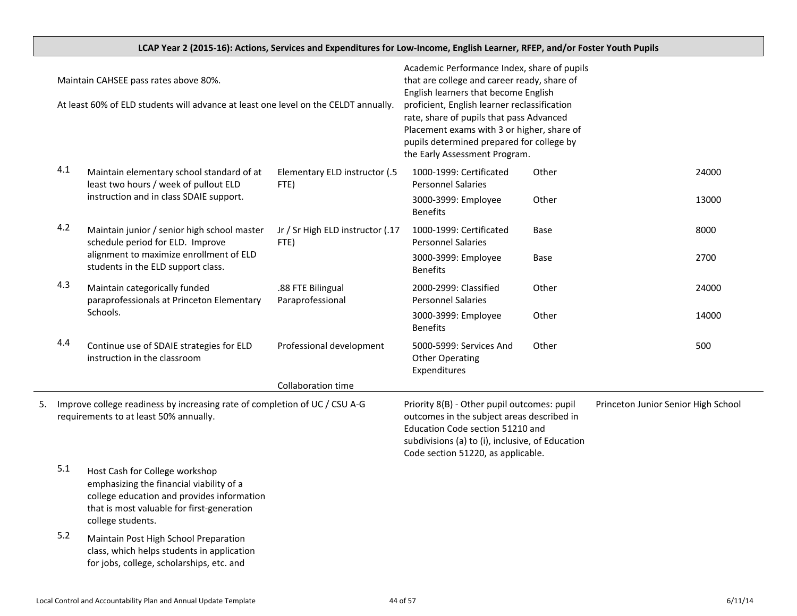|                                                                                                                                                                                                                                                                                                                                               |                                                                                                                      | LCAP Year 2 (2015-16): Actions, Services and Expenditures for Low-Income, English Learner, RFEP, and/or Foster Youth Pupils                                                                                                                                                                                                                                |                                                                                                                                                                                                                         |                                                                   |                                     |       |
|-----------------------------------------------------------------------------------------------------------------------------------------------------------------------------------------------------------------------------------------------------------------------------------------------------------------------------------------------|----------------------------------------------------------------------------------------------------------------------|------------------------------------------------------------------------------------------------------------------------------------------------------------------------------------------------------------------------------------------------------------------------------------------------------------------------------------------------------------|-------------------------------------------------------------------------------------------------------------------------------------------------------------------------------------------------------------------------|-------------------------------------------------------------------|-------------------------------------|-------|
| Maintain CAHSEE pass rates above 80%.<br>At least 60% of ELD students will advance at least one level on the CELDT annually.                                                                                                                                                                                                                  |                                                                                                                      | Academic Performance Index, share of pupils<br>that are college and career ready, share of<br>English learners that become English<br>proficient, English learner reclassification<br>rate, share of pupils that pass Advanced<br>Placement exams with 3 or higher, share of<br>pupils determined prepared for college by<br>the Early Assessment Program. |                                                                                                                                                                                                                         |                                                                   |                                     |       |
|                                                                                                                                                                                                                                                                                                                                               | 4.1                                                                                                                  | Maintain elementary school standard of at<br>least two hours / week of pullout ELD<br>instruction and in class SDAIE support.                                                                                                                                                                                                                              | Elementary ELD instructor (.5<br>FTE)                                                                                                                                                                                   | 1000-1999: Certificated<br><b>Personnel Salaries</b>              | Other                               | 24000 |
|                                                                                                                                                                                                                                                                                                                                               |                                                                                                                      |                                                                                                                                                                                                                                                                                                                                                            |                                                                                                                                                                                                                         | 3000-3999: Employee<br><b>Benefits</b>                            | Other                               | 13000 |
|                                                                                                                                                                                                                                                                                                                                               | 4.2                                                                                                                  | Maintain junior / senior high school master<br>schedule period for ELD. Improve                                                                                                                                                                                                                                                                            | Jr / Sr High ELD instructor (.17<br>FTE)                                                                                                                                                                                | 1000-1999: Certificated<br><b>Personnel Salaries</b>              | Base                                | 8000  |
|                                                                                                                                                                                                                                                                                                                                               |                                                                                                                      | alignment to maximize enrollment of ELD<br>students in the ELD support class.                                                                                                                                                                                                                                                                              |                                                                                                                                                                                                                         | 3000-3999: Employee<br><b>Benefits</b>                            | Base                                | 2700  |
|                                                                                                                                                                                                                                                                                                                                               | 4.3                                                                                                                  | Maintain categorically funded<br>paraprofessionals at Princeton Elementary                                                                                                                                                                                                                                                                                 | .88 FTE Bilingual<br>Paraprofessional                                                                                                                                                                                   | 2000-2999: Classified<br><b>Personnel Salaries</b>                | Other                               | 24000 |
|                                                                                                                                                                                                                                                                                                                                               |                                                                                                                      | Schools.                                                                                                                                                                                                                                                                                                                                                   |                                                                                                                                                                                                                         | 3000-3999: Employee<br><b>Benefits</b>                            | Other                               | 14000 |
|                                                                                                                                                                                                                                                                                                                                               | 4.4                                                                                                                  | Continue use of SDAIE strategies for ELD<br>instruction in the classroom                                                                                                                                                                                                                                                                                   | Professional development                                                                                                                                                                                                | 5000-5999: Services And<br><b>Other Operating</b><br>Expenditures | Other                               | 500   |
|                                                                                                                                                                                                                                                                                                                                               |                                                                                                                      |                                                                                                                                                                                                                                                                                                                                                            | Collaboration time                                                                                                                                                                                                      |                                                                   |                                     |       |
| 5.                                                                                                                                                                                                                                                                                                                                            | Improve college readiness by increasing rate of completion of UC / CSU A-G<br>requirements to at least 50% annually. |                                                                                                                                                                                                                                                                                                                                                            | Priority 8(B) - Other pupil outcomes: pupil<br>outcomes in the subject areas described in<br>Education Code section 51210 and<br>subdivisions (a) to (i), inclusive, of Education<br>Code section 51220, as applicable. |                                                                   | Princeton Junior Senior High School |       |
| 5.1<br>Host Cash for College workshop<br>emphasizing the financial viability of a<br>college education and provides information<br>that is most valuable for first-generation<br>college students.<br>5.2<br>Maintain Post High School Preparation<br>class, which helps students in application<br>for jobs, college, scholarships, etc. and |                                                                                                                      |                                                                                                                                                                                                                                                                                                                                                            |                                                                                                                                                                                                                         |                                                                   |                                     |       |
|                                                                                                                                                                                                                                                                                                                                               |                                                                                                                      |                                                                                                                                                                                                                                                                                                                                                            |                                                                                                                                                                                                                         |                                                                   |                                     |       |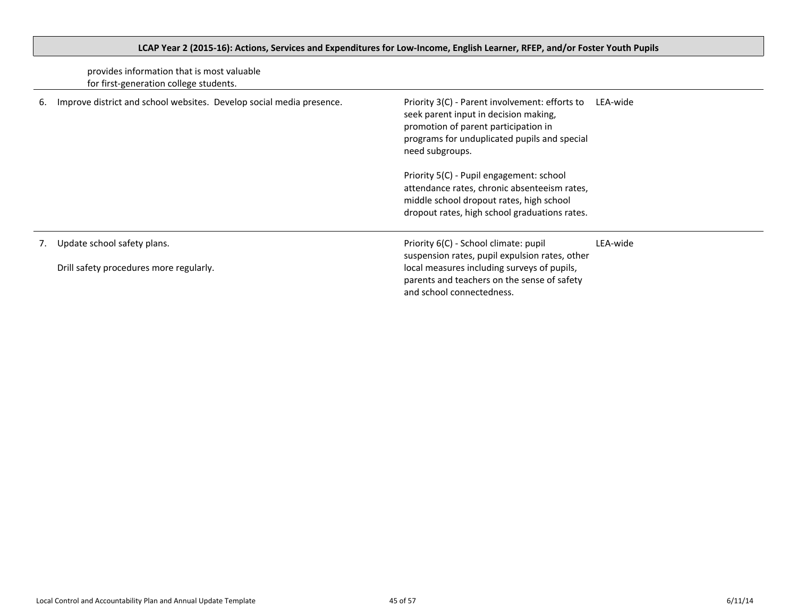|    | provides information that is most valuable<br>for first-generation college students. |                                                                                                                                                                                                                    |          |
|----|--------------------------------------------------------------------------------------|--------------------------------------------------------------------------------------------------------------------------------------------------------------------------------------------------------------------|----------|
| 6. | Improve district and school websites. Develop social media presence.                 | Priority 3(C) - Parent involvement: efforts to<br>LEA-wide<br>seek parent input in decision making,<br>promotion of parent participation in<br>programs for unduplicated pupils and special<br>need subgroups.     |          |
|    |                                                                                      | Priority 5(C) - Pupil engagement: school<br>attendance rates, chronic absenteeism rates,<br>middle school dropout rates, high school<br>dropout rates, high school graduations rates.                              |          |
| 7. | Update school safety plans.<br>Drill safety procedures more regularly.               | Priority 6(C) - School climate: pupil<br>suspension rates, pupil expulsion rates, other<br>local measures including surveys of pupils,<br>parents and teachers on the sense of safety<br>and school connectedness. | LEA-wide |

# <span id="page-44-0"></span>LCAP Year 2 (2015-16): Actions, Services and Expenditures for Low-Income, English Learner, RFEP, and/or Foster Youth Pupils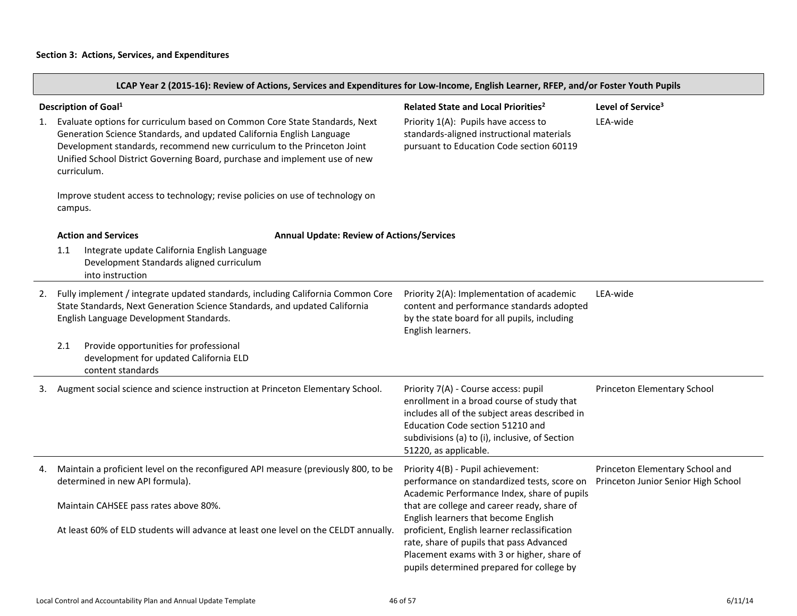LCAP Year 2 (2015-16): Review of Actions, Services and Expenditures for Low-Income, English Learner, RFEP, and/or Foster Youth Pupils

| 1. | Description of Goal <sup>1</sup><br>Evaluate options for curriculum based on Common Core State Standards, Next<br>Generation Science Standards, and updated California English Language<br>Development standards, recommend new curriculum to the Princeton Joint<br>Unified School District Governing Board, purchase and implement use of new<br>curriculum.<br>Improve student access to technology; revise policies on use of technology on<br>campus. |  | Related State and Local Priorities <sup>2</sup><br>Priority 1(A): Pupils have access to<br>standards-aligned instructional materials<br>pursuant to Education Code section 60119                                                                    | Level of Service <sup>3</sup><br>LEA-wide                              |
|----|------------------------------------------------------------------------------------------------------------------------------------------------------------------------------------------------------------------------------------------------------------------------------------------------------------------------------------------------------------------------------------------------------------------------------------------------------------|--|-----------------------------------------------------------------------------------------------------------------------------------------------------------------------------------------------------------------------------------------------------|------------------------------------------------------------------------|
|    | <b>Action and Services</b><br><b>Annual Update: Review of Actions/Services</b>                                                                                                                                                                                                                                                                                                                                                                             |  |                                                                                                                                                                                                                                                     |                                                                        |
|    | 1.1<br>Integrate update California English Language<br>Development Standards aligned curriculum<br>into instruction                                                                                                                                                                                                                                                                                                                                        |  |                                                                                                                                                                                                                                                     |                                                                        |
| 2. | Fully implement / integrate updated standards, including California Common Core<br>State Standards, Next Generation Science Standards, and updated California<br>English Language Development Standards.                                                                                                                                                                                                                                                   |  | Priority 2(A): Implementation of academic<br>content and performance standards adopted<br>by the state board for all pupils, including<br>English learners.                                                                                         | LEA-wide                                                               |
|    | 2.1<br>Provide opportunities for professional<br>development for updated California ELD<br>content standards                                                                                                                                                                                                                                                                                                                                               |  |                                                                                                                                                                                                                                                     |                                                                        |
| 3. | Augment social science and science instruction at Princeton Elementary School.                                                                                                                                                                                                                                                                                                                                                                             |  | Priority 7(A) - Course access: pupil<br>enrollment in a broad course of study that<br>includes all of the subject areas described in<br>Education Code section 51210 and<br>subdivisions (a) to (i), inclusive, of Section<br>51220, as applicable. | Princeton Elementary School                                            |
| 4. | Maintain a proficient level on the reconfigured API measure (previously 800, to be<br>determined in new API formula).                                                                                                                                                                                                                                                                                                                                      |  | Priority 4(B) - Pupil achievement:<br>performance on standardized tests, score on<br>Academic Performance Index, share of pupils                                                                                                                    | Princeton Elementary School and<br>Princeton Junior Senior High School |
|    | Maintain CAHSEE pass rates above 80%.<br>At least 60% of ELD students will advance at least one level on the CELDT annually.                                                                                                                                                                                                                                                                                                                               |  | that are college and career ready, share of<br>English learners that become English<br>proficient, English learner reclassification<br>rate, share of pupils that pass Advanced<br>Placement exams with 3 or higher, share of                       |                                                                        |
|    |                                                                                                                                                                                                                                                                                                                                                                                                                                                            |  | pupils determined prepared for college by                                                                                                                                                                                                           |                                                                        |

 $\overline{\phantom{a}}$ 

 $\overline{\phantom{a}}$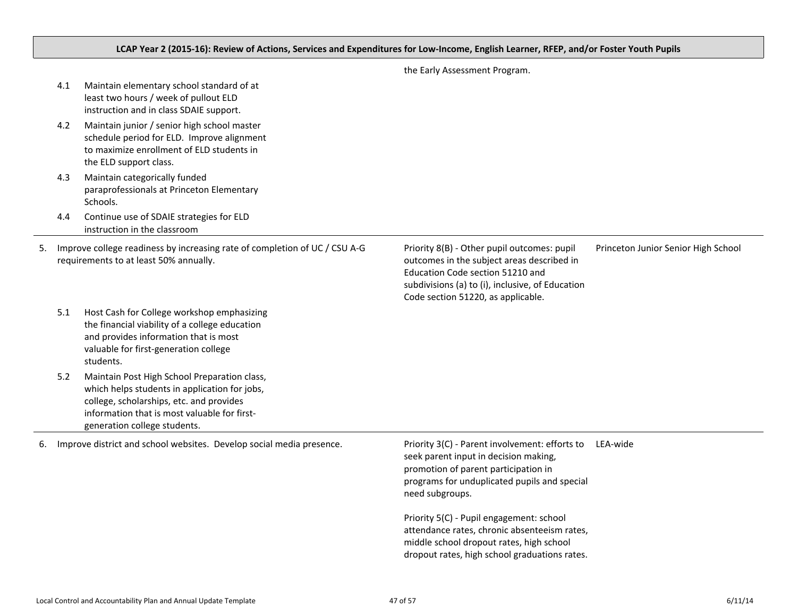## LCAP Year 2 (2015-16): Review of Actions, Services and Expenditures for Low-Income, English Learner, RFEP, and/or Foster Youth Pupils

|    | 4.1 | Maintain elementary school standard of at<br>least two hours / week of pullout ELD<br>instruction and in class SDAIE support.                                                                                             |                                                                                                                                                                                                                         |                                     |
|----|-----|---------------------------------------------------------------------------------------------------------------------------------------------------------------------------------------------------------------------------|-------------------------------------------------------------------------------------------------------------------------------------------------------------------------------------------------------------------------|-------------------------------------|
|    | 4.2 | Maintain junior / senior high school master<br>schedule period for ELD. Improve alignment<br>to maximize enrollment of ELD students in<br>the ELD support class.                                                          |                                                                                                                                                                                                                         |                                     |
|    | 4.3 | Maintain categorically funded<br>paraprofessionals at Princeton Elementary<br>Schools.                                                                                                                                    |                                                                                                                                                                                                                         |                                     |
|    | 4.4 | Continue use of SDAIE strategies for ELD<br>instruction in the classroom                                                                                                                                                  |                                                                                                                                                                                                                         |                                     |
| 5. |     | Improve college readiness by increasing rate of completion of UC / CSU A-G<br>requirements to at least 50% annually.                                                                                                      | Priority 8(B) - Other pupil outcomes: pupil<br>outcomes in the subject areas described in<br>Education Code section 51210 and<br>subdivisions (a) to (i), inclusive, of Education<br>Code section 51220, as applicable. | Princeton Junior Senior High School |
|    | 5.1 | Host Cash for College workshop emphasizing<br>the financial viability of a college education<br>and provides information that is most<br>valuable for first-generation college<br>students.                               |                                                                                                                                                                                                                         |                                     |
|    | 5.2 | Maintain Post High School Preparation class,<br>which helps students in application for jobs,<br>college, scholarships, etc. and provides<br>information that is most valuable for first-<br>generation college students. |                                                                                                                                                                                                                         |                                     |
| 6. |     | Improve district and school websites. Develop social media presence.                                                                                                                                                      | Priority 3(C) - Parent involvement: efforts to<br>seek parent input in decision making,<br>promotion of parent participation in<br>programs for unduplicated pupils and special<br>need subgroups.                      | LEA-wide                            |
|    |     |                                                                                                                                                                                                                           | Priority 5(C) - Pupil engagement: school<br>attendance rates, chronic absenteeism rates,<br>middle school dropout rates, high school<br>dropout rates, high school graduations rates.                                   |                                     |
|    |     |                                                                                                                                                                                                                           |                                                                                                                                                                                                                         |                                     |

the Early Assessment Program.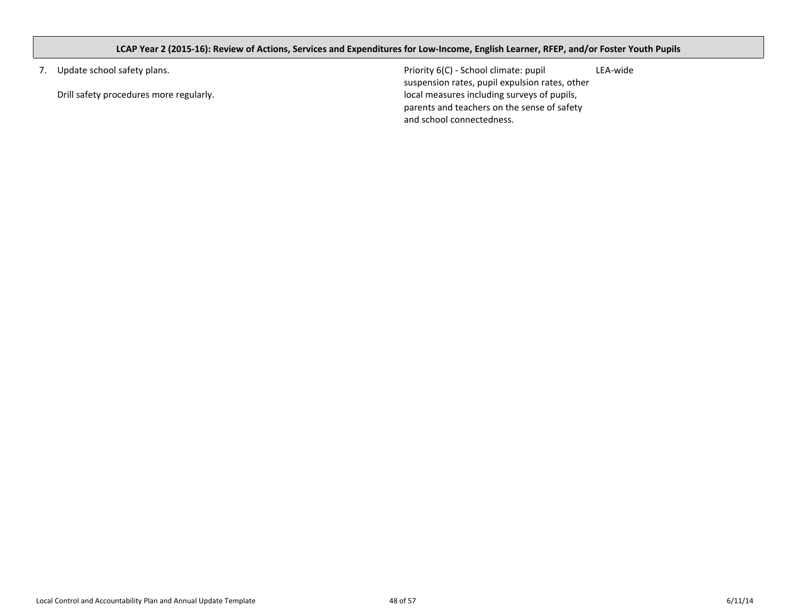## <span id="page-47-0"></span>LCAP Year 2 (2015-16): Review of Actions, Services and Expenditures for Low-Income, English Learner, RFEP, and/or Foster Youth Pupils

7. Update school safety plans.

Drill safety procedures more regularly.

Priority 6(C) - School climate: pupil suspension rates, pupil expulsion rates, other local measures including surveys of pupils, parents and teachers on the sense of safety and school connectedness. LEA-wide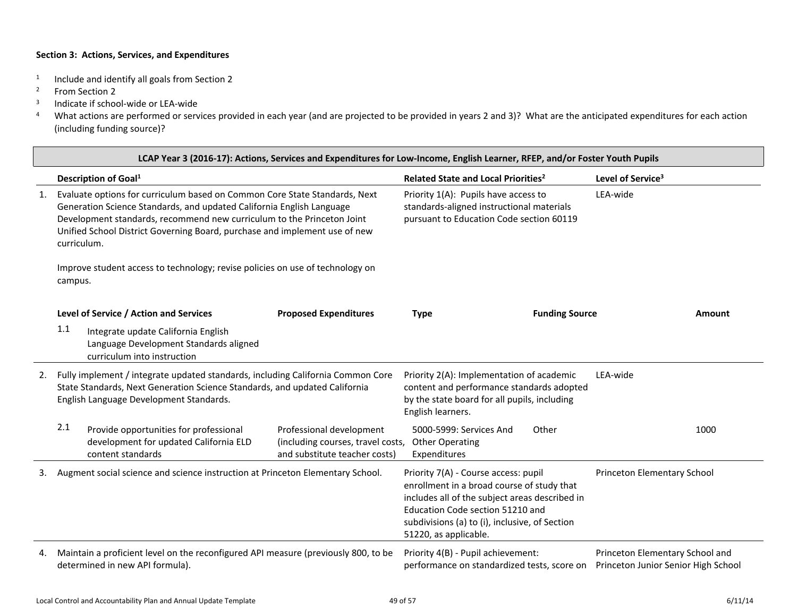- 1 Include and identify all goals from Section 2
- <sup>2</sup> From Section 2
- 3 Indicate if school-wide or LEA-wide
- <sup>4</sup> What actions are performed or services provided in each year (and are projected to be provided in years 2 and 3)? What are the anticipated expenditures for each action (including funding source)?

|    | LCAP Year 3 (2016-17): Actions, Services and Expenditures for Low-Income, English Learner, RFEP, and/or Foster Youth Pupils                                                                                                                                                                                                |                                                                                                |                                                                                                                                                                                                                                                                                    |                       |                                                                        |        |
|----|----------------------------------------------------------------------------------------------------------------------------------------------------------------------------------------------------------------------------------------------------------------------------------------------------------------------------|------------------------------------------------------------------------------------------------|------------------------------------------------------------------------------------------------------------------------------------------------------------------------------------------------------------------------------------------------------------------------------------|-----------------------|------------------------------------------------------------------------|--------|
|    | Description of Goal <sup>1</sup>                                                                                                                                                                                                                                                                                           |                                                                                                | Related State and Local Priorities <sup>2</sup>                                                                                                                                                                                                                                    |                       | Level of Service <sup>3</sup>                                          |        |
| 1. | Evaluate options for curriculum based on Common Core State Standards, Next<br>Generation Science Standards, and updated California English Language<br>Development standards, recommend new curriculum to the Princeton Joint<br>Unified School District Governing Board, purchase and implement use of new<br>curriculum. |                                                                                                | Priority 1(A): Pupils have access to<br>standards-aligned instructional materials<br>pursuant to Education Code section 60119                                                                                                                                                      |                       | LEA-wide                                                               |        |
|    | Improve student access to technology; revise policies on use of technology on<br>campus.                                                                                                                                                                                                                                   |                                                                                                |                                                                                                                                                                                                                                                                                    |                       |                                                                        |        |
|    | Level of Service / Action and Services                                                                                                                                                                                                                                                                                     | <b>Proposed Expenditures</b>                                                                   | <b>Type</b>                                                                                                                                                                                                                                                                        | <b>Funding Source</b> |                                                                        | Amount |
|    | 1.1<br>Integrate update California English<br>Language Development Standards aligned<br>curriculum into instruction                                                                                                                                                                                                        |                                                                                                |                                                                                                                                                                                                                                                                                    |                       |                                                                        |        |
| 2. | Fully implement / integrate updated standards, including California Common Core<br>State Standards, Next Generation Science Standards, and updated California<br>English Language Development Standards.                                                                                                                   |                                                                                                | Priority 2(A): Implementation of academic<br>content and performance standards adopted<br>by the state board for all pupils, including<br>English learners.                                                                                                                        |                       | LEA-wide                                                               |        |
|    | 2.1<br>Provide opportunities for professional<br>development for updated California ELD<br>content standards                                                                                                                                                                                                               | Professional development<br>(including courses, travel costs,<br>and substitute teacher costs) | 5000-5999: Services And<br><b>Other Operating</b><br>Expenditures                                                                                                                                                                                                                  | Other                 |                                                                        | 1000   |
| 3. | Augment social science and science instruction at Princeton Elementary School.                                                                                                                                                                                                                                             |                                                                                                | Priority 7(A) - Course access: pupil<br>Princeton Elementary School<br>enrollment in a broad course of study that<br>includes all of the subject areas described in<br>Education Code section 51210 and<br>subdivisions (a) to (i), inclusive, of Section<br>51220, as applicable. |                       |                                                                        |        |
| 4. | Maintain a proficient level on the reconfigured API measure (previously 800, to be<br>determined in new API formula).                                                                                                                                                                                                      |                                                                                                | Priority 4(B) - Pupil achievement:<br>performance on standardized tests, score on                                                                                                                                                                                                  |                       | Princeton Elementary School and<br>Princeton Junior Senior High School |        |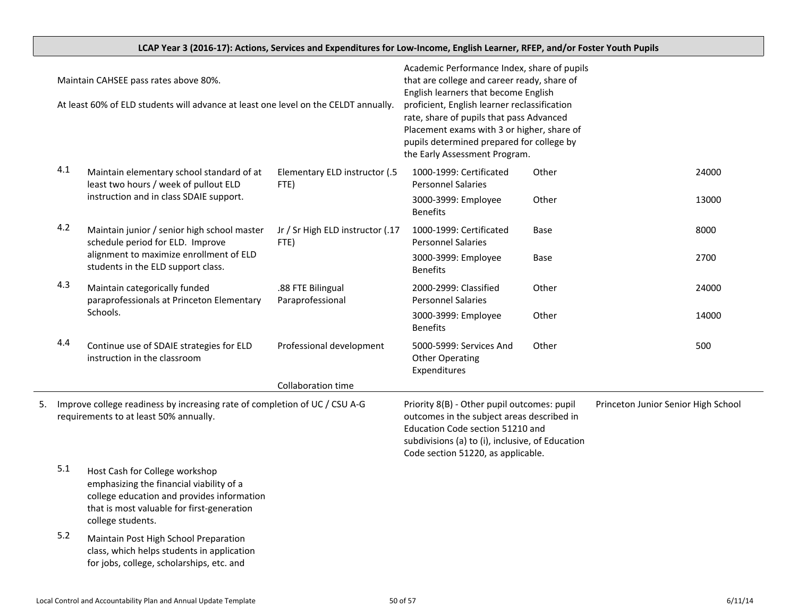|                                                                                                                                                                         |                                          | LCAP Year 3 (2016-17): Actions, Services and Expenditures for Low-Income, English Learner, RFEP, and/or Foster Youth Pupils                                                                                                                                                                                                                                |                                       |                                                                   |       |       |
|-------------------------------------------------------------------------------------------------------------------------------------------------------------------------|------------------------------------------|------------------------------------------------------------------------------------------------------------------------------------------------------------------------------------------------------------------------------------------------------------------------------------------------------------------------------------------------------------|---------------------------------------|-------------------------------------------------------------------|-------|-------|
| Maintain CAHSEE pass rates above 80%.<br>At least 60% of ELD students will advance at least one level on the CELDT annually.                                            |                                          | Academic Performance Index, share of pupils<br>that are college and career ready, share of<br>English learners that become English<br>proficient, English learner reclassification<br>rate, share of pupils that pass Advanced<br>Placement exams with 3 or higher, share of<br>pupils determined prepared for college by<br>the Early Assessment Program. |                                       |                                                                   |       |       |
|                                                                                                                                                                         | 4.1                                      | Maintain elementary school standard of at<br>least two hours / week of pullout ELD<br>instruction and in class SDAIE support.                                                                                                                                                                                                                              | Elementary ELD instructor (.5<br>FTE) | 1000-1999: Certificated<br><b>Personnel Salaries</b>              | Other | 24000 |
|                                                                                                                                                                         |                                          |                                                                                                                                                                                                                                                                                                                                                            |                                       | 3000-3999: Employee<br><b>Benefits</b>                            | Other | 13000 |
| 4.2<br>Maintain junior / senior high school master<br>schedule period for ELD. Improve<br>alignment to maximize enrollment of ELD<br>students in the ELD support class. | Jr / Sr High ELD instructor (.17<br>FTE) | 1000-1999: Certificated<br><b>Personnel Salaries</b>                                                                                                                                                                                                                                                                                                       | Base                                  | 8000                                                              |       |       |
|                                                                                                                                                                         |                                          |                                                                                                                                                                                                                                                                                                                                                            |                                       | 3000-3999: Employee<br><b>Benefits</b>                            | Base  | 2700  |
|                                                                                                                                                                         | 4.3                                      | Maintain categorically funded<br>paraprofessionals at Princeton Elementary                                                                                                                                                                                                                                                                                 | .88 FTE Bilingual<br>Paraprofessional | 2000-2999: Classified<br><b>Personnel Salaries</b>                | Other | 24000 |
|                                                                                                                                                                         |                                          | Schools.                                                                                                                                                                                                                                                                                                                                                   |                                       | 3000-3999: Employee<br><b>Benefits</b>                            | Other | 14000 |
|                                                                                                                                                                         | 4.4                                      | Continue use of SDAIE strategies for ELD<br>instruction in the classroom                                                                                                                                                                                                                                                                                   | Professional development              | 5000-5999: Services And<br><b>Other Operating</b><br>Expenditures | Other | 500   |
|                                                                                                                                                                         |                                          |                                                                                                                                                                                                                                                                                                                                                            | Collaboration time                    |                                                                   |       |       |
| Improve college readiness by increasing rate of completion of UC / CSU A-G<br>5.<br>requirements to at least 50% annually.                                              |                                          | Priority 8(B) - Other pupil outcomes: pupil<br>Princeton Junior Senior High School<br>outcomes in the subject areas described in<br>Education Code section 51210 and<br>subdivisions (a) to (i), inclusive, of Education<br>Code section 51220, as applicable.                                                                                             |                                       |                                                                   |       |       |
|                                                                                                                                                                         | 5.1                                      | Host Cash for College workshop<br>emphasizing the financial viability of a<br>college education and provides information<br>that is most valuable for first-generation<br>college students.                                                                                                                                                                |                                       |                                                                   |       |       |
|                                                                                                                                                                         | 5.2                                      | Maintain Post High School Preparation<br>class, which helps students in application<br>for jobs, college, scholarships, etc. and                                                                                                                                                                                                                           |                                       |                                                                   |       |       |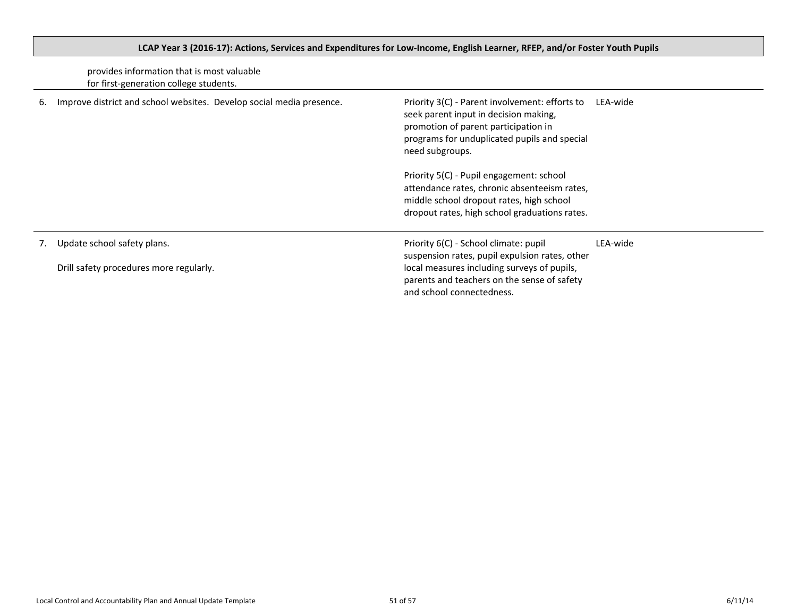|    | provides information that is most valuable<br>for first-generation college students. |                                                                                                                                                                                                                    |          |
|----|--------------------------------------------------------------------------------------|--------------------------------------------------------------------------------------------------------------------------------------------------------------------------------------------------------------------|----------|
| 6. | Improve district and school websites. Develop social media presence.                 | Priority 3(C) - Parent involvement: efforts to<br>LEA-wide<br>seek parent input in decision making,<br>promotion of parent participation in<br>programs for unduplicated pupils and special<br>need subgroups.     |          |
|    |                                                                                      | Priority 5(C) - Pupil engagement: school<br>attendance rates, chronic absenteeism rates,<br>middle school dropout rates, high school<br>dropout rates, high school graduations rates.                              |          |
| 7. | Update school safety plans.<br>Drill safety procedures more regularly.               | Priority 6(C) - School climate: pupil<br>suspension rates, pupil expulsion rates, other<br>local measures including surveys of pupils,<br>parents and teachers on the sense of safety<br>and school connectedness. | LEA-wide |

# <span id="page-50-0"></span>LCAP Year 3 (2016-17): Actions, Services and Expenditures for Low-Income, English Learner, RFEP, and/or Foster Youth Pupils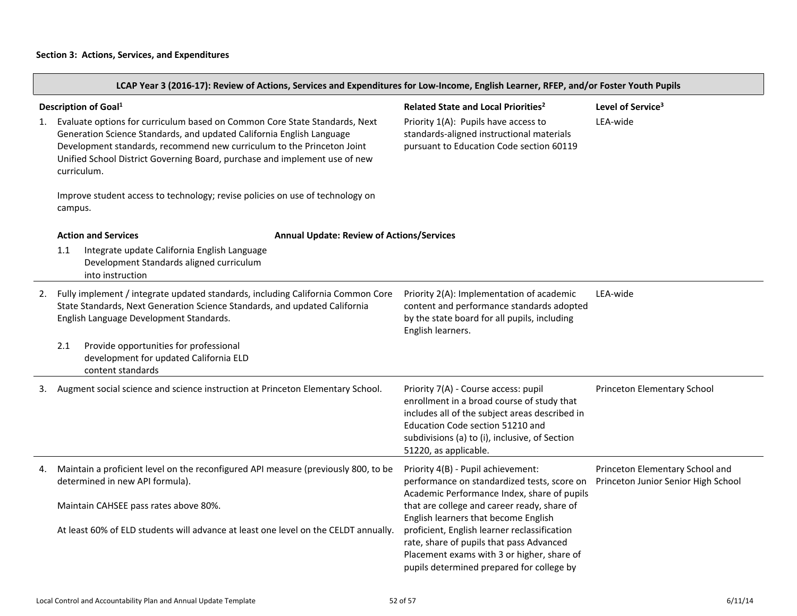LCAP Year 3 (2016-17): Review of Actions, Services and Expenditures for Low-Income, English Learner, RFEP, and/or Foster Youth Pupils

| Description of Goal <sup>1</sup><br>Evaluate options for curriculum based on Common Core State Standards, Next<br>1.<br>Generation Science Standards, and updated California English Language<br>Development standards, recommend new curriculum to the Princeton Joint<br>Unified School District Governing Board, purchase and implement use of new<br>curriculum.<br>Improve student access to technology; revise policies on use of technology on<br>campus. |                                                                                                                                                                                                          | Level of Service <sup>3</sup><br>Related State and Local Priorities <sup>2</sup><br>Priority 1(A): Pupils have access to<br>LEA-wide<br>standards-aligned instructional materials<br>pursuant to Education Code section 60119                       |                                                                        |  |
|------------------------------------------------------------------------------------------------------------------------------------------------------------------------------------------------------------------------------------------------------------------------------------------------------------------------------------------------------------------------------------------------------------------------------------------------------------------|----------------------------------------------------------------------------------------------------------------------------------------------------------------------------------------------------------|-----------------------------------------------------------------------------------------------------------------------------------------------------------------------------------------------------------------------------------------------------|------------------------------------------------------------------------|--|
|                                                                                                                                                                                                                                                                                                                                                                                                                                                                  | <b>Action and Services</b><br><b>Annual Update: Review of Actions/Services</b>                                                                                                                           |                                                                                                                                                                                                                                                     |                                                                        |  |
|                                                                                                                                                                                                                                                                                                                                                                                                                                                                  | Integrate update California English Language<br>1.1<br>Development Standards aligned curriculum<br>into instruction                                                                                      |                                                                                                                                                                                                                                                     |                                                                        |  |
| 2.                                                                                                                                                                                                                                                                                                                                                                                                                                                               | Fully implement / integrate updated standards, including California Common Core<br>State Standards, Next Generation Science Standards, and updated California<br>English Language Development Standards. | Priority 2(A): Implementation of academic<br>content and performance standards adopted<br>by the state board for all pupils, including<br>English learners.                                                                                         | LEA-wide                                                               |  |
|                                                                                                                                                                                                                                                                                                                                                                                                                                                                  | 2.1<br>Provide opportunities for professional<br>development for updated California ELD<br>content standards                                                                                             |                                                                                                                                                                                                                                                     |                                                                        |  |
| 3.                                                                                                                                                                                                                                                                                                                                                                                                                                                               | Augment social science and science instruction at Princeton Elementary School.                                                                                                                           | Priority 7(A) - Course access: pupil<br>enrollment in a broad course of study that<br>includes all of the subject areas described in<br>Education Code section 51210 and<br>subdivisions (a) to (i), inclusive, of Section<br>51220, as applicable. | Princeton Elementary School                                            |  |
| 4.                                                                                                                                                                                                                                                                                                                                                                                                                                                               | Maintain a proficient level on the reconfigured API measure (previously 800, to be<br>determined in new API formula).                                                                                    | Priority 4(B) - Pupil achievement:<br>performance on standardized tests, score on<br>Academic Performance Index, share of pupils                                                                                                                    | Princeton Elementary School and<br>Princeton Junior Senior High School |  |
|                                                                                                                                                                                                                                                                                                                                                                                                                                                                  | Maintain CAHSEE pass rates above 80%.                                                                                                                                                                    | that are college and career ready, share of<br>English learners that become English                                                                                                                                                                 |                                                                        |  |
|                                                                                                                                                                                                                                                                                                                                                                                                                                                                  | At least 60% of ELD students will advance at least one level on the CELDT annually.                                                                                                                      | proficient, English learner reclassification<br>rate, share of pupils that pass Advanced<br>Placement exams with 3 or higher, share of<br>pupils determined prepared for college by                                                                 |                                                                        |  |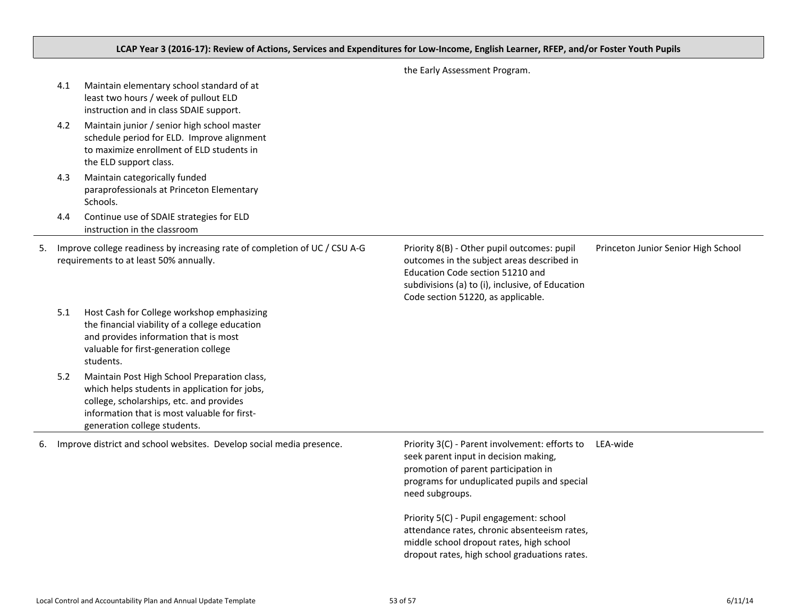## LCAP Year 3 (2016-17): Review of Actions, Services and Expenditures for Low-Income, English Learner, RFEP, and/or Foster Youth Pupils

|    | 4.1 | Maintain elementary school standard of at<br>least two hours / week of pullout ELD<br>instruction and in class SDAIE support.                                                                                             |                                                                                                                                                                                                                         |                                     |
|----|-----|---------------------------------------------------------------------------------------------------------------------------------------------------------------------------------------------------------------------------|-------------------------------------------------------------------------------------------------------------------------------------------------------------------------------------------------------------------------|-------------------------------------|
|    | 4.2 | Maintain junior / senior high school master<br>schedule period for ELD. Improve alignment<br>to maximize enrollment of ELD students in<br>the ELD support class.                                                          |                                                                                                                                                                                                                         |                                     |
|    | 4.3 | Maintain categorically funded<br>paraprofessionals at Princeton Elementary<br>Schools.                                                                                                                                    |                                                                                                                                                                                                                         |                                     |
|    | 4.4 | Continue use of SDAIE strategies for ELD<br>instruction in the classroom                                                                                                                                                  |                                                                                                                                                                                                                         |                                     |
| 5. |     | Improve college readiness by increasing rate of completion of UC / CSU A-G<br>requirements to at least 50% annually.                                                                                                      | Priority 8(B) - Other pupil outcomes: pupil<br>outcomes in the subject areas described in<br>Education Code section 51210 and<br>subdivisions (a) to (i), inclusive, of Education<br>Code section 51220, as applicable. | Princeton Junior Senior High School |
|    | 5.1 | Host Cash for College workshop emphasizing<br>the financial viability of a college education<br>and provides information that is most<br>valuable for first-generation college<br>students.                               |                                                                                                                                                                                                                         |                                     |
|    | 5.2 | Maintain Post High School Preparation class,<br>which helps students in application for jobs,<br>college, scholarships, etc. and provides<br>information that is most valuable for first-<br>generation college students. |                                                                                                                                                                                                                         |                                     |
| 6. |     | Improve district and school websites. Develop social media presence.                                                                                                                                                      | Priority 3(C) - Parent involvement: efforts to<br>seek parent input in decision making,<br>promotion of parent participation in<br>programs for unduplicated pupils and special<br>need subgroups.                      | LEA-wide                            |
|    |     |                                                                                                                                                                                                                           | Priority 5(C) - Pupil engagement: school<br>attendance rates, chronic absenteeism rates,<br>middle school dropout rates, high school<br>dropout rates, high school graduations rates.                                   |                                     |

the Early Assessment Program.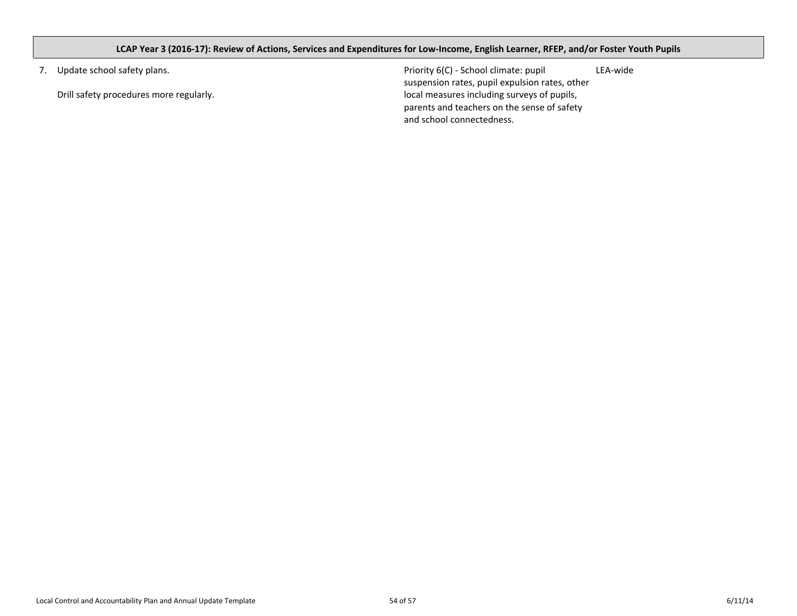## <span id="page-53-0"></span>LCAP Year 3 (2016-17): Review of Actions, Services and Expenditures for Low-Income, English Learner, RFEP, and/or Foster Youth Pupils

7. Update school safety plans.

Drill safety procedures more regularly.

Priority 6(C) - School climate: pupil suspension rates, pupil expulsion rates, other local measures including surveys of pupils, parents and teachers on the sense of safety and school connectedness. LEA-wide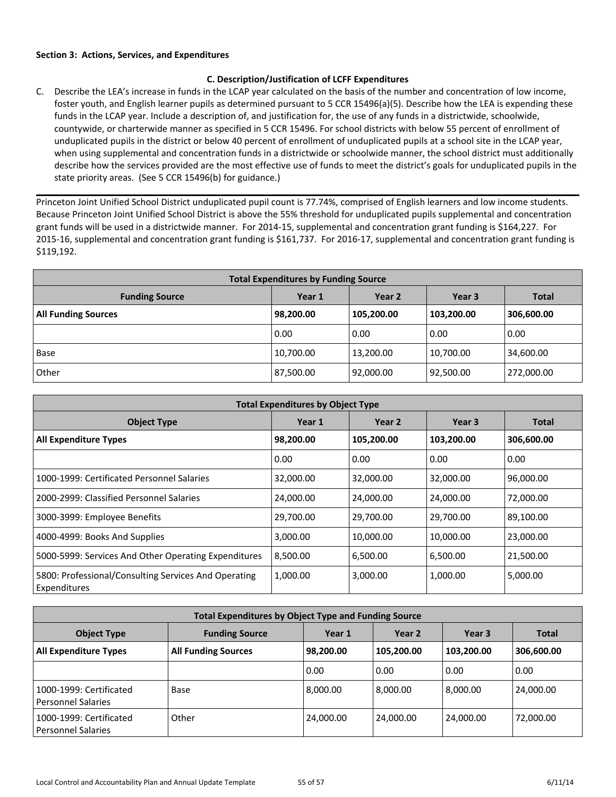## <span id="page-54-0"></span>**C. Description/Justification of LCFF Expenditures**

C. Describe the LEA's increase in funds in the LCAP year calculated on the basis of the number and concentration of low income, foster youth, and English learner pupils as determined pursuant to 5 CCR 15496(a)(5). Describe how the LEA is expending these funds in the LCAP year. Include a description of, and justification for, the use of any funds in a districtwide, schoolwide, countywide, or charterwide manner as specified in 5 CCR 15496. For school districts with below 55 percent of enrollment of unduplicated pupils in the district or below 40 percent of enrollment of unduplicated pupils at a school site in the LCAP year, when using supplemental and concentration funds in a districtwide or schoolwide manner, the school district must additionally describe how the services provided are the most effective use of funds to meet the district's goals for unduplicated pupils in the state priority areas. (See 5 CCR 15496(b) for guidance.)

Princeton Joint Unified School District unduplicated pupil count is 77.74%, comprised of English learners and low income students. Because Princeton Joint Unified School District is above the 55% threshold for unduplicated pupils supplemental and concentration grant funds will be used in a districtwide manner. For 2014-15, supplemental and concentration grant funding is \$164,227. For 2015-16, supplemental and concentration grant funding is \$161,737. For 2016-17, supplemental and concentration grant funding is \$119,192.

| <b>Total Expenditures by Funding Source</b> |           |                   |            |              |  |  |  |
|---------------------------------------------|-----------|-------------------|------------|--------------|--|--|--|
| <b>Funding Source</b>                       | Year 1    | Year <sub>2</sub> | Year 3     | <b>Total</b> |  |  |  |
| <b>All Funding Sources</b>                  | 98,200.00 | 105,200.00        | 103,200.00 | 306,600.00   |  |  |  |
|                                             | 0.00      | 0.00              | 0.00       | 0.00         |  |  |  |
| Base                                        | 10,700.00 | 13,200.00         | 10,700.00  | 34,600.00    |  |  |  |
| Other                                       | 87,500.00 | 92,000.00         | 92,500.00  | 272,000.00   |  |  |  |

| <b>Total Expenditures by Object Type</b>                             |           |            |            |              |  |  |  |
|----------------------------------------------------------------------|-----------|------------|------------|--------------|--|--|--|
| <b>Object Type</b>                                                   | Year 1    | Year 2     | Year 3     | <b>Total</b> |  |  |  |
| <b>All Expenditure Types</b>                                         | 98,200.00 | 105,200.00 | 103,200.00 | 306,600.00   |  |  |  |
|                                                                      | 0.00      | 0.00       | 0.00       | 0.00         |  |  |  |
| 1000-1999: Certificated Personnel Salaries                           | 32,000.00 | 32,000.00  | 32,000.00  | 96,000.00    |  |  |  |
| 2000-2999: Classified Personnel Salaries                             | 24,000.00 | 24,000.00  | 24,000.00  | 72,000.00    |  |  |  |
| 3000-3999: Employee Benefits                                         | 29,700.00 | 29,700.00  | 29,700.00  | 89,100.00    |  |  |  |
| 4000-4999: Books And Supplies                                        | 3,000.00  | 10,000.00  | 10,000.00  | 23,000.00    |  |  |  |
| 5000-5999: Services And Other Operating Expenditures                 | 8,500.00  | 6,500.00   | 6,500.00   | 21,500.00    |  |  |  |
| 5800: Professional/Consulting Services And Operating<br>Expenditures | 1,000.00  | 3,000.00   | 1,000.00   | 5,000.00     |  |  |  |

| <b>Total Expenditures by Object Type and Funding Source</b> |                            |           |            |                   |              |  |  |
|-------------------------------------------------------------|----------------------------|-----------|------------|-------------------|--------------|--|--|
| <b>Object Type</b>                                          | <b>Funding Source</b>      | Year 1    | Year 2     | Year <sub>3</sub> | <b>Total</b> |  |  |
| <b>All Expenditure Types</b>                                | <b>All Funding Sources</b> | 98,200.00 | 105,200.00 | 103,200.00        | 306,600.00   |  |  |
|                                                             |                            | 0.00      | 0.00       | 0.00              | 0.00         |  |  |
| 1000-1999: Certificated<br>l Personnel Salaries             | Base                       | 8,000.00  | 8.000.00   | 8,000.00          | 24,000.00    |  |  |
| 1000-1999: Certificated<br>l Personnel Salaries             | Other                      | 24,000.00 | 24,000.00  | 24,000.00         | 72,000.00    |  |  |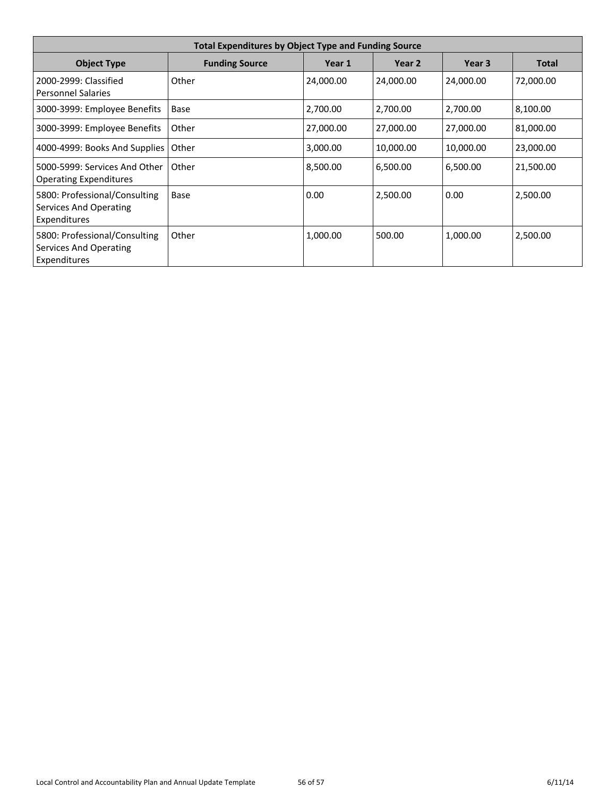| <b>Total Expenditures by Object Type and Funding Source</b>             |                       |           |           |           |              |  |  |
|-------------------------------------------------------------------------|-----------------------|-----------|-----------|-----------|--------------|--|--|
| <b>Object Type</b>                                                      | <b>Funding Source</b> | Year 1    | Year 2    | Year 3    | <b>Total</b> |  |  |
| 2000-2999: Classified<br><b>Personnel Salaries</b>                      | Other                 | 24,000.00 | 24,000.00 | 24,000.00 | 72,000.00    |  |  |
| 3000-3999: Employee Benefits                                            | Base                  | 2,700.00  | 2,700.00  | 2,700.00  | 8,100.00     |  |  |
| 3000-3999: Employee Benefits                                            | Other                 | 27,000.00 | 27,000.00 | 27,000.00 | 81,000.00    |  |  |
| 4000-4999: Books And Supplies                                           | Other                 | 3,000.00  | 10,000.00 | 10,000.00 | 23,000.00    |  |  |
| 5000-5999: Services And Other<br><b>Operating Expenditures</b>          | Other                 | 8,500.00  | 6,500.00  | 6,500.00  | 21,500.00    |  |  |
| 5800: Professional/Consulting<br>Services And Operating<br>Expenditures | Base                  | 0.00      | 2,500.00  | 0.00      | 2,500.00     |  |  |
| 5800: Professional/Consulting<br>Services And Operating<br>Expenditures | Other                 | 1,000.00  | 500.00    | 1,000.00  | 2,500.00     |  |  |